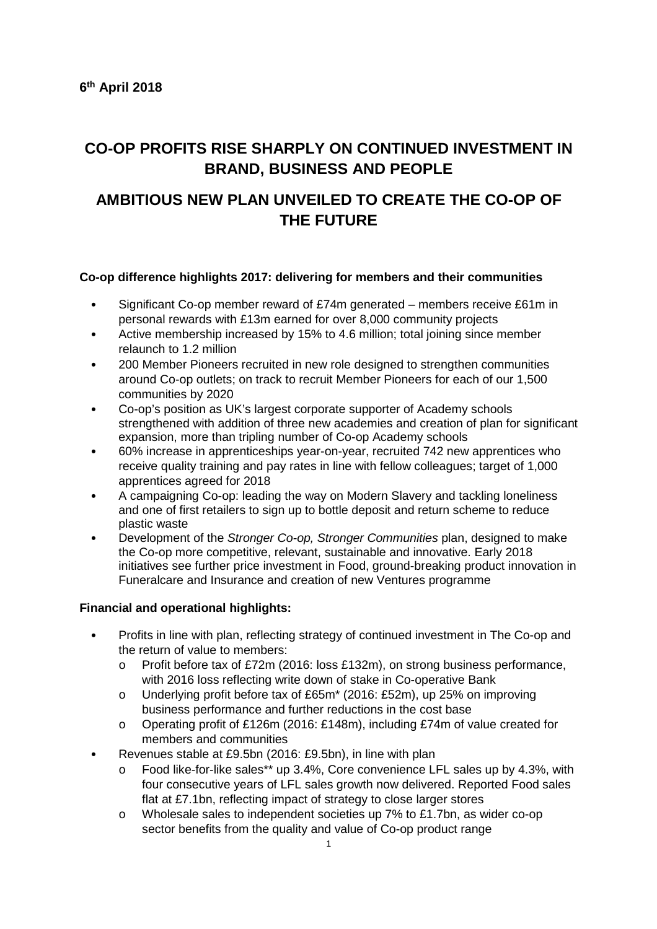# **CO-OP PROFITS RISE SHARPLY ON CONTINUED INVESTMENT IN BRAND, BUSINESS AND PEOPLE**

# **AMBITIOUS NEW PLAN UNVEILED TO CREATE THE CO-OP OF THE FUTURE**

## **Co-op difference highlights 2017: delivering for members and their communities**

- Significant Co-op member reward of £74m generated members receive £61m in personal rewards with £13m earned for over 8,000 community projects
- Active membership increased by 15% to 4.6 million; total joining since member relaunch to 1.2 million
- 200 Member Pioneers recruited in new role designed to strengthen communities around Co-op outlets; on track to recruit Member Pioneers for each of our 1,500 communities by 2020
- Co-op's position as UK's largest corporate supporter of Academy schools strengthened with addition of three new academies and creation of plan for significant expansion, more than tripling number of Co-op Academy schools
- 60% increase in apprenticeships year-on-year, recruited 742 new apprentices who receive quality training and pay rates in line with fellow colleagues; target of 1,000 apprentices agreed for 2018
- A campaigning Co-op: leading the way on Modern Slavery and tackling loneliness and one of first retailers to sign up to bottle deposit and return scheme to reduce plastic waste
- Development of the *Stronger Co-op, Stronger Communities* plan, designed to make the Co-op more competitive, relevant, sustainable and innovative. Early 2018 initiatives see further price investment in Food, ground-breaking product innovation in Funeralcare and Insurance and creation of new Ventures programme

## **Financial and operational highlights:**

- Profits in line with plan, reflecting strategy of continued investment in The Co-op and the return of value to members:
	- o Profit before tax of £72m (2016: loss £132m), on strong business performance, with 2016 loss reflecting write down of stake in Co-operative Bank
	- o Underlying profit before tax of £65m\* (2016: £52m), up 25% on improving business performance and further reductions in the cost base
	- o Operating profit of £126m (2016: £148m), including £74m of value created for members and communities
- Revenues stable at £9.5bn (2016: £9.5bn), in line with plan
	- o Food like-for-like sales\*\* up 3.4%, Core convenience LFL sales up by 4.3%, with four consecutive years of LFL sales growth now delivered. Reported Food sales flat at £7.1bn, reflecting impact of strategy to close larger stores
	- $\circ$  Wholesale sales to independent societies up 7% to £1.7bn, as wider co-op sector benefits from the quality and value of Co-op product range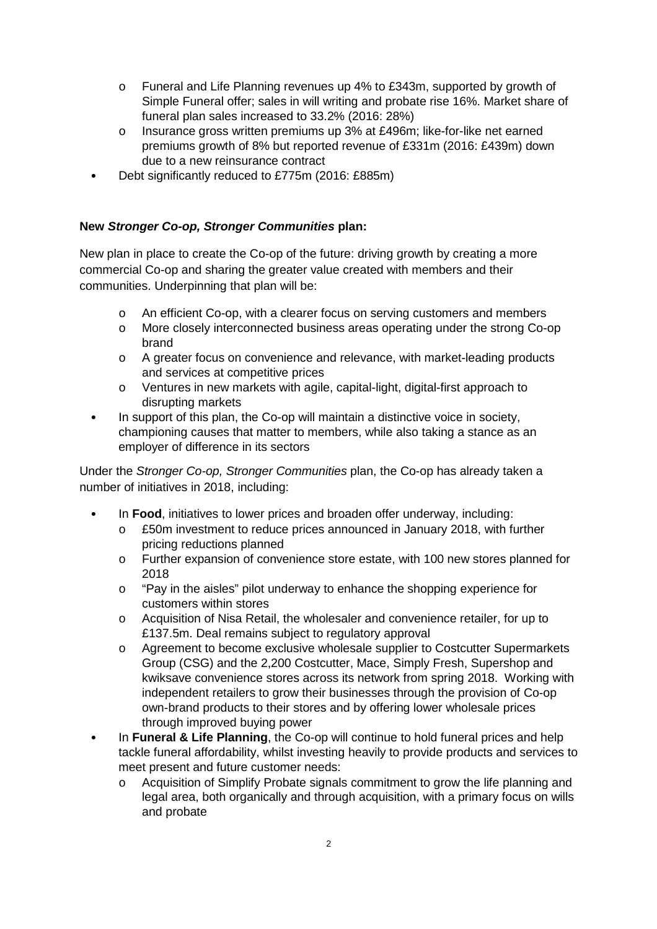- $\circ$  Funeral and Life Planning revenues up 4% to £343m, supported by growth of Simple Funeral offer; sales in will writing and probate rise 16%. Market share of funeral plan sales increased to 33.2% (2016: 28%)
- $\circ$  Insurance gross written premiums up 3% at £496m; like-for-like net earned premiums growth of 8% but reported revenue of £331m (2016: £439m) down due to a new reinsurance contract
- Debt significantly reduced to £775m (2016: £885m)

## **New Stronger Co-op, Stronger Communities plan:**

New plan in place to create the Co-op of the future: driving growth by creating a more commercial Co-op and sharing the greater value created with members and their communities. Underpinning that plan will be:

- o An efficient Co-op, with a clearer focus on serving customers and members
- o More closely interconnected business areas operating under the strong Co-op brand
- o A greater focus on convenience and relevance, with market-leading products and services at competitive prices
- o Ventures in new markets with agile, capital-light, digital-first approach to disrupting markets
- In support of this plan, the Co-op will maintain a distinctive voice in society, championing causes that matter to members, while also taking a stance as an employer of difference in its sectors

Under the Stronger Co-op, Stronger Communities plan, the Co-op has already taken a number of initiatives in 2018, including:

- In **Food**, initiatives to lower prices and broaden offer underway, including:
	- o £50m investment to reduce prices announced in January 2018, with further pricing reductions planned
	- o Further expansion of convenience store estate, with 100 new stores planned for 2018
	- o "Pay in the aisles" pilot underway to enhance the shopping experience for customers within stores
	- o Acquisition of Nisa Retail, the wholesaler and convenience retailer, for up to £137.5m. Deal remains subject to regulatory approval
	- o Agreement to become exclusive wholesale supplier to Costcutter Supermarkets Group (CSG) and the 2,200 Costcutter, Mace, Simply Fresh, Supershop and kwiksave convenience stores across its network from spring 2018. Working with independent retailers to grow their businesses through the provision of Co-op own-brand products to their stores and by offering lower wholesale prices through improved buying power
- In **Funeral & Life Planning**, the Co-op will continue to hold funeral prices and help tackle funeral affordability, whilst investing heavily to provide products and services to meet present and future customer needs:
	- o Acquisition of Simplify Probate signals commitment to grow the life planning and legal area, both organically and through acquisition, with a primary focus on wills and probate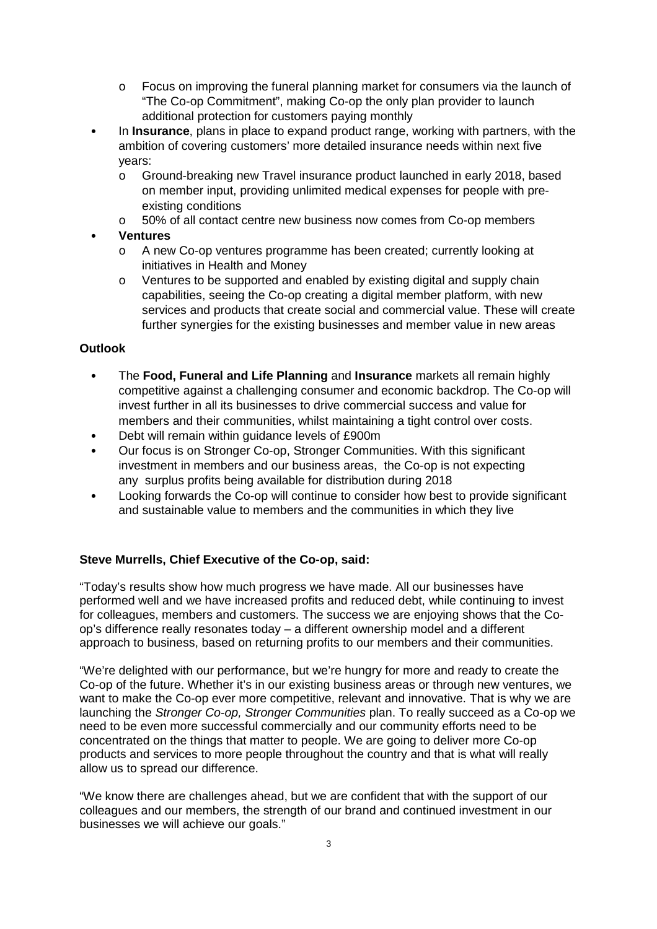- $\circ$  Focus on improving the funeral planning market for consumers via the launch of "The Co-op Commitment", making Co-op the only plan provider to launch additional protection for customers paying monthly
- In **Insurance**, plans in place to expand product range, working with partners, with the ambition of covering customers' more detailed insurance needs within next five years:
	- o Ground-breaking new Travel insurance product launched in early 2018, based on member input, providing unlimited medical expenses for people with preexisting conditions
	- o 50% of all contact centre new business now comes from Co-op members
- **Ventures** 
	- o A new Co-op ventures programme has been created; currently looking at initiatives in Health and Money
	- o Ventures to be supported and enabled by existing digital and supply chain capabilities, seeing the Co-op creating a digital member platform, with new services and products that create social and commercial value. These will create further synergies for the existing businesses and member value in new areas

## **Outlook**

- The **Food, Funeral and Life Planning** and **Insurance** markets all remain highly competitive against a challenging consumer and economic backdrop. The Co-op will invest further in all its businesses to drive commercial success and value for members and their communities, whilst maintaining a tight control over costs.
- Debt will remain within guidance levels of £900m
- Our focus is on Stronger Co-op, Stronger Communities. With this significant investment in members and our business areas, the Co-op is not expecting any surplus profits being available for distribution during 2018
- Looking forwards the Co-op will continue to consider how best to provide significant and sustainable value to members and the communities in which they live

## **Steve Murrells, Chief Executive of the Co-op, said:**

"Today's results show how much progress we have made. All our businesses have performed well and we have increased profits and reduced debt, while continuing to invest for colleagues, members and customers. The success we are enjoying shows that the Coop's difference really resonates today – a different ownership model and a different approach to business, based on returning profits to our members and their communities.

"We're delighted with our performance, but we're hungry for more and ready to create the Co-op of the future. Whether it's in our existing business areas or through new ventures, we want to make the Co-op ever more competitive, relevant and innovative. That is why we are launching the Stronger Co-op, Stronger Communities plan. To really succeed as a Co-op we need to be even more successful commercially and our community efforts need to be concentrated on the things that matter to people. We are going to deliver more Co-op products and services to more people throughout the country and that is what will really allow us to spread our difference.

"We know there are challenges ahead, but we are confident that with the support of our colleagues and our members, the strength of our brand and continued investment in our businesses we will achieve our goals."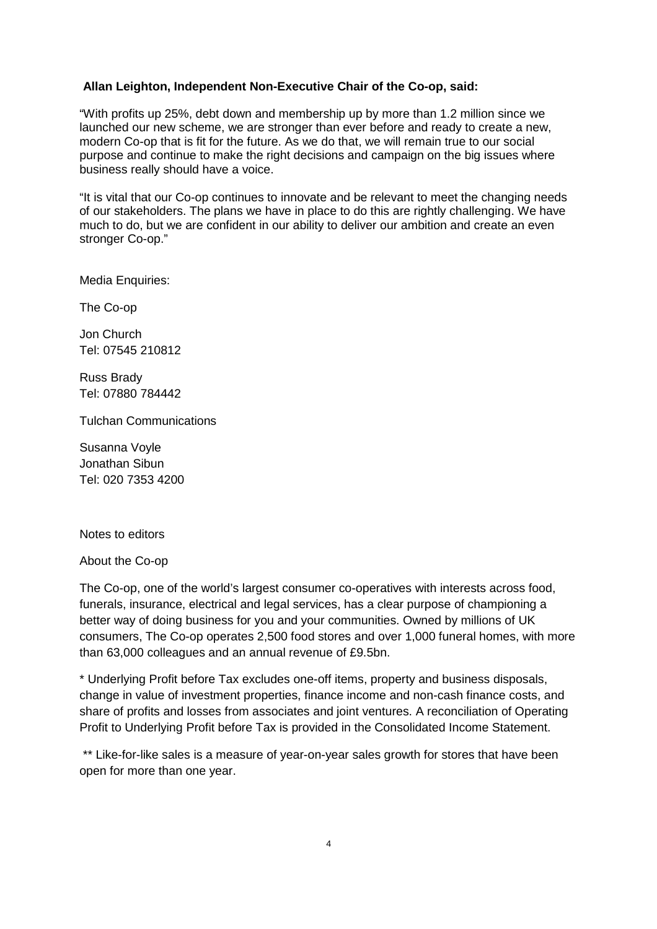## **Allan Leighton, Independent Non-Executive Chair of the Co-op, said:**

"With profits up 25%, debt down and membership up by more than 1.2 million since we launched our new scheme, we are stronger than ever before and ready to create a new, modern Co-op that is fit for the future. As we do that, we will remain true to our social purpose and continue to make the right decisions and campaign on the big issues where business really should have a voice.

"It is vital that our Co-op continues to innovate and be relevant to meet the changing needs of our stakeholders. The plans we have in place to do this are rightly challenging. We have much to do, but we are confident in our ability to deliver our ambition and create an even stronger Co-op."

Media Enquiries:

The Co-op

Jon Church Tel: 07545 210812

Russ Brady Tel: 07880 784442

Tulchan Communications

Susanna Voyle Jonathan Sibun Tel: 020 7353 4200

Notes to editors

About the Co-op

The Co-op, one of the world's largest consumer co-operatives with interests across food, funerals, insurance, electrical and legal services, has a clear purpose of championing a better way of doing business for you and your communities. Owned by millions of UK consumers, The Co-op operates 2,500 food stores and over 1,000 funeral homes, with more than 63,000 colleagues and an annual revenue of £9.5bn.

\* Underlying Profit before Tax excludes one-off items, property and business disposals, change in value of investment properties, finance income and non-cash finance costs, and share of profits and losses from associates and joint ventures. A reconciliation of Operating Profit to Underlying Profit before Tax is provided in the Consolidated Income Statement.

 \*\* Like-for-like sales is a measure of year-on-year sales growth for stores that have been open for more than one year.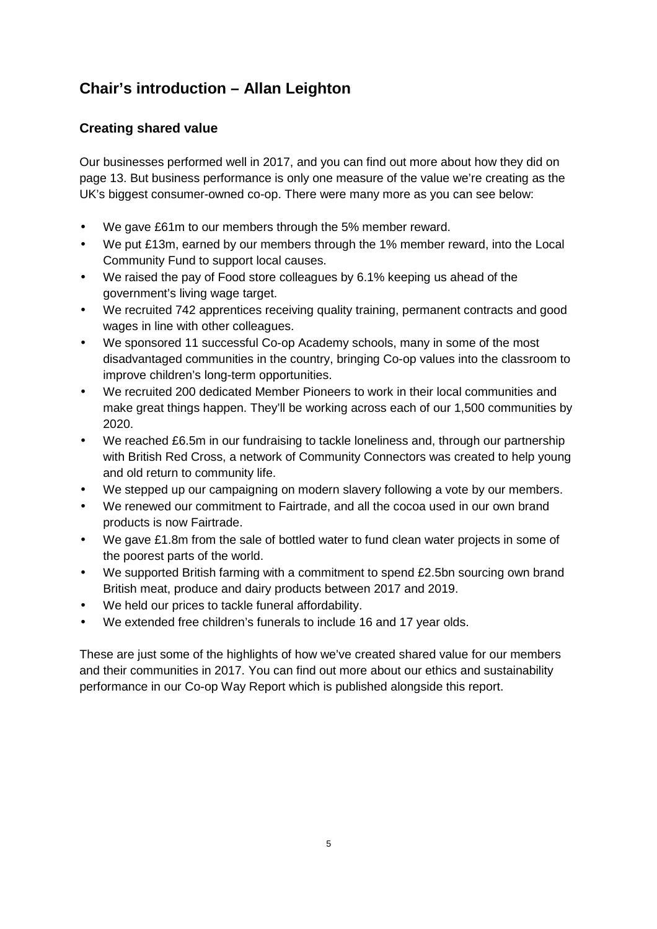# **Chair's introduction – Allan Leighton**

## **Creating shared value**

Our businesses performed well in 2017, and you can find out more about how they did on page 13. But business performance is only one measure of the value we're creating as the UK's biggest consumer-owned co-op. There were many more as you can see below:

- We gave £61m to our members through the 5% member reward.
- We put £13m, earned by our members through the 1% member reward, into the Local Community Fund to support local causes.
- We raised the pay of Food store colleagues by 6.1% keeping us ahead of the government's living wage target.
- We recruited 742 apprentices receiving quality training, permanent contracts and good wages in line with other colleagues.
- We sponsored 11 successful Co-op Academy schools, many in some of the most disadvantaged communities in the country, bringing Co-op values into the classroom to improve children's long-term opportunities.
- We recruited 200 dedicated Member Pioneers to work in their local communities and make great things happen. They'll be working across each of our 1,500 communities by 2020.
- We reached £6.5m in our fundraising to tackle loneliness and, through our partnership with British Red Cross, a network of Community Connectors was created to help young and old return to community life.
- We stepped up our campaigning on modern slavery following a vote by our members.
- We renewed our commitment to Fairtrade, and all the cocoa used in our own brand products is now Fairtrade.
- We gave £1.8m from the sale of bottled water to fund clean water projects in some of the poorest parts of the world.
- We supported British farming with a commitment to spend £2.5bn sourcing own brand British meat, produce and dairy products between 2017 and 2019.
- We held our prices to tackle funeral affordability.
- We extended free children's funerals to include 16 and 17 year olds.

These are just some of the highlights of how we've created shared value for our members and their communities in 2017. You can find out more about our ethics and sustainability performance in our Co-op Way Report which is published alongside this report.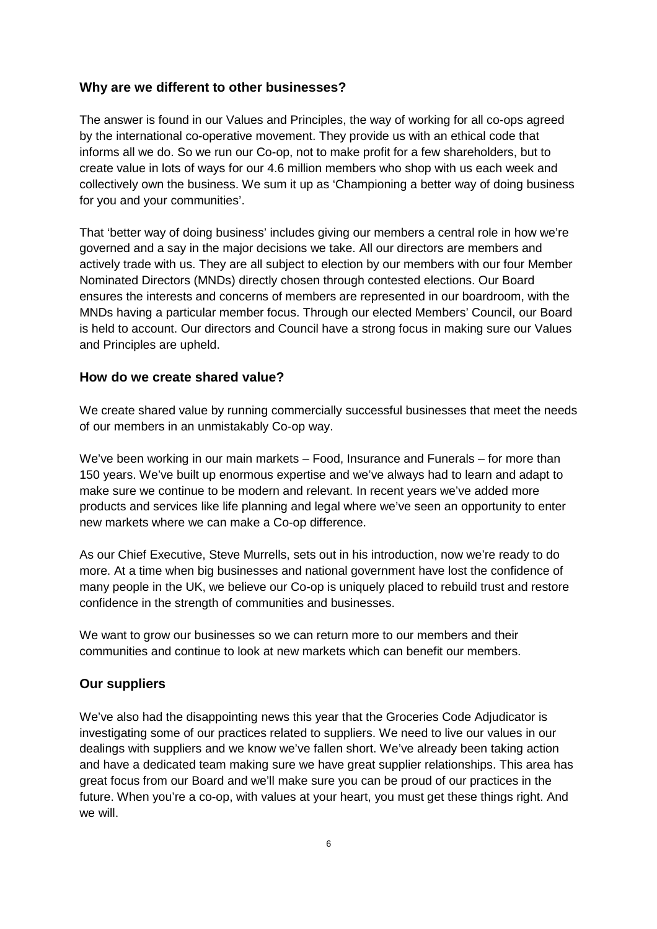## **Why are we different to other businesses?**

The answer is found in our Values and Principles, the way of working for all co-ops agreed by the international co-operative movement. They provide us with an ethical code that informs all we do. So we run our Co-op, not to make profit for a few shareholders, but to create value in lots of ways for our 4.6 million members who shop with us each week and collectively own the business. We sum it up as 'Championing a better way of doing business for you and your communities'.

That 'better way of doing business' includes giving our members a central role in how we're governed and a say in the major decisions we take. All our directors are members and actively trade with us. They are all subject to election by our members with our four Member Nominated Directors (MNDs) directly chosen through contested elections. Our Board ensures the interests and concerns of members are represented in our boardroom, with the MNDs having a particular member focus. Through our elected Members' Council, our Board is held to account. Our directors and Council have a strong focus in making sure our Values and Principles are upheld.

## **How do we create shared value?**

We create shared value by running commercially successful businesses that meet the needs of our members in an unmistakably Co-op way.

We've been working in our main markets – Food, Insurance and Funerals – for more than 150 years. We've built up enormous expertise and we've always had to learn and adapt to make sure we continue to be modern and relevant. In recent years we've added more products and services like life planning and legal where we've seen an opportunity to enter new markets where we can make a Co-op difference.

As our Chief Executive, Steve Murrells, sets out in his introduction, now we're ready to do more. At a time when big businesses and national government have lost the confidence of many people in the UK, we believe our Co-op is uniquely placed to rebuild trust and restore confidence in the strength of communities and businesses.

We want to grow our businesses so we can return more to our members and their communities and continue to look at new markets which can benefit our members.

## **Our suppliers**

We've also had the disappointing news this year that the Groceries Code Adjudicator is investigating some of our practices related to suppliers. We need to live our values in our dealings with suppliers and we know we've fallen short. We've already been taking action and have a dedicated team making sure we have great supplier relationships. This area has great focus from our Board and we'll make sure you can be proud of our practices in the future. When you're a co-op, with values at your heart, you must get these things right. And we will.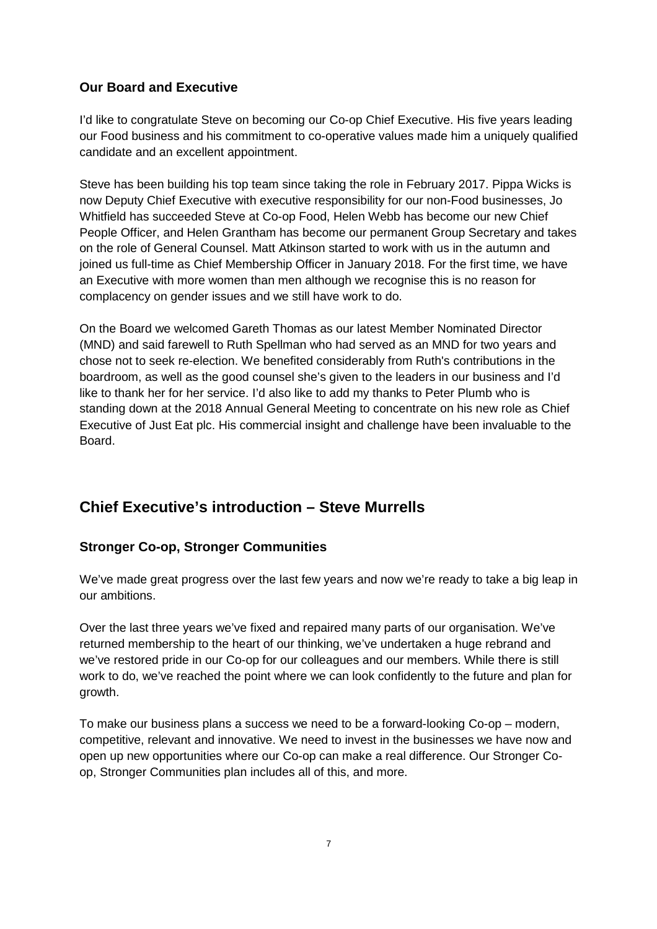## **Our Board and Executive**

I'd like to congratulate Steve on becoming our Co-op Chief Executive. His five years leading our Food business and his commitment to co-operative values made him a uniquely qualified candidate and an excellent appointment.

Steve has been building his top team since taking the role in February 2017. Pippa Wicks is now Deputy Chief Executive with executive responsibility for our non-Food businesses, Jo Whitfield has succeeded Steve at Co-op Food, Helen Webb has become our new Chief People Officer, and Helen Grantham has become our permanent Group Secretary and takes on the role of General Counsel. Matt Atkinson started to work with us in the autumn and joined us full-time as Chief Membership Officer in January 2018. For the first time, we have an Executive with more women than men although we recognise this is no reason for complacency on gender issues and we still have work to do.

On the Board we welcomed Gareth Thomas as our latest Member Nominated Director (MND) and said farewell to Ruth Spellman who had served as an MND for two years and chose not to seek re-election. We benefited considerably from Ruth's contributions in the boardroom, as well as the good counsel she's given to the leaders in our business and I'd like to thank her for her service. I'd also like to add my thanks to Peter Plumb who is standing down at the 2018 Annual General Meeting to concentrate on his new role as Chief Executive of Just Eat plc. His commercial insight and challenge have been invaluable to the Board.

# **Chief Executive's introduction – Steve Murrells**

## **Stronger Co-op, Stronger Communities**

We've made great progress over the last few years and now we're ready to take a big leap in our ambitions.

Over the last three years we've fixed and repaired many parts of our organisation. We've returned membership to the heart of our thinking, we've undertaken a huge rebrand and we've restored pride in our Co-op for our colleagues and our members. While there is still work to do, we've reached the point where we can look confidently to the future and plan for growth.

To make our business plans a success we need to be a forward-looking Co-op – modern, competitive, relevant and innovative. We need to invest in the businesses we have now and open up new opportunities where our Co-op can make a real difference. Our Stronger Coop, Stronger Communities plan includes all of this, and more.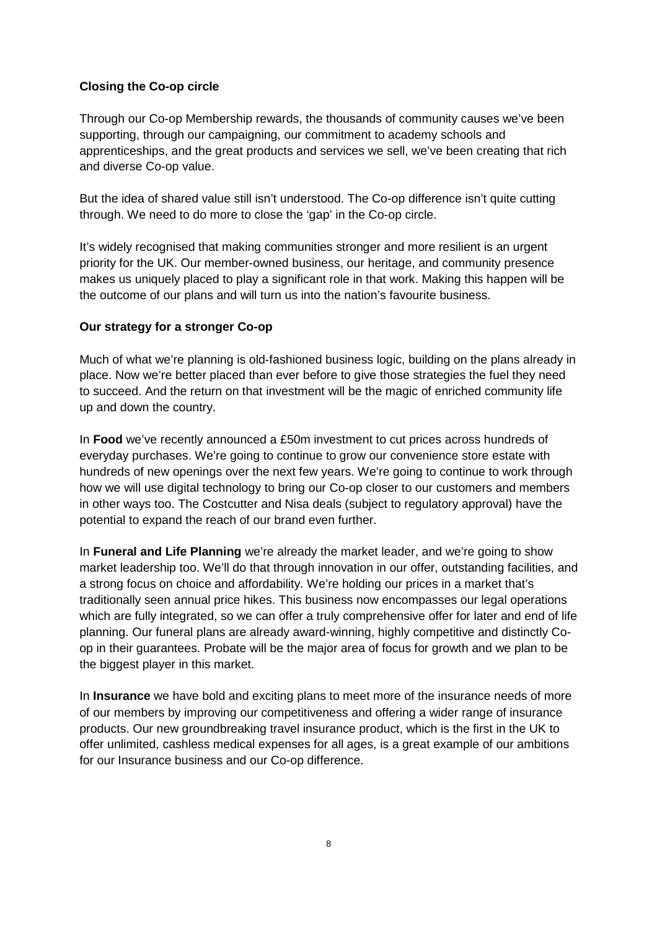## **Closing the Co-op circle**

Through our Co-op Membership rewards, the thousands of community causes we've been supporting, through our campaigning, our commitment to academy schools and apprenticeships, and the great products and services we sell, we've been creating that rich and diverse Co-op value.

But the idea of shared value still isn't understood. The Co-op difference isn't quite cutting through. We need to do more to close the 'gap' in the Co-op circle.

It's widely recognised that making communities stronger and more resilient is an urgent priority for the UK. Our member-owned business, our heritage, and community presence makes us uniquely placed to play a significant role in that work. Making this happen will be the outcome of our plans and will turn us into the nation's favourite business.

## **Our strategy for a stronger Co-op**

Much of what we're planning is old-fashioned business logic, building on the plans already in place. Now we're better placed than ever before to give those strategies the fuel they need to succeed. And the return on that investment will be the magic of enriched community life up and down the country.

In **Food** we've recently announced a £50m investment to cut prices across hundreds of everyday purchases. We're going to continue to grow our convenience store estate with hundreds of new openings over the next few years. We're going to continue to work through how we will use digital technology to bring our Co-op closer to our customers and members in other ways too. The Costcutter and Nisa deals (subject to regulatory approval) have the potential to expand the reach of our brand even further.

In **Funeral and Life Planning** we're already the market leader, and we're going to show market leadership too. We'll do that through innovation in our offer, outstanding facilities, and a strong focus on choice and affordability. We're holding our prices in a market that's traditionally seen annual price hikes. This business now encompasses our legal operations which are fully integrated, so we can offer a truly comprehensive offer for later and end of life planning. Our funeral plans are already award-winning, highly competitive and distinctly Coop in their guarantees. Probate will be the major area of focus for growth and we plan to be the biggest player in this market.

In **Insurance** we have bold and exciting plans to meet more of the insurance needs of more of our members by improving our competitiveness and offering a wider range of insurance products. Our new groundbreaking travel insurance product, which is the first in the UK to offer unlimited, cashless medical expenses for all ages, is a great example of our ambitions for our Insurance business and our Co-op difference.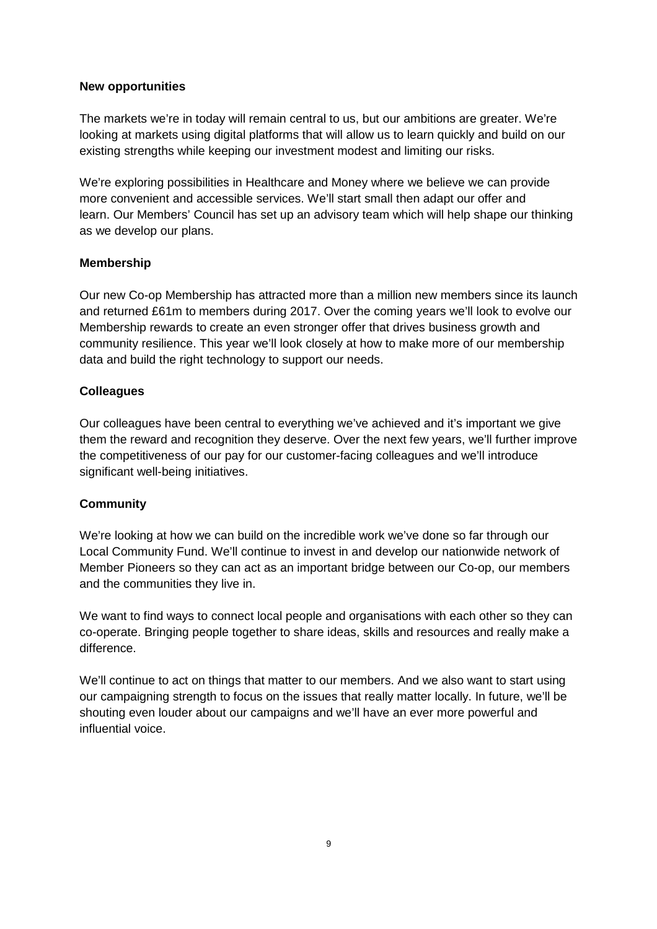## **New opportunities**

The markets we're in today will remain central to us, but our ambitions are greater. We're looking at markets using digital platforms that will allow us to learn quickly and build on our existing strengths while keeping our investment modest and limiting our risks.

We're exploring possibilities in Healthcare and Money where we believe we can provide more convenient and accessible services. We'll start small then adapt our offer and learn. Our Members' Council has set up an advisory team which will help shape our thinking as we develop our plans.

## **Membership**

Our new Co-op Membership has attracted more than a million new members since its launch and returned £61m to members during 2017. Over the coming years we'll look to evolve our Membership rewards to create an even stronger offer that drives business growth and community resilience. This year we'll look closely at how to make more of our membership data and build the right technology to support our needs.

## **Colleagues**

Our colleagues have been central to everything we've achieved and it's important we give them the reward and recognition they deserve. Over the next few years, we'll further improve the competitiveness of our pay for our customer-facing colleagues and we'll introduce significant well-being initiatives.

## **Community**

We're looking at how we can build on the incredible work we've done so far through our Local Community Fund. We'll continue to invest in and develop our nationwide network of Member Pioneers so they can act as an important bridge between our Co-op, our members and the communities they live in.

We want to find ways to connect local people and organisations with each other so they can co-operate. Bringing people together to share ideas, skills and resources and really make a difference.

We'll continue to act on things that matter to our members. And we also want to start using our campaigning strength to focus on the issues that really matter locally. In future, we'll be shouting even louder about our campaigns and we'll have an ever more powerful and influential voice.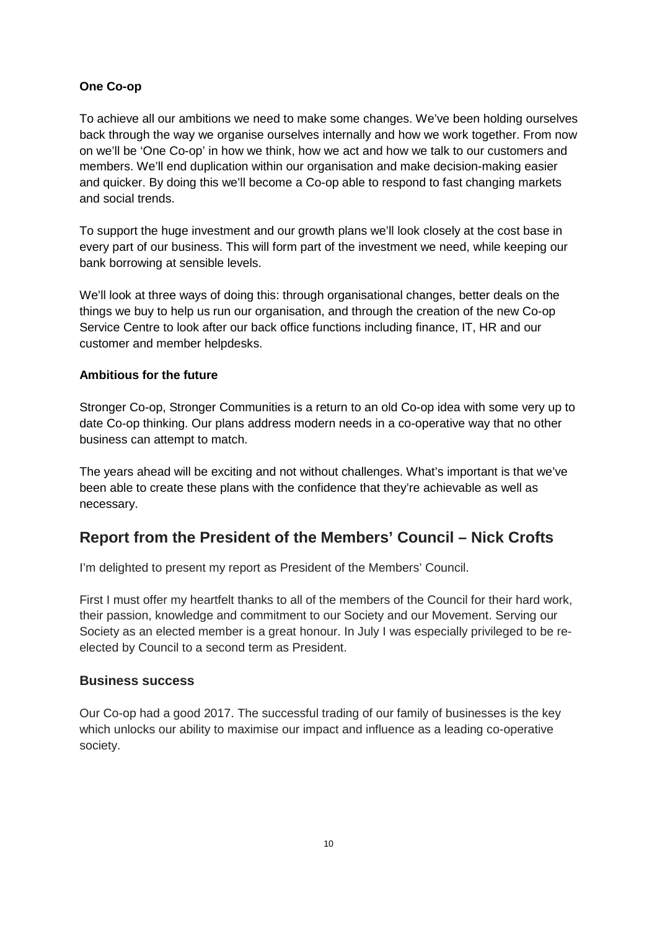## **One Co-op**

To achieve all our ambitions we need to make some changes. We've been holding ourselves back through the way we organise ourselves internally and how we work together. From now on we'll be 'One Co-op' in how we think, how we act and how we talk to our customers and members. We'll end duplication within our organisation and make decision-making easier and quicker. By doing this we'll become a Co-op able to respond to fast changing markets and social trends.

To support the huge investment and our growth plans we'll look closely at the cost base in every part of our business. This will form part of the investment we need, while keeping our bank borrowing at sensible levels.

We'll look at three ways of doing this: through organisational changes, better deals on the things we buy to help us run our organisation, and through the creation of the new Co-op Service Centre to look after our back office functions including finance, IT, HR and our customer and member helpdesks.

## **Ambitious for the future**

Stronger Co-op, Stronger Communities is a return to an old Co-op idea with some very up to date Co-op thinking. Our plans address modern needs in a co-operative way that no other business can attempt to match.

The years ahead will be exciting and not without challenges. What's important is that we've been able to create these plans with the confidence that they're achievable as well as necessary.

## **Report from the President of the Members' Council – Nick Crofts**

I'm delighted to present my report as President of the Members' Council.

First I must offer my heartfelt thanks to all of the members of the Council for their hard work, their passion, knowledge and commitment to our Society and our Movement. Serving our Society as an elected member is a great honour. In July I was especially privileged to be reelected by Council to a second term as President.

## **Business success**

Our Co-op had a good 2017. The successful trading of our family of businesses is the key which unlocks our ability to maximise our impact and influence as a leading co-operative society.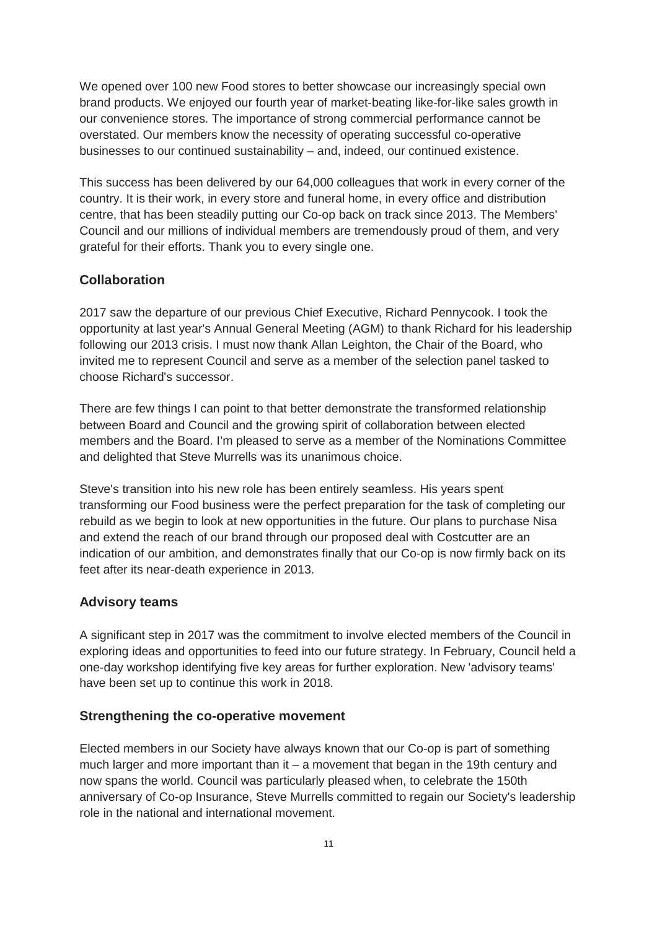We opened over 100 new Food stores to better showcase our increasingly special own brand products. We enjoyed our fourth year of market-beating like-for-like sales growth in our convenience stores. The importance of strong commercial performance cannot be overstated. Our members know the necessity of operating successful co-operative businesses to our continued sustainability – and, indeed, our continued existence.

This success has been delivered by our 64,000 colleagues that work in every corner of the country. It is their work, in every store and funeral home, in every office and distribution centre, that has been steadily putting our Co-op back on track since 2013. The Members' Council and our millions of individual members are tremendously proud of them, and very grateful for their efforts. Thank you to every single one.

## **Collaboration**

2017 saw the departure of our previous Chief Executive, Richard Pennycook. I took the opportunity at last year's Annual General Meeting (AGM) to thank Richard for his leadership following our 2013 crisis. I must now thank Allan Leighton, the Chair of the Board, who invited me to represent Council and serve as a member of the selection panel tasked to choose Richard's successor.

There are few things I can point to that better demonstrate the transformed relationship between Board and Council and the growing spirit of collaboration between elected members and the Board. I'm pleased to serve as a member of the Nominations Committee and delighted that Steve Murrells was its unanimous choice.

Steve's transition into his new role has been entirely seamless. His years spent transforming our Food business were the perfect preparation for the task of completing our rebuild as we begin to look at new opportunities in the future. Our plans to purchase Nisa and extend the reach of our brand through our proposed deal with Costcutter are an indication of our ambition, and demonstrates finally that our Co-op is now firmly back on its feet after its near-death experience in 2013.

## **Advisory teams**

A significant step in 2017 was the commitment to involve elected members of the Council in exploring ideas and opportunities to feed into our future strategy. In February, Council held a one-day workshop identifying five key areas for further exploration. New 'advisory teams' have been set up to continue this work in 2018.

## **Strengthening the co-operative movement**

Elected members in our Society have always known that our Co-op is part of something much larger and more important than it – a movement that began in the 19th century and now spans the world. Council was particularly pleased when, to celebrate the 150th anniversary of Co-op Insurance, Steve Murrells committed to regain our Society's leadership role in the national and international movement.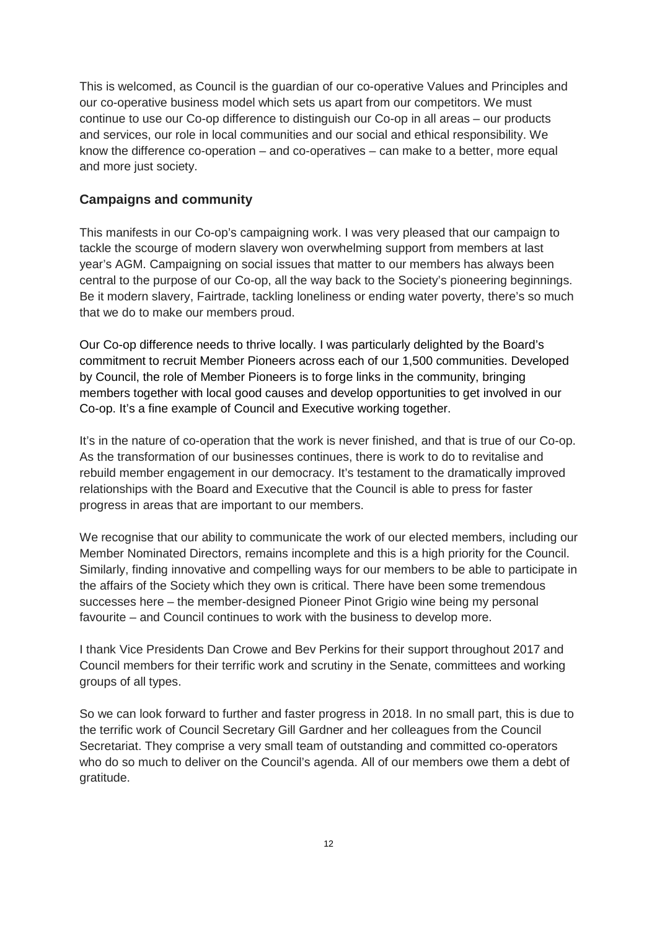This is welcomed, as Council is the guardian of our co-operative Values and Principles and our co-operative business model which sets us apart from our competitors. We must continue to use our Co-op difference to distinguish our Co-op in all areas – our products and services, our role in local communities and our social and ethical responsibility. We know the difference co-operation – and co-operatives – can make to a better, more equal and more just society.

## **Campaigns and community**

This manifests in our Co-op's campaigning work. I was very pleased that our campaign to tackle the scourge of modern slavery won overwhelming support from members at last year's AGM. Campaigning on social issues that matter to our members has always been central to the purpose of our Co-op, all the way back to the Society's pioneering beginnings. Be it modern slavery, Fairtrade, tackling loneliness or ending water poverty, there's so much that we do to make our members proud.

Our Co-op difference needs to thrive locally. I was particularly delighted by the Board's commitment to recruit Member Pioneers across each of our 1,500 communities. Developed by Council, the role of Member Pioneers is to forge links in the community, bringing members together with local good causes and develop opportunities to get involved in our Co-op. It's a fine example of Council and Executive working together.

It's in the nature of co-operation that the work is never finished, and that is true of our Co-op. As the transformation of our businesses continues, there is work to do to revitalise and rebuild member engagement in our democracy. It's testament to the dramatically improved relationships with the Board and Executive that the Council is able to press for faster progress in areas that are important to our members.

We recognise that our ability to communicate the work of our elected members, including our Member Nominated Directors, remains incomplete and this is a high priority for the Council. Similarly, finding innovative and compelling ways for our members to be able to participate in the affairs of the Society which they own is critical. There have been some tremendous successes here – the member-designed Pioneer Pinot Grigio wine being my personal favourite – and Council continues to work with the business to develop more.

I thank Vice Presidents Dan Crowe and Bev Perkins for their support throughout 2017 and Council members for their terrific work and scrutiny in the Senate, committees and working groups of all types.

So we can look forward to further and faster progress in 2018. In no small part, this is due to the terrific work of Council Secretary Gill Gardner and her colleagues from the Council Secretariat. They comprise a very small team of outstanding and committed co-operators who do so much to deliver on the Council's agenda. All of our members owe them a debt of gratitude.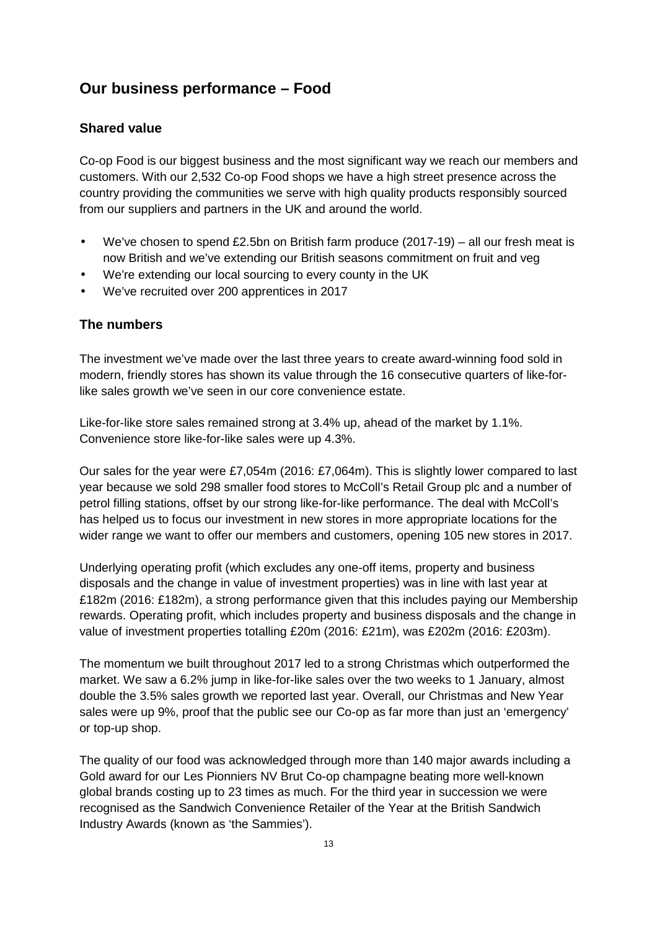# **Our business performance – Food**

## **Shared value**

Co-op Food is our biggest business and the most significant way we reach our members and customers. With our 2,532 Co-op Food shops we have a high street presence across the country providing the communities we serve with high quality products responsibly sourced from our suppliers and partners in the UK and around the world.

- We've chosen to spend £2.5bn on British farm produce  $(2017-19)$  all our fresh meat is now British and we've extending our British seasons commitment on fruit and veg
- We're extending our local sourcing to every county in the UK
- We've recruited over 200 apprentices in 2017

## **The numbers**

The investment we've made over the last three years to create award-winning food sold in modern, friendly stores has shown its value through the 16 consecutive quarters of like-forlike sales growth we've seen in our core convenience estate.

Like-for-like store sales remained strong at 3.4% up, ahead of the market by 1.1%. Convenience store like-for-like sales were up 4.3%.

Our sales for the year were £7,054m (2016: £7,064m). This is slightly lower compared to last year because we sold 298 smaller food stores to McColl's Retail Group plc and a number of petrol filling stations, offset by our strong like-for-like performance. The deal with McColl's has helped us to focus our investment in new stores in more appropriate locations for the wider range we want to offer our members and customers, opening 105 new stores in 2017.

Underlying operating profit (which excludes any one-off items, property and business disposals and the change in value of investment properties) was in line with last year at £182m (2016: £182m), a strong performance given that this includes paying our Membership rewards. Operating profit, which includes property and business disposals and the change in value of investment properties totalling £20m (2016: £21m), was £202m (2016: £203m).

The momentum we built throughout 2017 led to a strong Christmas which outperformed the market. We saw a 6.2% jump in like-for-like sales over the two weeks to 1 January, almost double the 3.5% sales growth we reported last year. Overall, our Christmas and New Year sales were up 9%, proof that the public see our Co-op as far more than just an 'emergency' or top-up shop.

The quality of our food was acknowledged through more than 140 major awards including a Gold award for our Les Pionniers NV Brut Co-op champagne beating more well-known global brands costing up to 23 times as much. For the third year in succession we were recognised as the Sandwich Convenience Retailer of the Year at the British Sandwich Industry Awards (known as 'the Sammies').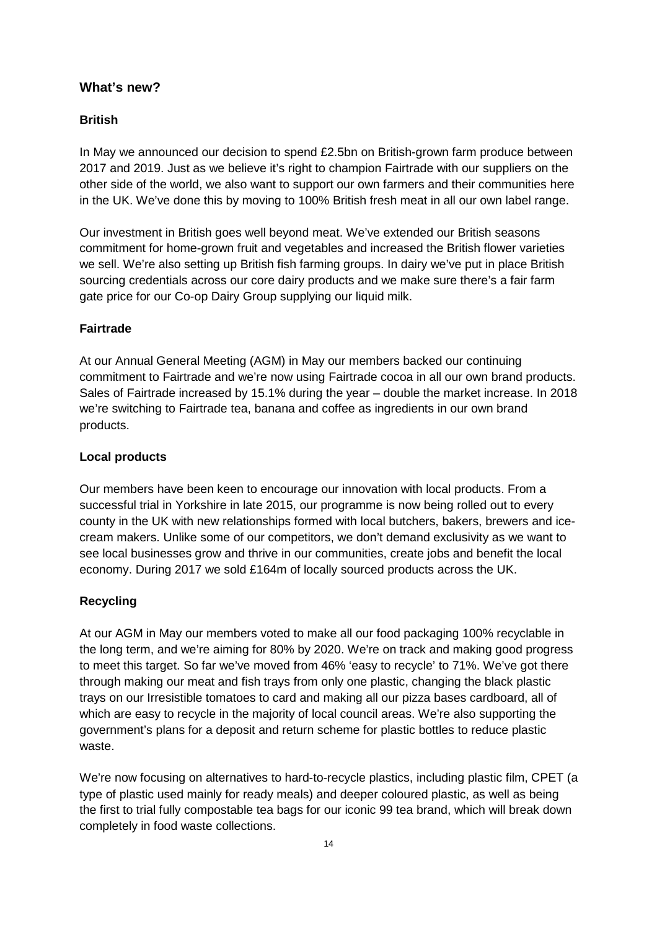## **What's new?**

## **British**

In May we announced our decision to spend £2.5bn on British-grown farm produce between 2017 and 2019. Just as we believe it's right to champion Fairtrade with our suppliers on the other side of the world, we also want to support our own farmers and their communities here in the UK. We've done this by moving to 100% British fresh meat in all our own label range.

Our investment in British goes well beyond meat. We've extended our British seasons commitment for home-grown fruit and vegetables and increased the British flower varieties we sell. We're also setting up British fish farming groups. In dairy we've put in place British sourcing credentials across our core dairy products and we make sure there's a fair farm gate price for our Co-op Dairy Group supplying our liquid milk.

### **Fairtrade**

At our Annual General Meeting (AGM) in May our members backed our continuing commitment to Fairtrade and we're now using Fairtrade cocoa in all our own brand products. Sales of Fairtrade increased by 15.1% during the year – double the market increase. In 2018 we're switching to Fairtrade tea, banana and coffee as ingredients in our own brand products.

## **Local products**

Our members have been keen to encourage our innovation with local products. From a successful trial in Yorkshire in late 2015, our programme is now being rolled out to every county in the UK with new relationships formed with local butchers, bakers, brewers and icecream makers. Unlike some of our competitors, we don't demand exclusivity as we want to see local businesses grow and thrive in our communities, create jobs and benefit the local economy. During 2017 we sold £164m of locally sourced products across the UK.

## **Recycling**

At our AGM in May our members voted to make all our food packaging 100% recyclable in the long term, and we're aiming for 80% by 2020. We're on track and making good progress to meet this target. So far we've moved from 46% 'easy to recycle' to 71%. We've got there through making our meat and fish trays from only one plastic, changing the black plastic trays on our Irresistible tomatoes to card and making all our pizza bases cardboard, all of which are easy to recycle in the majority of local council areas. We're also supporting the government's plans for a deposit and return scheme for plastic bottles to reduce plastic waste.

We're now focusing on alternatives to hard-to-recycle plastics, including plastic film, CPET (a type of plastic used mainly for ready meals) and deeper coloured plastic, as well as being the first to trial fully compostable tea bags for our iconic 99 tea brand, which will break down completely in food waste collections.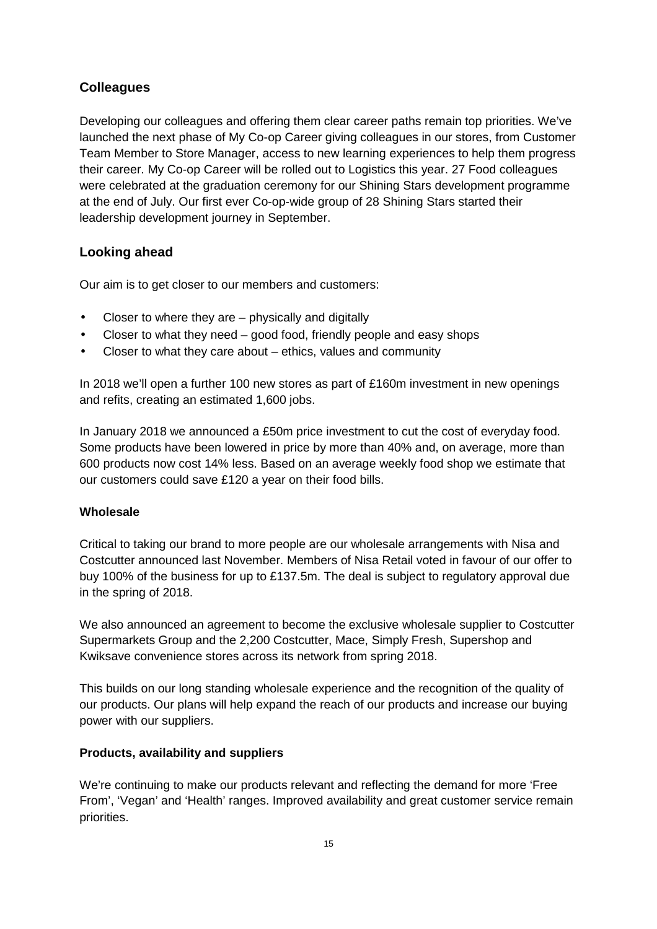## **Colleagues**

Developing our colleagues and offering them clear career paths remain top priorities. We've launched the next phase of My Co-op Career giving colleagues in our stores, from Customer Team Member to Store Manager, access to new learning experiences to help them progress their career. My Co-op Career will be rolled out to Logistics this year. 27 Food colleagues were celebrated at the graduation ceremony for our Shining Stars development programme at the end of July. Our first ever Co-op-wide group of 28 Shining Stars started their leadership development journey in September.

## **Looking ahead**

Our aim is to get closer to our members and customers:

- Closer to where they are physically and digitally
- Closer to what they need good food, friendly people and easy shops
- Closer to what they care about ethics, values and community

In 2018 we'll open a further 100 new stores as part of £160m investment in new openings and refits, creating an estimated 1,600 jobs.

In January 2018 we announced a £50m price investment to cut the cost of everyday food. Some products have been lowered in price by more than 40% and, on average, more than 600 products now cost 14% less. Based on an average weekly food shop we estimate that our customers could save £120 a year on their food bills.

## **Wholesale**

Critical to taking our brand to more people are our wholesale arrangements with Nisa and Costcutter announced last November. Members of Nisa Retail voted in favour of our offer to buy 100% of the business for up to £137.5m. The deal is subject to regulatory approval due in the spring of 2018.

We also announced an agreement to become the exclusive wholesale supplier to Costcutter Supermarkets Group and the 2,200 Costcutter, Mace, Simply Fresh, Supershop and Kwiksave convenience stores across its network from spring 2018.

This builds on our long standing wholesale experience and the recognition of the quality of our products. Our plans will help expand the reach of our products and increase our buying power with our suppliers.

## **Products, availability and suppliers**

We're continuing to make our products relevant and reflecting the demand for more 'Free From', 'Vegan' and 'Health' ranges. Improved availability and great customer service remain priorities.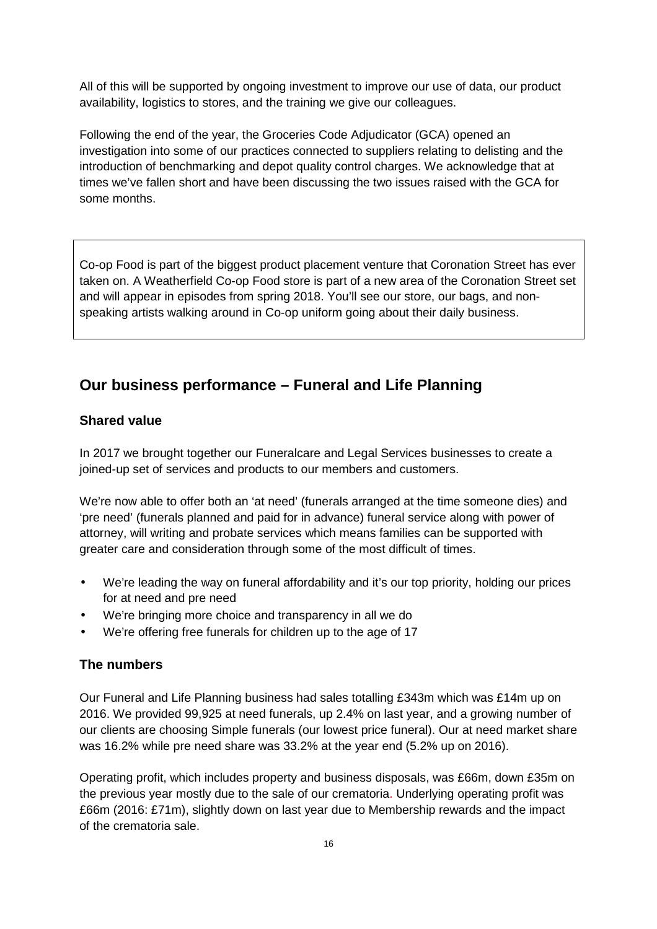All of this will be supported by ongoing investment to improve our use of data, our product availability, logistics to stores, and the training we give our colleagues.

Following the end of the year, the Groceries Code Adjudicator (GCA) opened an investigation into some of our practices connected to suppliers relating to delisting and the introduction of benchmarking and depot quality control charges. We acknowledge that at times we've fallen short and have been discussing the two issues raised with the GCA for some months.

Co-op Food is part of the biggest product placement venture that Coronation Street has ever taken on. A Weatherfield Co-op Food store is part of a new area of the Coronation Street set and will appear in episodes from spring 2018. You'll see our store, our bags, and nonspeaking artists walking around in Co-op uniform going about their daily business.

# **Our business performance – Funeral and Life Planning**

## **Shared value**

In 2017 we brought together our Funeralcare and Legal Services businesses to create a joined-up set of services and products to our members and customers.

We're now able to offer both an 'at need' (funerals arranged at the time someone dies) and 'pre need' (funerals planned and paid for in advance) funeral service along with power of attorney, will writing and probate services which means families can be supported with greater care and consideration through some of the most difficult of times.

- We're leading the way on funeral affordability and it's our top priority, holding our prices for at need and pre need
- We're bringing more choice and transparency in all we do
- We're offering free funerals for children up to the age of 17

## **The numbers**

Our Funeral and Life Planning business had sales totalling £343m which was £14m up on 2016. We provided 99,925 at need funerals, up 2.4% on last year, and a growing number of our clients are choosing Simple funerals (our lowest price funeral). Our at need market share was 16.2% while pre need share was 33.2% at the year end (5.2% up on 2016).

Operating profit, which includes property and business disposals, was £66m, down £35m on the previous year mostly due to the sale of our crematoria. Underlying operating profit was £66m (2016: £71m), slightly down on last year due to Membership rewards and the impact of the crematoria sale.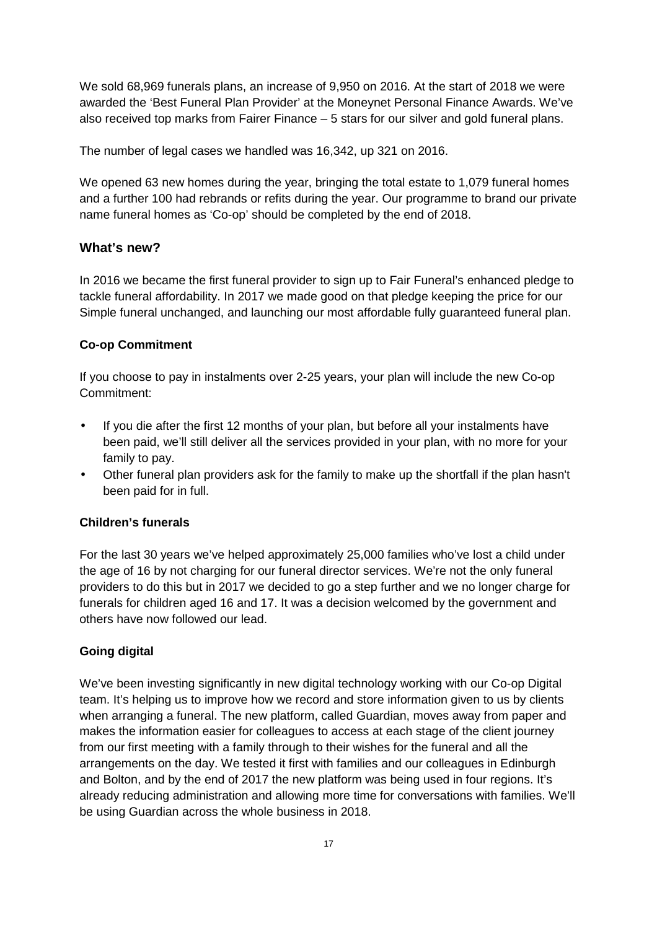We sold 68,969 funerals plans, an increase of 9,950 on 2016. At the start of 2018 we were awarded the 'Best Funeral Plan Provider' at the Moneynet Personal Finance Awards. We've also received top marks from Fairer Finance – 5 stars for our silver and gold funeral plans.

The number of legal cases we handled was 16,342, up 321 on 2016.

We opened 63 new homes during the year, bringing the total estate to 1,079 funeral homes and a further 100 had rebrands or refits during the year. Our programme to brand our private name funeral homes as 'Co-op' should be completed by the end of 2018.

## **What's new?**

In 2016 we became the first funeral provider to sign up to Fair Funeral's enhanced pledge to tackle funeral affordability. In 2017 we made good on that pledge keeping the price for our Simple funeral unchanged, and launching our most affordable fully guaranteed funeral plan.

### **Co-op Commitment**

If you choose to pay in instalments over 2-25 years, your plan will include the new Co-op Commitment:

- If you die after the first 12 months of your plan, but before all your instalments have been paid, we'll still deliver all the services provided in your plan, with no more for your family to pay.
- Other funeral plan providers ask for the family to make up the shortfall if the plan hasn't been paid for in full.

### **Children's funerals**

For the last 30 years we've helped approximately 25,000 families who've lost a child under the age of 16 by not charging for our funeral director services. We're not the only funeral providers to do this but in 2017 we decided to go a step further and we no longer charge for funerals for children aged 16 and 17. It was a decision welcomed by the government and others have now followed our lead.

### **Going digital**

We've been investing significantly in new digital technology working with our Co-op Digital team. It's helping us to improve how we record and store information given to us by clients when arranging a funeral. The new platform, called Guardian, moves away from paper and makes the information easier for colleagues to access at each stage of the client journey from our first meeting with a family through to their wishes for the funeral and all the arrangements on the day. We tested it first with families and our colleagues in Edinburgh and Bolton, and by the end of 2017 the new platform was being used in four regions. It's already reducing administration and allowing more time for conversations with families. We'll be using Guardian across the whole business in 2018.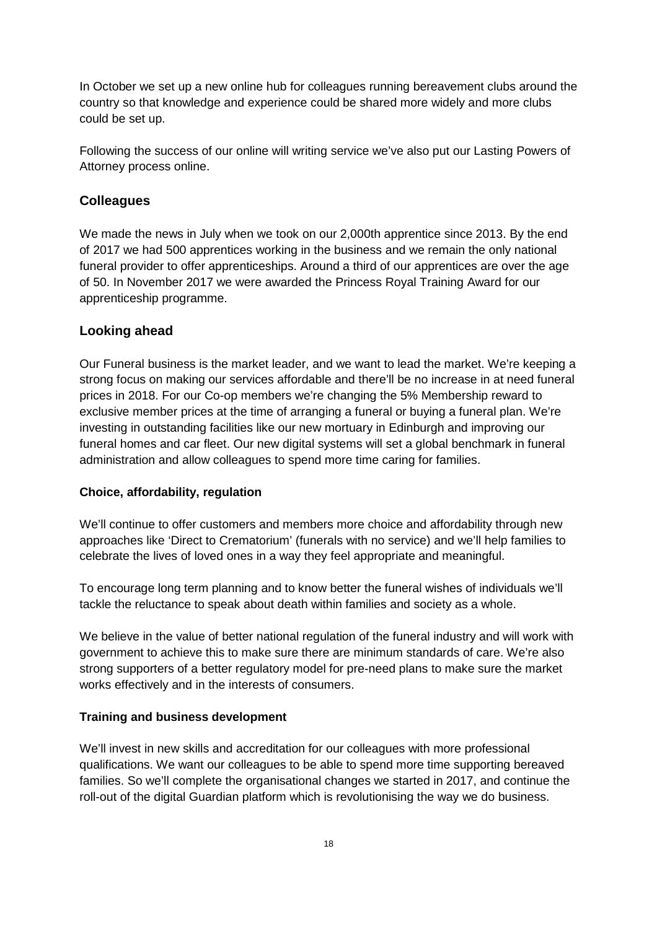In October we set up a new online hub for colleagues running bereavement clubs around the country so that knowledge and experience could be shared more widely and more clubs could be set up.

Following the success of our online will writing service we've also put our Lasting Powers of Attorney process online.

## **Colleagues**

We made the news in July when we took on our 2,000th apprentice since 2013. By the end of 2017 we had 500 apprentices working in the business and we remain the only national funeral provider to offer apprenticeships. Around a third of our apprentices are over the age of 50. In November 2017 we were awarded the Princess Royal Training Award for our apprenticeship programme.

### **Looking ahead**

Our Funeral business is the market leader, and we want to lead the market. We're keeping a strong focus on making our services affordable and there'll be no increase in at need funeral prices in 2018. For our Co-op members we're changing the 5% Membership reward to exclusive member prices at the time of arranging a funeral or buying a funeral plan. We're investing in outstanding facilities like our new mortuary in Edinburgh and improving our funeral homes and car fleet. Our new digital systems will set a global benchmark in funeral administration and allow colleagues to spend more time caring for families.

### **Choice, affordability, regulation**

We'll continue to offer customers and members more choice and affordability through new approaches like 'Direct to Crematorium' (funerals with no service) and we'll help families to celebrate the lives of loved ones in a way they feel appropriate and meaningful.

To encourage long term planning and to know better the funeral wishes of individuals we'll tackle the reluctance to speak about death within families and society as a whole.

We believe in the value of better national regulation of the funeral industry and will work with government to achieve this to make sure there are minimum standards of care. We're also strong supporters of a better regulatory model for pre-need plans to make sure the market works effectively and in the interests of consumers.

### **Training and business development**

We'll invest in new skills and accreditation for our colleagues with more professional qualifications. We want our colleagues to be able to spend more time supporting bereaved families. So we'll complete the organisational changes we started in 2017, and continue the roll-out of the digital Guardian platform which is revolutionising the way we do business.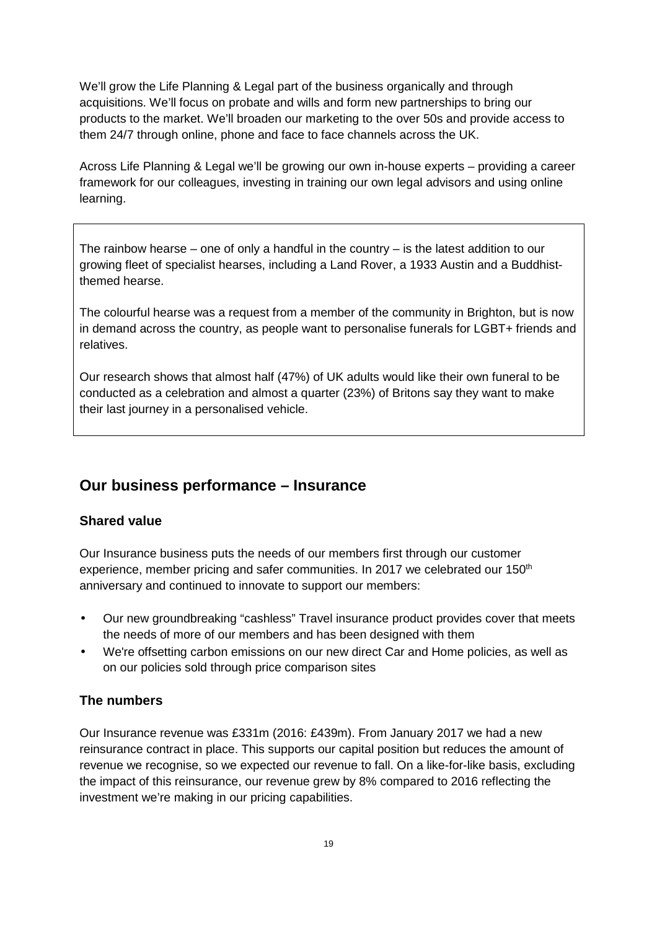We'll grow the Life Planning & Legal part of the business organically and through acquisitions. We'll focus on probate and wills and form new partnerships to bring our products to the market. We'll broaden our marketing to the over 50s and provide access to them 24/7 through online, phone and face to face channels across the UK.

Across Life Planning & Legal we'll be growing our own in-house experts – providing a career framework for our colleagues, investing in training our own legal advisors and using online learning.

The rainbow hearse – one of only a handful in the country – is the latest addition to our growing fleet of specialist hearses, including a Land Rover, a 1933 Austin and a Buddhistthemed hearse.

The colourful hearse was a request from a member of the community in Brighton, but is now in demand across the country, as people want to personalise funerals for LGBT+ friends and relatives.

Our research shows that almost half (47%) of UK adults would like their own funeral to be conducted as a celebration and almost a quarter (23%) of Britons say they want to make their last journey in a personalised vehicle.

## **Our business performance – Insurance**

## **Shared value**

Our Insurance business puts the needs of our members first through our customer experience, member pricing and safer communities. In 2017 we celebrated our 150<sup>th</sup> anniversary and continued to innovate to support our members:

- Our new groundbreaking "cashless" Travel insurance product provides cover that meets the needs of more of our members and has been designed with them
- We're offsetting carbon emissions on our new direct Car and Home policies, as well as on our policies sold through price comparison sites

## **The numbers**

Our Insurance revenue was £331m (2016: £439m). From January 2017 we had a new reinsurance contract in place. This supports our capital position but reduces the amount of revenue we recognise, so we expected our revenue to fall. On a like-for-like basis, excluding the impact of this reinsurance, our revenue grew by 8% compared to 2016 reflecting the investment we're making in our pricing capabilities.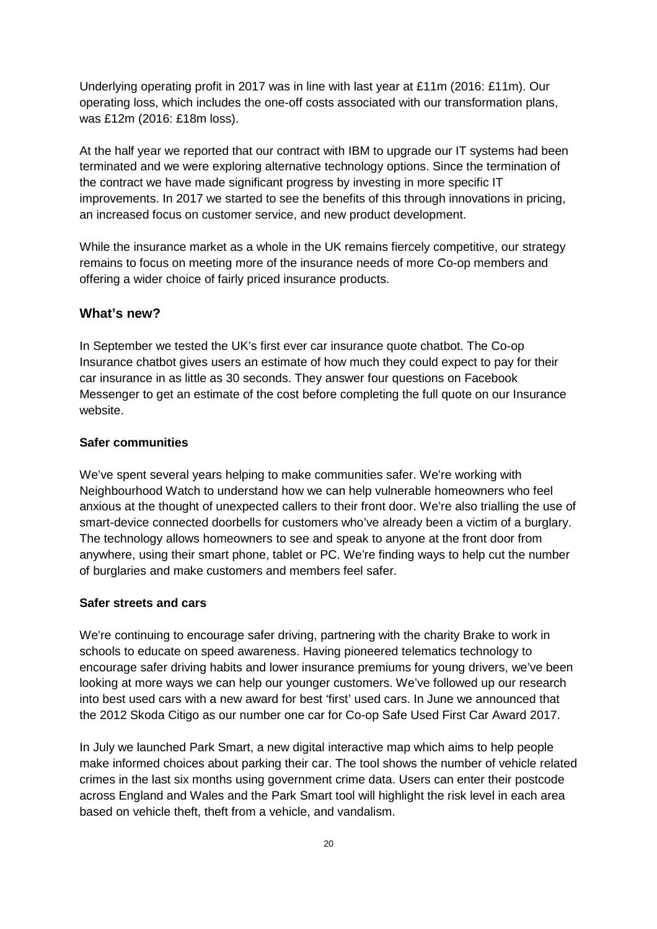Underlying operating profit in 2017 was in line with last year at £11m (2016: £11m). Our operating loss, which includes the one-off costs associated with our transformation plans, was £12m (2016: £18m loss).

At the half year we reported that our contract with IBM to upgrade our IT systems had been terminated and we were exploring alternative technology options. Since the termination of the contract we have made significant progress by investing in more specific IT improvements. In 2017 we started to see the benefits of this through innovations in pricing, an increased focus on customer service, and new product development.

While the insurance market as a whole in the UK remains fiercely competitive, our strategy remains to focus on meeting more of the insurance needs of more Co-op members and offering a wider choice of fairly priced insurance products.

## **What's new?**

In September we tested the UK's first ever car insurance quote chatbot. The Co-op Insurance chatbot gives users an estimate of how much they could expect to pay for their car insurance in as little as 30 seconds. They answer four questions on Facebook Messenger to get an estimate of the cost before completing the full quote on our Insurance website.

## **Safer communities**

We've spent several years helping to make communities safer. We're working with Neighbourhood Watch to understand how we can help vulnerable homeowners who feel anxious at the thought of unexpected callers to their front door. We're also trialling the use of smart-device connected doorbells for customers who've already been a victim of a burglary. The technology allows homeowners to see and speak to anyone at the front door from anywhere, using their smart phone, tablet or PC. We're finding ways to help cut the number of burglaries and make customers and members feel safer.

### **Safer streets and cars**

We're continuing to encourage safer driving, partnering with the charity Brake to work in schools to educate on speed awareness. Having pioneered telematics technology to encourage safer driving habits and lower insurance premiums for young drivers, we've been looking at more ways we can help our younger customers. We've followed up our research into best used cars with a new award for best 'first' used cars. In June we announced that the 2012 Skoda Citigo as our number one car for Co-op Safe Used First Car Award 2017.

In July we launched Park Smart, a new digital interactive map which aims to help people make informed choices about parking their car. The tool shows the number of vehicle related crimes in the last six months using government crime data. Users can enter their postcode across England and Wales and the Park Smart tool will highlight the risk level in each area based on vehicle theft, theft from a vehicle, and vandalism.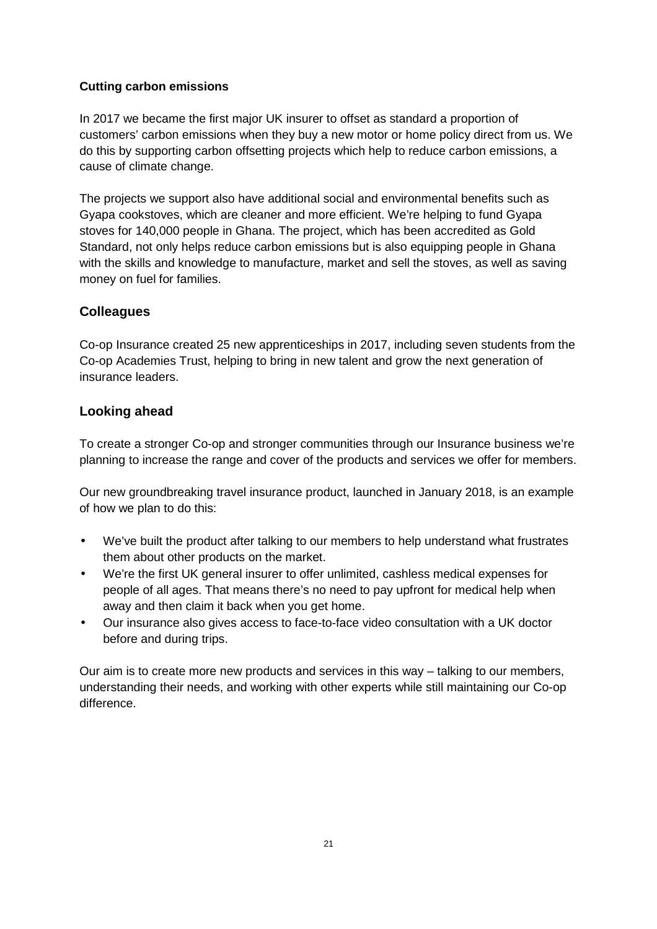## **Cutting carbon emissions**

In 2017 we became the first major UK insurer to offset as standard a proportion of customers' carbon emissions when they buy a new motor or home policy direct from us. We do this by supporting carbon offsetting projects which help to reduce carbon emissions, a cause of climate change.

The projects we support also have additional social and environmental benefits such as Gyapa cookstoves, which are cleaner and more efficient. We're helping to fund Gyapa stoves for 140,000 people in Ghana. The project, which has been accredited as Gold Standard, not only helps reduce carbon emissions but is also equipping people in Ghana with the skills and knowledge to manufacture, market and sell the stoves, as well as saving money on fuel for families.

## **Colleagues**

Co-op Insurance created 25 new apprenticeships in 2017, including seven students from the Co-op Academies Trust, helping to bring in new talent and grow the next generation of insurance leaders.

## **Looking ahead**

To create a stronger Co-op and stronger communities through our Insurance business we're planning to increase the range and cover of the products and services we offer for members.

Our new groundbreaking travel insurance product, launched in January 2018, is an example of how we plan to do this:

- We've built the product after talking to our members to help understand what frustrates them about other products on the market.
- We're the first UK general insurer to offer unlimited, cashless medical expenses for people of all ages. That means there's no need to pay upfront for medical help when away and then claim it back when you get home.
- Our insurance also gives access to face-to-face video consultation with a UK doctor before and during trips.

Our aim is to create more new products and services in this way – talking to our members, understanding their needs, and working with other experts while still maintaining our Co-op difference.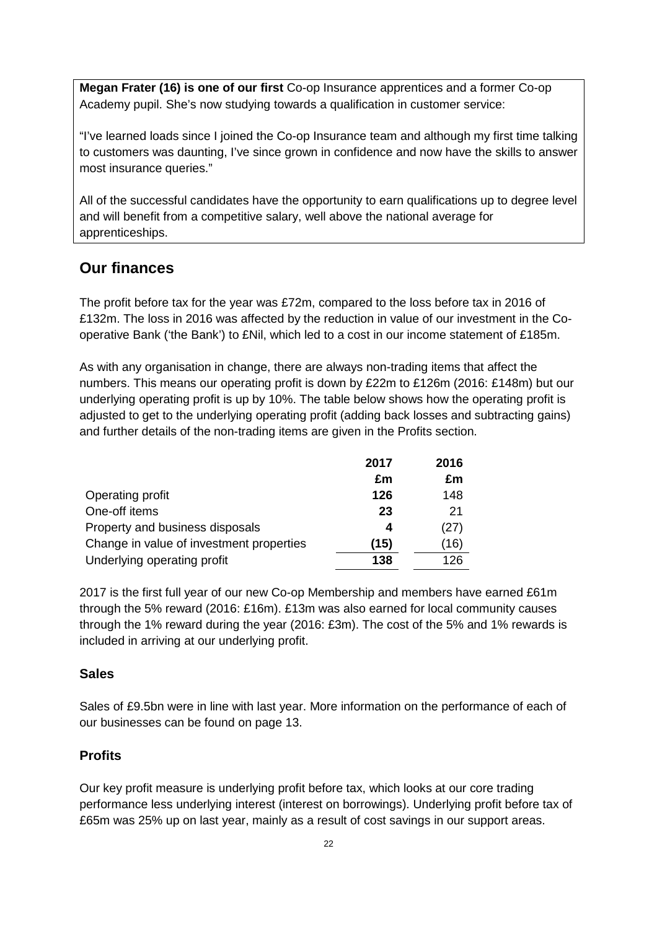**Megan Frater (16) is one of our first** Co-op Insurance apprentices and a former Co-op Academy pupil. She's now studying towards a qualification in customer service:

"I've learned loads since I joined the Co-op Insurance team and although my first time talking to customers was daunting, I've since grown in confidence and now have the skills to answer most insurance queries."

All of the successful candidates have the opportunity to earn qualifications up to degree level and will benefit from a competitive salary, well above the national average for apprenticeships.

## **Our finances**

The profit before tax for the year was £72m, compared to the loss before tax in 2016 of £132m. The loss in 2016 was affected by the reduction in value of our investment in the Cooperative Bank ('the Bank') to £Nil, which led to a cost in our income statement of £185m.

As with any organisation in change, there are always non-trading items that affect the numbers. This means our operating profit is down by £22m to £126m (2016: £148m) but our underlying operating profit is up by 10%. The table below shows how the operating profit is adjusted to get to the underlying operating profit (adding back losses and subtracting gains) and further details of the non-trading items are given in the Profits section.

|                                          | 2017 | 2016 |
|------------------------------------------|------|------|
|                                          | £m   | £m   |
| Operating profit                         | 126  | 148  |
| One-off items                            | 23   | 21   |
| Property and business disposals          | 4    | (27) |
| Change in value of investment properties | (15) | (16) |
| Underlying operating profit              | 138  | 126  |

2017 is the first full year of our new Co-op Membership and members have earned £61m through the 5% reward (2016: £16m). £13m was also earned for local community causes through the 1% reward during the year (2016: £3m). The cost of the 5% and 1% rewards is included in arriving at our underlying profit.

## **Sales**

Sales of £9.5bn were in line with last year. More information on the performance of each of our businesses can be found on page 13.

## **Profits**

Our key profit measure is underlying profit before tax, which looks at our core trading performance less underlying interest (interest on borrowings). Underlying profit before tax of £65m was 25% up on last year, mainly as a result of cost savings in our support areas.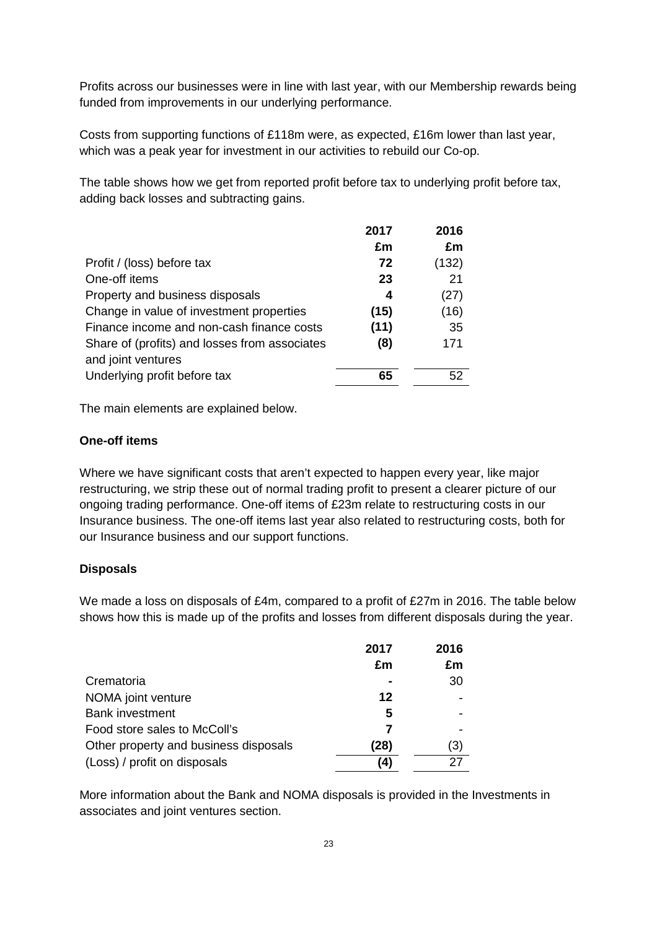Profits across our businesses were in line with last year, with our Membership rewards being funded from improvements in our underlying performance.

Costs from supporting functions of £118m were, as expected, £16m lower than last year, which was a peak year for investment in our activities to rebuild our Co-op.

The table shows how we get from reported profit before tax to underlying profit before tax, adding back losses and subtracting gains.

|                                               | 2017 | 2016  |
|-----------------------------------------------|------|-------|
|                                               | £m   | £m    |
| Profit / (loss) before tax                    | 72   | (132) |
| One-off items                                 | 23   | 21    |
| Property and business disposals               | 4    | (27)  |
| Change in value of investment properties      | (15) | (16)  |
| Finance income and non-cash finance costs     | (11) | 35    |
| Share of (profits) and losses from associates | (8)  | 171   |
| and joint ventures                            |      |       |
| Underlying profit before tax                  | 65   | 52    |

The main elements are explained below.

## **One-off items**

Where we have significant costs that aren't expected to happen every year, like major restructuring, we strip these out of normal trading profit to present a clearer picture of our ongoing trading performance. One-off items of £23m relate to restructuring costs in our Insurance business. The one-off items last year also related to restructuring costs, both for our Insurance business and our support functions.

## **Disposals**

We made a loss on disposals of £4m, compared to a profit of £27m in 2016. The table below shows how this is made up of the profits and losses from different disposals during the year.

|                                       | 2017 | 2016 |
|---------------------------------------|------|------|
|                                       | £m   | £m   |
| Crematoria                            |      | 30   |
| NOMA joint venture                    | 12   |      |
| <b>Bank investment</b>                | 5    |      |
| Food store sales to McColl's          | 7    |      |
| Other property and business disposals | (28) | 3)   |
| (Loss) / profit on disposals          | (4)  |      |

More information about the Bank and NOMA disposals is provided in the Investments in associates and joint ventures section.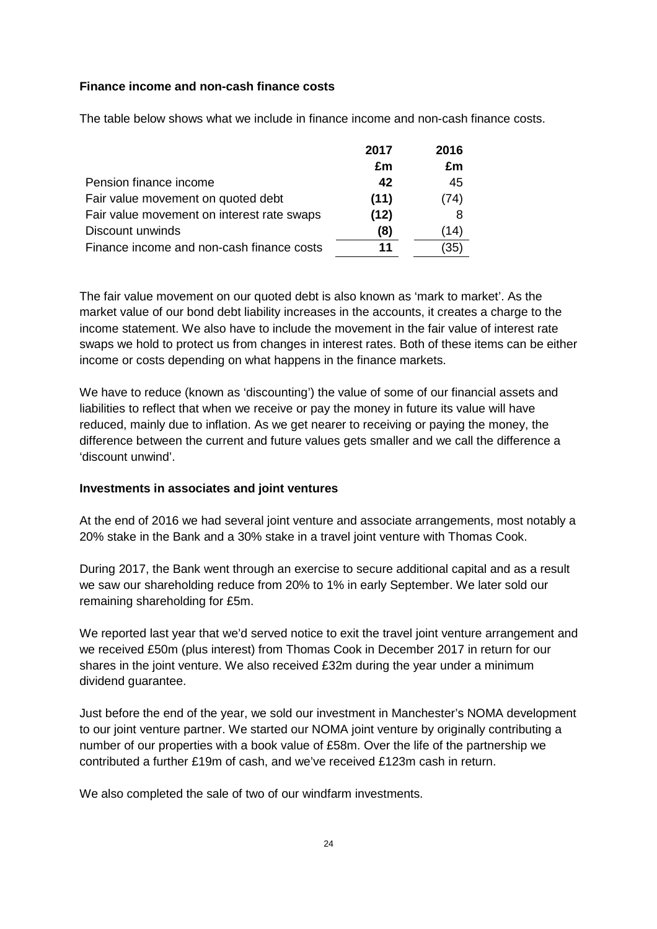## **Finance income and non-cash finance costs**

The table below shows what we include in finance income and non-cash finance costs.

|                                            | 2017 | 2016 |
|--------------------------------------------|------|------|
|                                            | £m   | £m   |
| Pension finance income                     | 42   | 45   |
| Fair value movement on quoted debt         | (11) | (74) |
| Fair value movement on interest rate swaps | (12) | 8    |
| Discount unwinds                           | (8)  | (14) |
| Finance income and non-cash finance costs  | 11   | 35   |

The fair value movement on our quoted debt is also known as 'mark to market'. As the market value of our bond debt liability increases in the accounts, it creates a charge to the income statement. We also have to include the movement in the fair value of interest rate swaps we hold to protect us from changes in interest rates. Both of these items can be either income or costs depending on what happens in the finance markets.

We have to reduce (known as 'discounting') the value of some of our financial assets and liabilities to reflect that when we receive or pay the money in future its value will have reduced, mainly due to inflation. As we get nearer to receiving or paying the money, the difference between the current and future values gets smaller and we call the difference a 'discount unwind'.

### **Investments in associates and joint ventures**

At the end of 2016 we had several joint venture and associate arrangements, most notably a 20% stake in the Bank and a 30% stake in a travel joint venture with Thomas Cook.

During 2017, the Bank went through an exercise to secure additional capital and as a result we saw our shareholding reduce from 20% to 1% in early September. We later sold our remaining shareholding for £5m.

We reported last year that we'd served notice to exit the travel joint venture arrangement and we received £50m (plus interest) from Thomas Cook in December 2017 in return for our shares in the joint venture. We also received £32m during the year under a minimum dividend guarantee.

Just before the end of the year, we sold our investment in Manchester's NOMA development to our joint venture partner. We started our NOMA joint venture by originally contributing a number of our properties with a book value of £58m. Over the life of the partnership we contributed a further £19m of cash, and we've received £123m cash in return.

We also completed the sale of two of our windfarm investments.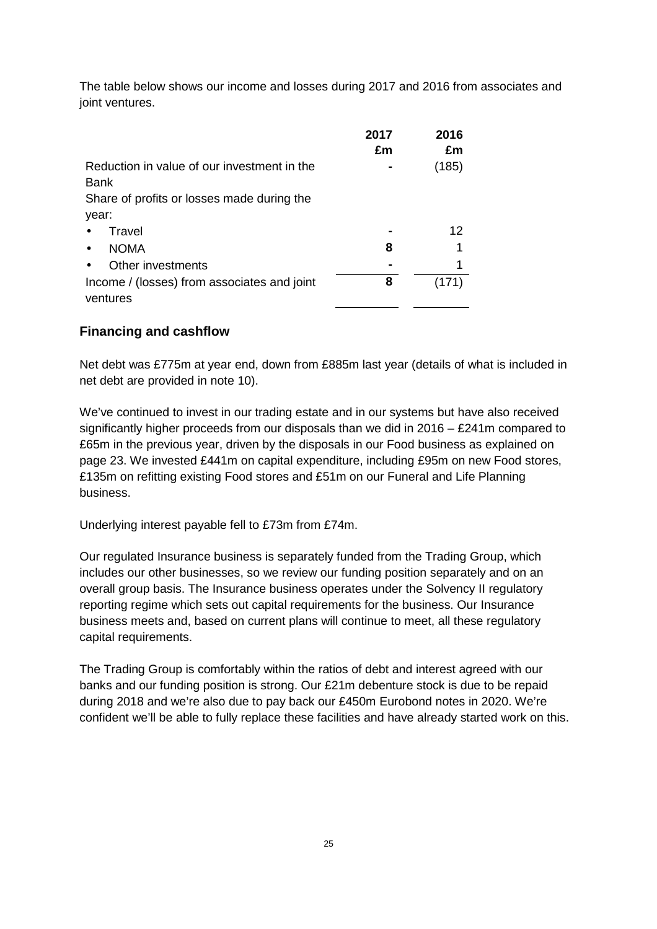The table below shows our income and losses during 2017 and 2016 from associates and joint ventures.

|                                                         | 2017<br>£m | 2016<br>£m |
|---------------------------------------------------------|------------|------------|
| Reduction in value of our investment in the<br>Bank     |            | (185)      |
| Share of profits or losses made during the              |            |            |
| year:                                                   |            |            |
| Travel                                                  |            | 12         |
| <b>NOMA</b>                                             | 8          | 1          |
| Other investments                                       |            | 1          |
| Income / (losses) from associates and joint<br>ventures | 8          |            |

## **Financing and cashflow**

Net debt was £775m at year end, down from £885m last year (details of what is included in net debt are provided in note 10).

We've continued to invest in our trading estate and in our systems but have also received significantly higher proceeds from our disposals than we did in 2016 – £241m compared to £65m in the previous year, driven by the disposals in our Food business as explained on page 23. We invested £441m on capital expenditure, including £95m on new Food stores, £135m on refitting existing Food stores and £51m on our Funeral and Life Planning business.

Underlying interest payable fell to £73m from £74m.

Our regulated Insurance business is separately funded from the Trading Group, which includes our other businesses, so we review our funding position separately and on an overall group basis. The Insurance business operates under the Solvency II regulatory reporting regime which sets out capital requirements for the business. Our Insurance business meets and, based on current plans will continue to meet, all these regulatory capital requirements.

The Trading Group is comfortably within the ratios of debt and interest agreed with our banks and our funding position is strong. Our £21m debenture stock is due to be repaid during 2018 and we're also due to pay back our £450m Eurobond notes in 2020. We're confident we'll be able to fully replace these facilities and have already started work on this.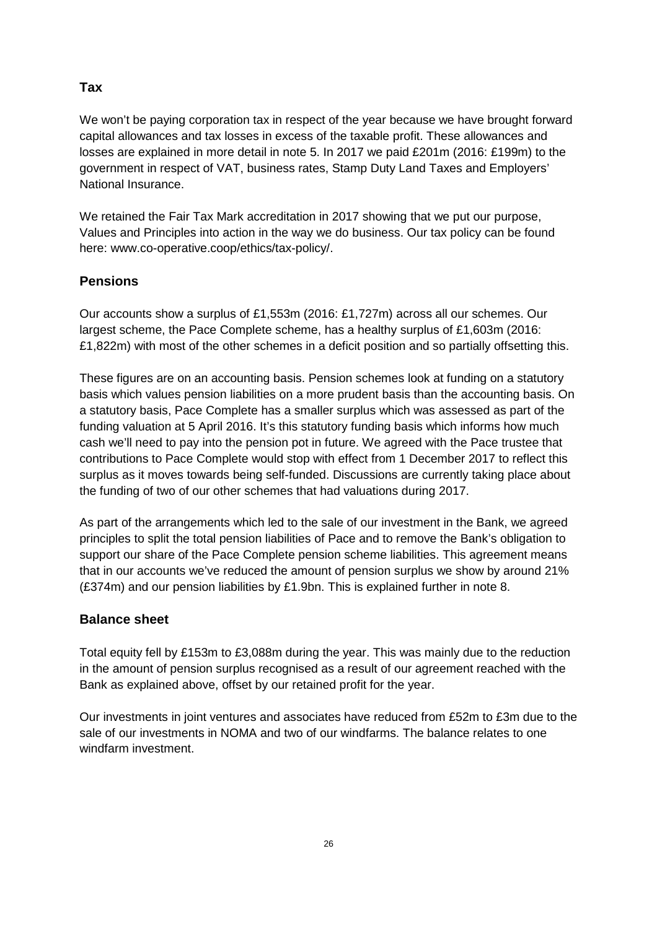## **Tax**

We won't be paying corporation tax in respect of the year because we have brought forward capital allowances and tax losses in excess of the taxable profit. These allowances and losses are explained in more detail in note 5. In 2017 we paid £201m (2016: £199m) to the government in respect of VAT, business rates, Stamp Duty Land Taxes and Employers' National Insurance.

We retained the Fair Tax Mark accreditation in 2017 showing that we put our purpose, Values and Principles into action in the way we do business. Our tax policy can be found here: www.co-operative.coop/ethics/tax-policy/.

## **Pensions**

Our accounts show a surplus of £1,553m (2016: £1,727m) across all our schemes. Our largest scheme, the Pace Complete scheme, has a healthy surplus of £1,603m (2016: £1,822m) with most of the other schemes in a deficit position and so partially offsetting this.

These figures are on an accounting basis. Pension schemes look at funding on a statutory basis which values pension liabilities on a more prudent basis than the accounting basis. On a statutory basis, Pace Complete has a smaller surplus which was assessed as part of the funding valuation at 5 April 2016. It's this statutory funding basis which informs how much cash we'll need to pay into the pension pot in future. We agreed with the Pace trustee that contributions to Pace Complete would stop with effect from 1 December 2017 to reflect this surplus as it moves towards being self-funded. Discussions are currently taking place about the funding of two of our other schemes that had valuations during 2017.

As part of the arrangements which led to the sale of our investment in the Bank, we agreed principles to split the total pension liabilities of Pace and to remove the Bank's obligation to support our share of the Pace Complete pension scheme liabilities. This agreement means that in our accounts we've reduced the amount of pension surplus we show by around 21% (£374m) and our pension liabilities by £1.9bn. This is explained further in note 8.

## **Balance sheet**

Total equity fell by £153m to £3,088m during the year. This was mainly due to the reduction in the amount of pension surplus recognised as a result of our agreement reached with the Bank as explained above, offset by our retained profit for the year.

Our investments in joint ventures and associates have reduced from £52m to £3m due to the sale of our investments in NOMA and two of our windfarms. The balance relates to one windfarm investment.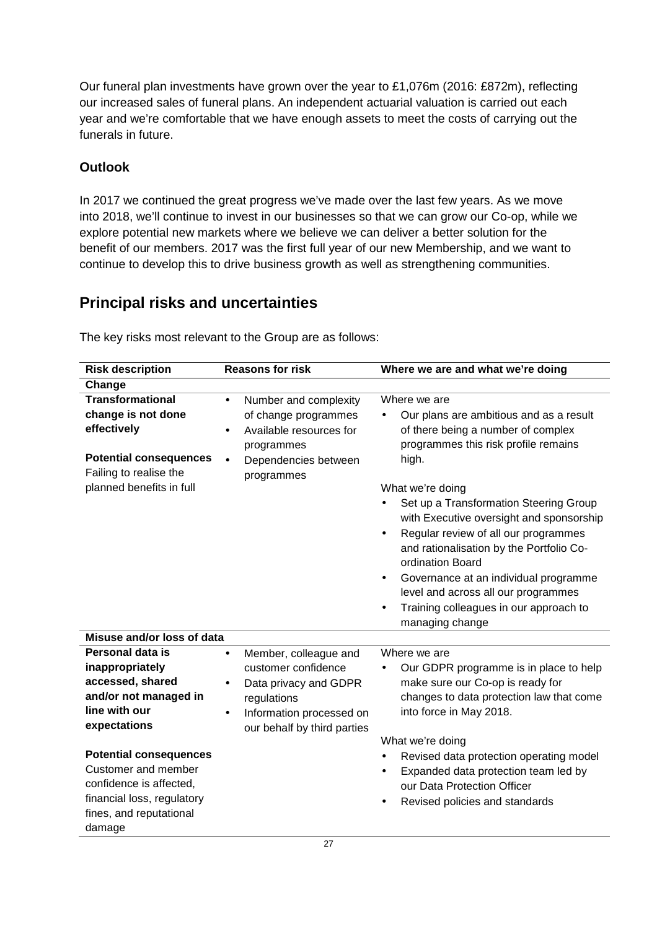Our funeral plan investments have grown over the year to £1,076m (2016: £872m), reflecting our increased sales of funeral plans. An independent actuarial valuation is carried out each year and we're comfortable that we have enough assets to meet the costs of carrying out the funerals in future.

## **Outlook**

In 2017 we continued the great progress we've made over the last few years. As we move into 2018, we'll continue to invest in our businesses so that we can grow our Co-op, while we explore potential new markets where we believe we can deliver a better solution for the benefit of our members. 2017 was the first full year of our new Membership, and we want to continue to develop this to drive business growth as well as strengthening communities.

# **Principal risks and uncertainties**

| <b>Risk description</b>                                                                                                                            | <b>Reasons for risk</b>                                                                                                                                                   | Where we are and what we're doing                                                                                                                                                                |
|----------------------------------------------------------------------------------------------------------------------------------------------------|---------------------------------------------------------------------------------------------------------------------------------------------------------------------------|--------------------------------------------------------------------------------------------------------------------------------------------------------------------------------------------------|
| Change                                                                                                                                             |                                                                                                                                                                           |                                                                                                                                                                                                  |
| <b>Transformational</b><br>change is not done<br>effectively                                                                                       | Number and complexity<br>$\bullet$<br>of change programmes<br>Available resources for<br>programmes                                                                       | Where we are<br>Our plans are ambitious and as a result<br>of there being a number of complex<br>programmes this risk profile remains                                                            |
| <b>Potential consequences</b><br>Failing to realise the                                                                                            | Dependencies between<br>programmes                                                                                                                                        | high.                                                                                                                                                                                            |
| planned benefits in full                                                                                                                           |                                                                                                                                                                           | What we're doing                                                                                                                                                                                 |
|                                                                                                                                                    |                                                                                                                                                                           | Set up a Transformation Steering Group<br>$\bullet$<br>with Executive oversight and sponsorship<br>Regular review of all our programmes<br>$\bullet$<br>and rationalisation by the Portfolio Co- |
|                                                                                                                                                    |                                                                                                                                                                           | ordination Board<br>Governance at an individual programme<br>$\bullet$<br>level and across all our programmes<br>Training colleagues in our approach to<br>managing change                       |
| Misuse and/or loss of data                                                                                                                         |                                                                                                                                                                           |                                                                                                                                                                                                  |
| Personal data is<br>inappropriately<br>accessed, shared<br>and/or not managed in<br>line with our<br>expectations                                  | Member, colleague and<br>$\bullet$<br>customer confidence<br>Data privacy and GDPR<br>$\bullet$<br>regulations<br>Information processed on<br>our behalf by third parties | Where we are<br>Our GDPR programme is in place to help<br>make sure our Co-op is ready for<br>changes to data protection law that come<br>into force in May 2018.                                |
|                                                                                                                                                    |                                                                                                                                                                           | What we're doing                                                                                                                                                                                 |
| <b>Potential consequences</b><br>Customer and member<br>confidence is affected,<br>financial loss, regulatory<br>fines, and reputational<br>damage |                                                                                                                                                                           | Revised data protection operating model<br>Expanded data protection team led by<br>our Data Protection Officer<br>Revised policies and standards                                                 |

The key risks most relevant to the Group are as follows: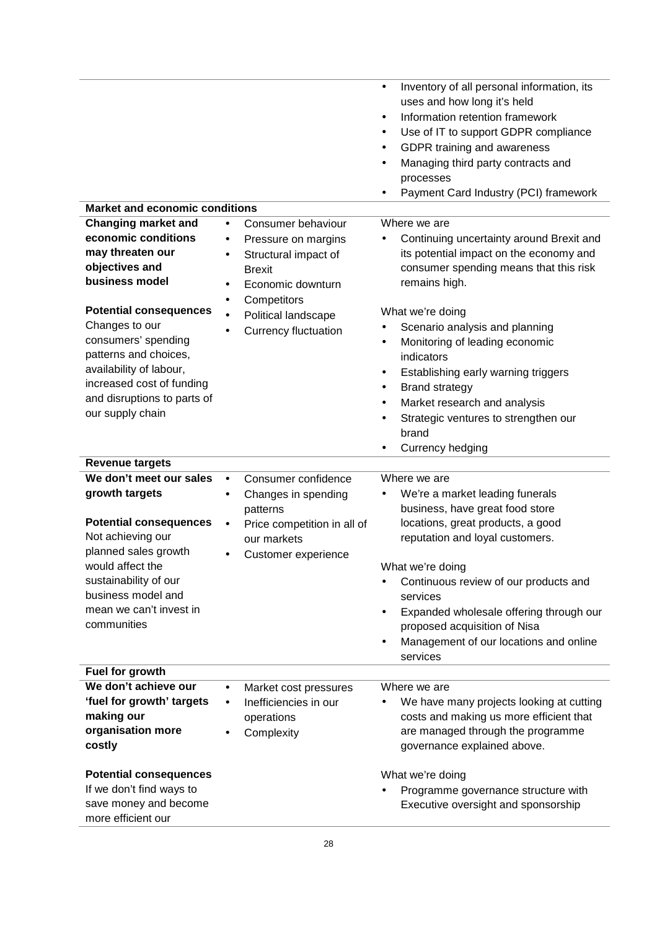|                                       |                                    | Inventory of all personal information, its<br>$\bullet$ |
|---------------------------------------|------------------------------------|---------------------------------------------------------|
|                                       |                                    | uses and how long it's held                             |
|                                       |                                    | Information retention framework<br>$\bullet$            |
|                                       |                                    | Use of IT to support GDPR compliance                    |
|                                       |                                    | GDPR training and awareness                             |
|                                       |                                    | Managing third party contracts and                      |
|                                       |                                    | processes                                               |
|                                       |                                    | Payment Card Industry (PCI) framework                   |
| <b>Market and economic conditions</b> |                                    |                                                         |
| <b>Changing market and</b>            | Consumer behaviour<br>$\bullet$    | Where we are                                            |
| economic conditions                   |                                    | Continuing uncertainty around Brexit and                |
| may threaten our                      | Pressure on margins<br>$\bullet$   |                                                         |
| objectives and                        | Structural impact of<br>٠          | its potential impact on the economy and                 |
| business model                        | <b>Brexit</b>                      | consumer spending means that this risk                  |
|                                       | Economic downturn<br>$\bullet$     | remains high.                                           |
| <b>Potential consequences</b>         | Competitors                        | What we're doing                                        |
| Changes to our                        | Political landscape                |                                                         |
| consumers' spending                   | <b>Currency fluctuation</b>        | Scenario analysis and planning                          |
| patterns and choices,                 |                                    | Monitoring of leading economic<br>$\bullet$             |
| availability of labour,               |                                    | indicators                                              |
| increased cost of funding             |                                    | Establishing early warning triggers<br>٠                |
| and disruptions to parts of           |                                    | <b>Brand strategy</b><br>٠                              |
| our supply chain                      |                                    | Market research and analysis                            |
|                                       |                                    | Strategic ventures to strengthen our                    |
|                                       |                                    | brand                                                   |
|                                       |                                    | Currency hedging<br>$\bullet$                           |
| <b>Revenue targets</b>                |                                    |                                                         |
| We don't meet our sales               | Consumer confidence<br>$\bullet$   | Where we are                                            |
| growth targets                        | Changes in spending<br>$\bullet$   | We're a market leading funerals                         |
|                                       | patterns                           | business, have great food store                         |
| <b>Potential consequences</b>         | Price competition in all of        | locations, great products, a good                       |
| Not achieving our                     | our markets                        | reputation and loyal customers.                         |
| planned sales growth                  | Customer experience                |                                                         |
| would affect the                      |                                    | What we're doing                                        |
| sustainability of our                 |                                    | Continuous review of our products and                   |
| business model and                    |                                    | services                                                |
| mean we can't invest in               |                                    |                                                         |
|                                       |                                    | Expanded wholesale offering through our<br>$\bullet$    |
| communities                           |                                    | proposed acquisition of Nisa                            |
|                                       |                                    | Management of our locations and online                  |
|                                       |                                    | services                                                |
| Fuel for growth                       |                                    |                                                         |
| We don't achieve our                  | Market cost pressures<br>$\bullet$ | Where we are                                            |
| 'fuel for growth' targets             | Inefficiencies in our              | We have many projects looking at cutting                |
| making our                            | operations                         | costs and making us more efficient that                 |
| organisation more                     |                                    | are managed through the programme                       |
| costly                                | Complexity                         | governance explained above.                             |
|                                       |                                    |                                                         |
| <b>Potential consequences</b>         |                                    | What we're doing                                        |
| If we don't find ways to              |                                    | Programme governance structure with                     |
| save money and become                 |                                    | Executive oversight and sponsorship                     |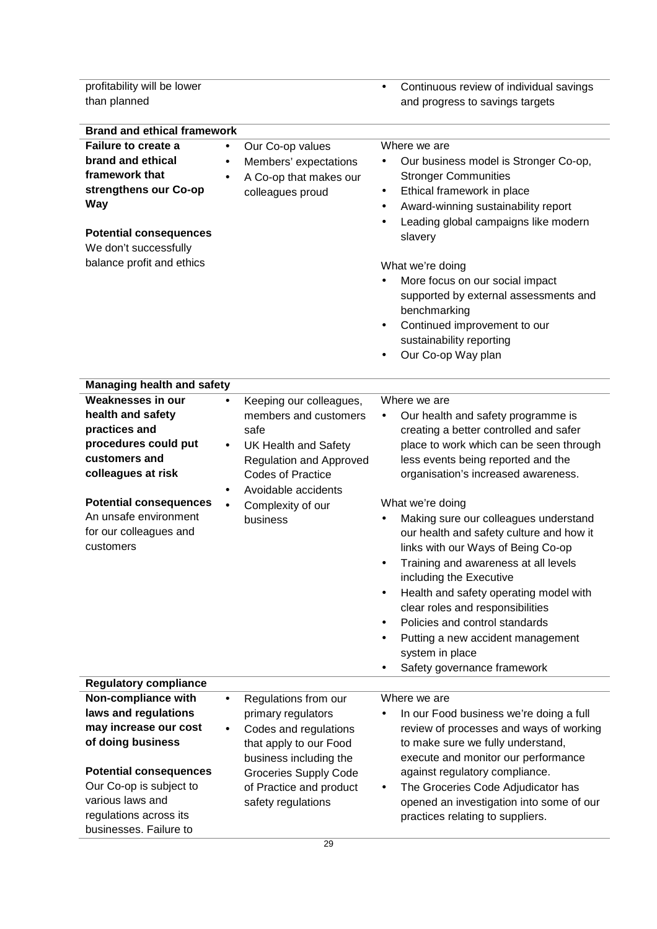profitability will be lower than planned

• Continuous review of individual savings and progress to savings targets

| <b>Brand and ethical framework</b>                                                                                                                                                                                |                                                                                                                                                                                                                                                      |                                                                                                                                                                                                                                                                                                                                                                                                                                                                                 |
|-------------------------------------------------------------------------------------------------------------------------------------------------------------------------------------------------------------------|------------------------------------------------------------------------------------------------------------------------------------------------------------------------------------------------------------------------------------------------------|---------------------------------------------------------------------------------------------------------------------------------------------------------------------------------------------------------------------------------------------------------------------------------------------------------------------------------------------------------------------------------------------------------------------------------------------------------------------------------|
| Failure to create a<br>brand and ethical<br>framework that<br>strengthens our Co-op<br><b>Way</b><br><b>Potential consequences</b><br>We don't successfully<br>balance profit and ethics                          | Our Co-op values<br>$\bullet$<br>Members' expectations<br>$\bullet$<br>A Co-op that makes our<br>$\bullet$<br>colleagues proud                                                                                                                       | Where we are<br>Our business model is Stronger Co-op,<br>$\bullet$<br><b>Stronger Communities</b><br>Ethical framework in place<br>$\bullet$<br>Award-winning sustainability report<br>$\bullet$<br>Leading global campaigns like modern<br>$\bullet$<br>slavery<br>What we're doing<br>More focus on our social impact<br>supported by external assessments and<br>benchmarking<br>Continued improvement to our<br>$\bullet$<br>sustainability reporting<br>Our Co-op Way plan |
| <b>Managing health and safety</b>                                                                                                                                                                                 |                                                                                                                                                                                                                                                      |                                                                                                                                                                                                                                                                                                                                                                                                                                                                                 |
| <b>Weaknesses in our</b><br>health and safety<br>practices and<br>procedures could put<br>customers and<br>colleagues at risk<br><b>Potential consequences</b><br>An unsafe environment<br>for our colleagues and | Keeping our colleagues,<br>$\bullet$<br>members and customers<br>safe<br><b>UK Health and Safety</b><br>$\bullet$<br><b>Regulation and Approved</b><br><b>Codes of Practice</b><br>Avoidable accidents<br>$\bullet$<br>Complexity of our<br>business | Where we are<br>Our health and safety programme is<br>$\bullet$<br>creating a better controlled and safer<br>place to work which can be seen through<br>less events being reported and the<br>organisation's increased awareness.<br>What we're doing<br>Making sure our colleagues understand<br>$\bullet$<br>our health and safety culture and how it                                                                                                                         |
| customers                                                                                                                                                                                                         |                                                                                                                                                                                                                                                      | links with our Ways of Being Co-op<br>Training and awareness at all levels<br>$\bullet$<br>including the Executive<br>Health and safety operating model with<br>$\bullet$<br>clear roles and responsibilities<br>Policies and control standards<br>Putting a new accident management<br>system in place<br>Safety governance framework                                                                                                                                          |
| <b>Regulatory compliance</b>                                                                                                                                                                                      |                                                                                                                                                                                                                                                      |                                                                                                                                                                                                                                                                                                                                                                                                                                                                                 |
| Non-compliance with                                                                                                                                                                                               | Regulations from our<br>$\bullet$                                                                                                                                                                                                                    | Where we are                                                                                                                                                                                                                                                                                                                                                                                                                                                                    |
| laws and regulations                                                                                                                                                                                              | primary regulators                                                                                                                                                                                                                                   | In our Food business we're doing a full                                                                                                                                                                                                                                                                                                                                                                                                                                         |
| may increase our cost                                                                                                                                                                                             | Codes and regulations<br>$\bullet$                                                                                                                                                                                                                   | review of processes and ways of working                                                                                                                                                                                                                                                                                                                                                                                                                                         |
| of doing business                                                                                                                                                                                                 | that apply to our Food<br>business including the                                                                                                                                                                                                     | to make sure we fully understand,<br>execute and monitor our performance                                                                                                                                                                                                                                                                                                                                                                                                        |
| <b>Potential consequences</b><br>Our Co-op is subject to<br>various laws and<br>regulations across its<br>businesses. Failure to                                                                                  | <b>Groceries Supply Code</b><br>of Practice and product<br>safety regulations                                                                                                                                                                        | against regulatory compliance.<br>The Groceries Code Adjudicator has<br>٠<br>opened an investigation into some of our<br>practices relating to suppliers.                                                                                                                                                                                                                                                                                                                       |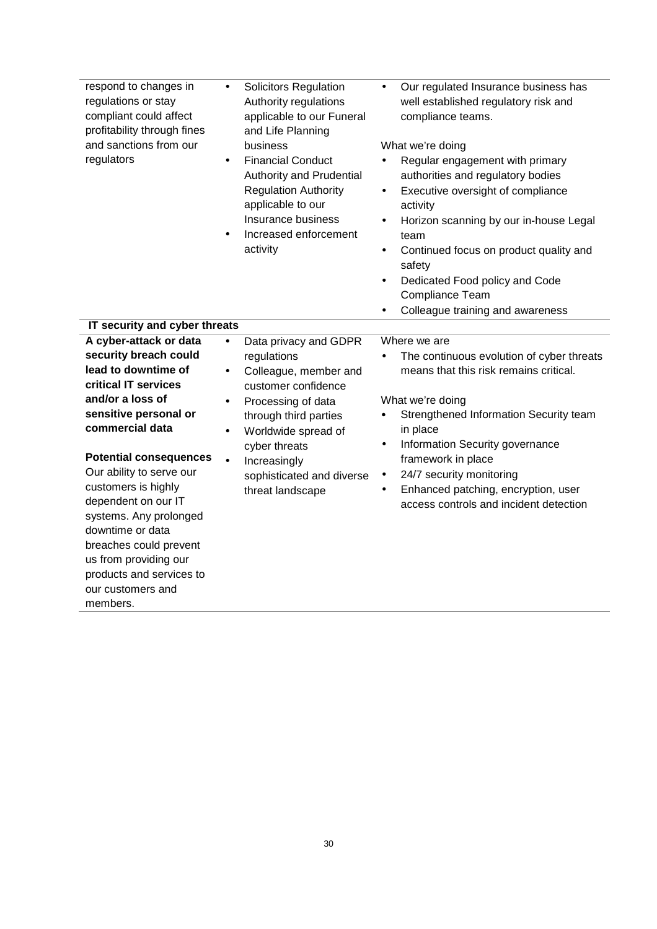| respond to changes in<br>regulations or stay<br>compliant could affect<br>profitability through fines<br>and sanctions from our<br>regulators                                                                                                                                                                                                                                                                                           | <b>Solicitors Regulation</b><br>$\bullet$<br>Authority regulations<br>applicable to our Funeral<br>and Life Planning<br>business<br><b>Financial Conduct</b><br>$\bullet$<br>Authority and Prudential<br><b>Regulation Authority</b><br>applicable to our<br>Insurance business<br>Increased enforcement<br>$\bullet$<br>activity | Our regulated Insurance business has<br>well established regulatory risk and<br>compliance teams.<br>What we're doing<br>Regular engagement with primary<br>$\bullet$<br>authorities and regulatory bodies<br>Executive oversight of compliance<br>$\bullet$<br>activity<br>Horizon scanning by our in-house Legal<br>$\bullet$<br>team<br>Continued focus on product quality and<br>٠<br>safety<br>Dedicated Food policy and Code<br>٠<br>Compliance Team<br>Colleague training and awareness<br>$\bullet$ |
|-----------------------------------------------------------------------------------------------------------------------------------------------------------------------------------------------------------------------------------------------------------------------------------------------------------------------------------------------------------------------------------------------------------------------------------------|-----------------------------------------------------------------------------------------------------------------------------------------------------------------------------------------------------------------------------------------------------------------------------------------------------------------------------------|-------------------------------------------------------------------------------------------------------------------------------------------------------------------------------------------------------------------------------------------------------------------------------------------------------------------------------------------------------------------------------------------------------------------------------------------------------------------------------------------------------------|
| IT security and cyber threats                                                                                                                                                                                                                                                                                                                                                                                                           |                                                                                                                                                                                                                                                                                                                                   |                                                                                                                                                                                                                                                                                                                                                                                                                                                                                                             |
| A cyber-attack or data<br>security breach could<br>lead to downtime of<br>critical IT services<br>and/or a loss of<br>sensitive personal or<br>commercial data<br><b>Potential consequences</b><br>Our ability to serve our<br>customers is highly<br>dependent on our IT<br>systems. Any prolonged<br>downtime or data<br>breaches could prevent<br>us from providing our<br>products and services to<br>our customers and<br>members. | Data privacy and GDPR<br>$\bullet$<br>regulations<br>Colleague, member and<br>$\bullet$<br>customer confidence<br>Processing of data<br>$\bullet$<br>through third parties<br>Worldwide spread of<br>$\bullet$<br>cyber threats<br>Increasingly<br>$\bullet$<br>sophisticated and diverse<br>threat landscape                     | Where we are<br>The continuous evolution of cyber threats<br>means that this risk remains critical.<br>What we're doing<br>Strengthened Information Security team<br>$\bullet$<br>in place<br>Information Security governance<br>$\bullet$<br>framework in place<br>24/7 security monitoring<br>$\bullet$<br>Enhanced patching, encryption, user<br>$\bullet$<br>access controls and incident detection                                                                                                     |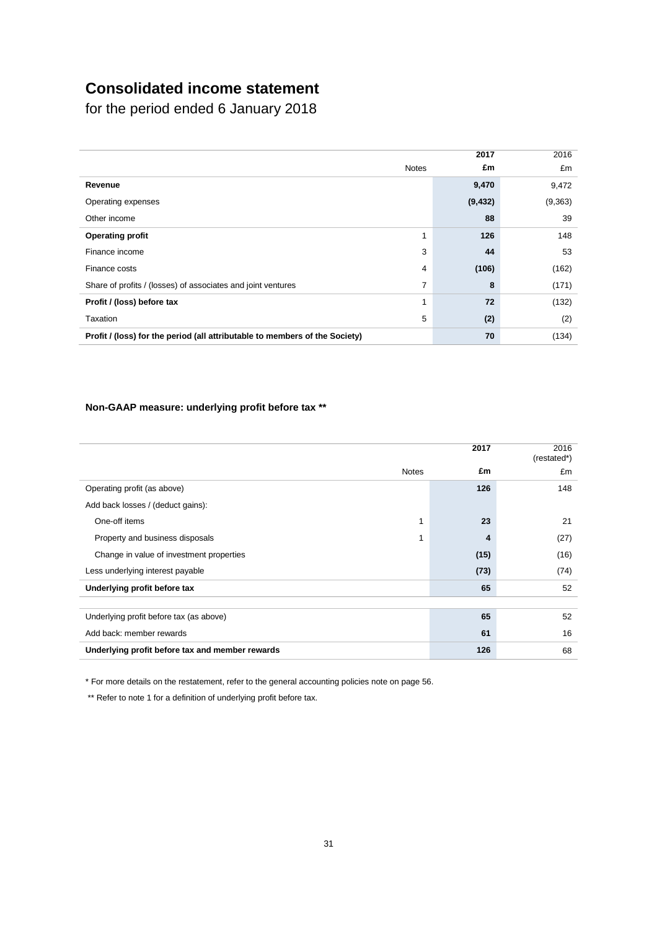# **Consolidated income statement**

for the period ended 6 January 2018

|                                                                             |              | 2017     | 2016     |
|-----------------------------------------------------------------------------|--------------|----------|----------|
|                                                                             | <b>Notes</b> | £m       | £m       |
| Revenue                                                                     |              | 9,470    | 9,472    |
| Operating expenses                                                          |              | (9, 432) | (9, 363) |
| Other income                                                                |              | 88       | 39       |
| <b>Operating profit</b>                                                     | 1            | 126      | 148      |
| Finance income                                                              | 3            | 44       | 53       |
| Finance costs                                                               | 4            | (106)    | (162)    |
| Share of profits / (losses) of associates and joint ventures                | 7            | 8        | (171)    |
| Profit / (loss) before tax                                                  | 1            | 72       | (132)    |
| Taxation                                                                    | 5            | (2)      | (2)      |
| Profit / (loss) for the period (all attributable to members of the Society) |              | 70       | (134)    |

## **Non-GAAP measure: underlying profit before tax \*\***

|                                                 | 2017 | 2016<br>(restated*) |
|-------------------------------------------------|------|---------------------|
| <b>Notes</b>                                    | £m   | £m                  |
| Operating profit (as above)                     | 126  | 148                 |
| Add back losses / (deduct gains):               |      |                     |
| One-off items                                   | 23   | 21                  |
| Property and business disposals                 | 4    | (27)                |
| Change in value of investment properties        | (15) | (16)                |
| Less underlying interest payable                | (73) | (74)                |
| Underlying profit before tax                    | 65   | 52                  |
|                                                 |      |                     |
| Underlying profit before tax (as above)         | 65   | 52                  |
| Add back: member rewards                        | 61   | 16                  |
| Underlying profit before tax and member rewards | 126  | 68                  |

\* For more details on the restatement, refer to the general accounting policies note on page 56.

\*\* Refer to note 1 for a definition of underlying profit before tax.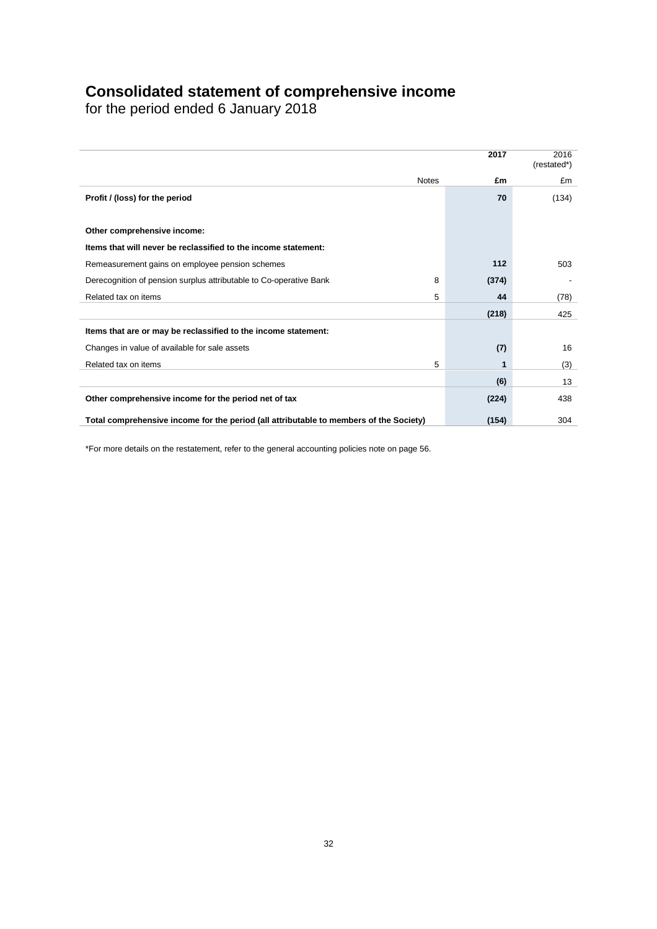## **Consolidated statement of comprehensive income**

for the period ended 6 January 2018

|                                                                                        |   | 2017  | 2016<br>(restated*) |
|----------------------------------------------------------------------------------------|---|-------|---------------------|
| <b>Notes</b>                                                                           |   | £m    | £m                  |
| Profit / (loss) for the period                                                         |   | 70    | (134)               |
|                                                                                        |   |       |                     |
| Other comprehensive income:                                                            |   |       |                     |
| Items that will never be reclassified to the income statement:                         |   |       |                     |
| Remeasurement gains on employee pension schemes                                        |   | 112   | 503                 |
| Derecognition of pension surplus attributable to Co-operative Bank                     | 8 | (374) |                     |
| Related tax on items                                                                   | 5 | 44    | (78)                |
|                                                                                        |   | (218) | 425                 |
| Items that are or may be reclassified to the income statement:                         |   |       |                     |
| Changes in value of available for sale assets                                          |   | (7)   | 16                  |
| Related tax on items                                                                   | 5 | 1     | (3)                 |
|                                                                                        |   | (6)   | 13                  |
| Other comprehensive income for the period net of tax                                   |   | (224) | 438                 |
| Total comprehensive income for the period (all attributable to members of the Society) |   | (154) | 304                 |

\*For more details on the restatement, refer to the general accounting policies note on page 56.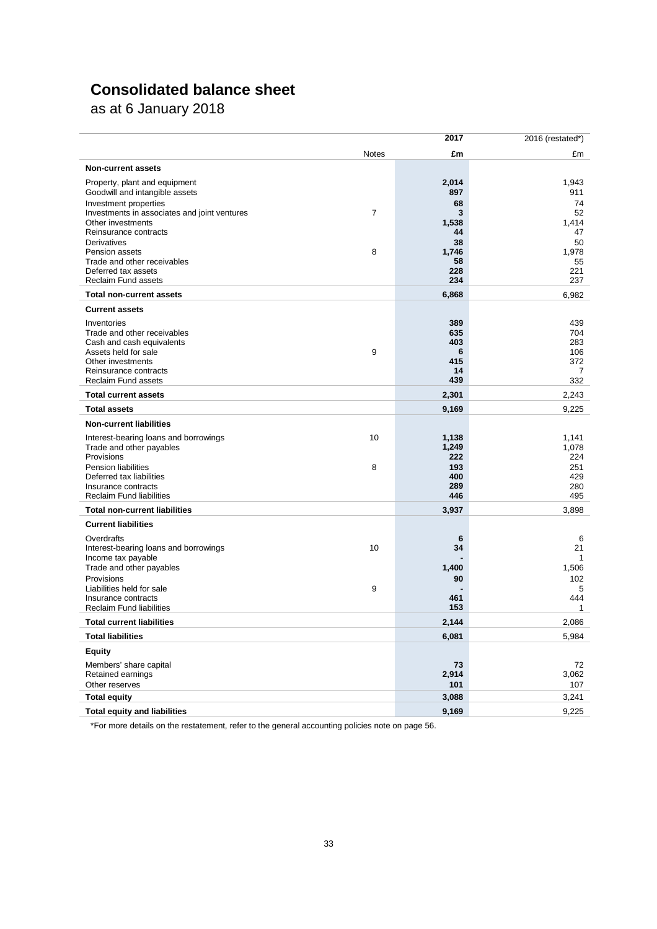# **Consolidated balance sheet**

as at 6 January 2018

|                                                                     |              | 2017       | 2016 (restated*) |
|---------------------------------------------------------------------|--------------|------------|------------------|
|                                                                     | <b>Notes</b> | £m         | £m               |
| <b>Non-current assets</b>                                           |              |            |                  |
| Property, plant and equipment                                       |              | 2,014      | 1,943            |
| Goodwill and intangible assets                                      |              | 897        | 911              |
| Investment properties                                               |              | 68         | 74               |
| Investments in associates and joint ventures<br>Other investments   | 7            | 3<br>1,538 | 52<br>1,414      |
| Reinsurance contracts                                               |              | 44         | 47               |
| Derivatives                                                         |              | 38         | 50               |
| Pension assets                                                      | 8            | 1,746      | 1,978            |
| Trade and other receivables<br>Deferred tax assets                  |              | 58<br>228  | 55<br>221        |
| <b>Reclaim Fund assets</b>                                          |              | 234        | 237              |
| <b>Total non-current assets</b>                                     |              | 6,868      | 6,982            |
| <b>Current assets</b>                                               |              |            |                  |
| Inventories                                                         |              | 389        | 439              |
| Trade and other receivables                                         |              | 635        | 704              |
| Cash and cash equivalents                                           |              | 403        | 283              |
| Assets held for sale                                                | 9            | 6          | 106              |
| Other investments<br>Reinsurance contracts                          |              | 415<br>14  | 372<br>7         |
| <b>Reclaim Fund assets</b>                                          |              | 439        | 332              |
| <b>Total current assets</b>                                         |              | 2,301      | 2,243            |
| <b>Total assets</b>                                                 |              | 9,169      | 9,225            |
| <b>Non-current liabilities</b>                                      |              |            |                  |
| Interest-bearing loans and borrowings                               | 10           | 1,138      | 1,141            |
| Trade and other payables                                            |              | 1,249      | 1,078            |
| Provisions<br><b>Pension liabilities</b>                            | 8            | 222<br>193 | 224<br>251       |
| Deferred tax liabilities                                            |              | 400        | 429              |
| Insurance contracts                                                 |              | 289        | 280              |
| <b>Reclaim Fund liabilities</b>                                     |              | 446        | 495              |
| <b>Total non-current liabilities</b>                                |              | 3,937      | 3,898            |
| <b>Current liabilities</b>                                          |              |            |                  |
| Overdrafts                                                          |              | 6          | 6                |
| Interest-bearing loans and borrowings<br>Income tax payable         | 10           | 34         | 21<br>1          |
| Trade and other payables                                            |              | 1,400      | 1,506            |
| Provisions                                                          |              | 90         | 102              |
| Liabilities held for sale                                           | 9            |            | 5                |
| Insurance contracts                                                 |              | 461<br>153 | 444<br>1         |
| <b>Reclaim Fund liabilities</b><br><b>Total current liabilities</b> |              | 2.144      | 2,086            |
| <b>Total liabilities</b>                                            |              | 6,081      | 5,984            |
| Equity                                                              |              |            |                  |
| Members' share capital                                              |              | 73         | 72               |
| Retained earnings                                                   |              | 2,914      | 3,062            |
| Other reserves                                                      |              | 101        | 107              |
| <b>Total equity</b>                                                 |              | 3,088      | 3,241            |
| <b>Total equity and liabilities</b>                                 |              | 9,169      | 9,225            |

\*For more details on the restatement, refer to the general accounting policies note on page 56.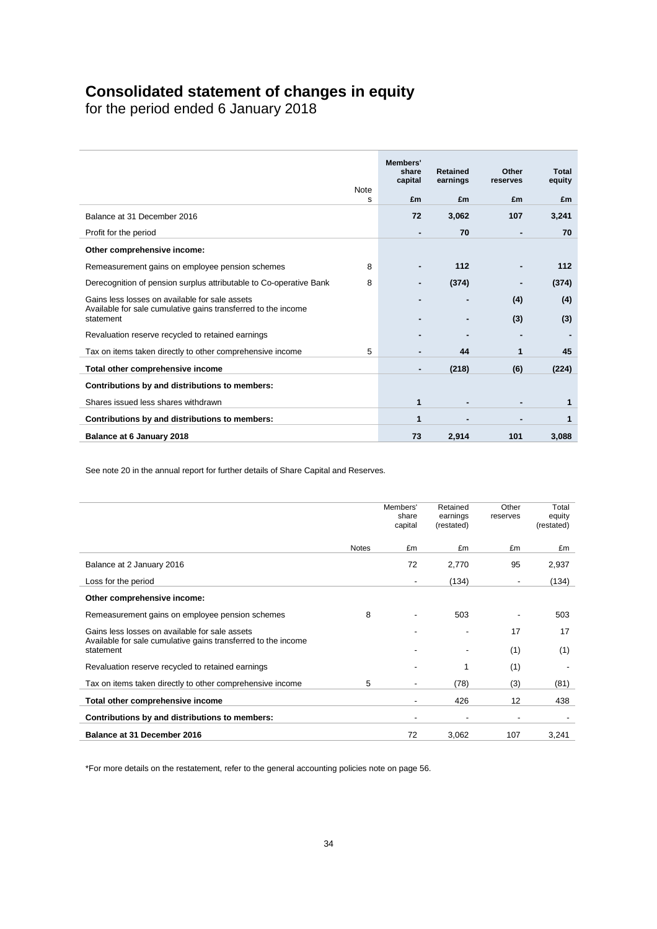## **Consolidated statement of changes in equity**

for the period ended 6 January 2018

|                                                                                                                 | <b>Note</b> | Members'<br>share<br>capital | <b>Retained</b><br>earnings | Other<br>reserves | Total<br>equity |
|-----------------------------------------------------------------------------------------------------------------|-------------|------------------------------|-----------------------------|-------------------|-----------------|
|                                                                                                                 | s           | £m                           | £m                          | £m                | £m              |
| Balance at 31 December 2016                                                                                     |             | 72                           | 3,062                       | 107               | 3,241           |
| Profit for the period                                                                                           |             |                              | 70                          | $\blacksquare$    | 70              |
| Other comprehensive income:                                                                                     |             |                              |                             |                   |                 |
| Remeasurement gains on employee pension schemes                                                                 | 8           |                              | 112                         |                   | 112             |
| Derecognition of pension surplus attributable to Co-operative Bank                                              | 8           |                              | (374)                       |                   | (374)           |
| Gains less losses on available for sale assets<br>Available for sale cumulative gains transferred to the income |             |                              |                             | (4)               | (4)             |
| statement                                                                                                       |             |                              |                             | (3)               | (3)             |
| Revaluation reserve recycled to retained earnings                                                               |             |                              |                             |                   |                 |
| Tax on items taken directly to other comprehensive income                                                       | 5           |                              | 44                          | 1                 | 45              |
| Total other comprehensive income                                                                                |             |                              | (218)                       | (6)               | (224)           |
| Contributions by and distributions to members:                                                                  |             |                              |                             |                   |                 |
| Shares issued less shares withdrawn                                                                             |             | 1                            |                             | ٠                 | 1               |
| Contributions by and distributions to members:                                                                  |             | 1                            |                             |                   | 1               |
| Balance at 6 January 2018                                                                                       |             | 73                           | 2,914                       | 101               | 3.088           |

See note 20 in the annual report for further details of Share Capital and Reserves.

|                                                                                                                 |              | Members'<br>share<br>capital | Retained<br>earnings<br>(restated) | Other<br>reserves | Total<br>equity<br>(restated) |
|-----------------------------------------------------------------------------------------------------------------|--------------|------------------------------|------------------------------------|-------------------|-------------------------------|
|                                                                                                                 | <b>Notes</b> | £m                           | £m                                 | £m                | £m                            |
| Balance at 2 January 2016                                                                                       |              | 72                           | 2,770                              | 95                | 2,937                         |
| Loss for the period                                                                                             |              | $\overline{\phantom{a}}$     | (134)                              | ٠                 | (134)                         |
| Other comprehensive income:                                                                                     |              |                              |                                    |                   |                               |
| Remeasurement gains on employee pension schemes                                                                 | 8            |                              | 503                                |                   | 503                           |
| Gains less losses on available for sale assets<br>Available for sale cumulative gains transferred to the income |              |                              | ٠                                  | 17                | 17                            |
| statement                                                                                                       |              |                              |                                    | (1)               | (1)                           |
| Revaluation reserve recycled to retained earnings                                                               |              |                              | 1                                  | (1)               |                               |
| Tax on items taken directly to other comprehensive income                                                       | 5            |                              | (78)                               | (3)               | (81)                          |
| Total other comprehensive income                                                                                |              | $\blacksquare$               | 426                                | 12                | 438                           |
| Contributions by and distributions to members:                                                                  |              | $\overline{\phantom{0}}$     | ٠                                  | ٠                 |                               |
| Balance at 31 December 2016                                                                                     |              | 72                           | 3,062                              | 107               | 3,241                         |

\*For more details on the restatement, refer to the general accounting policies note on page 56.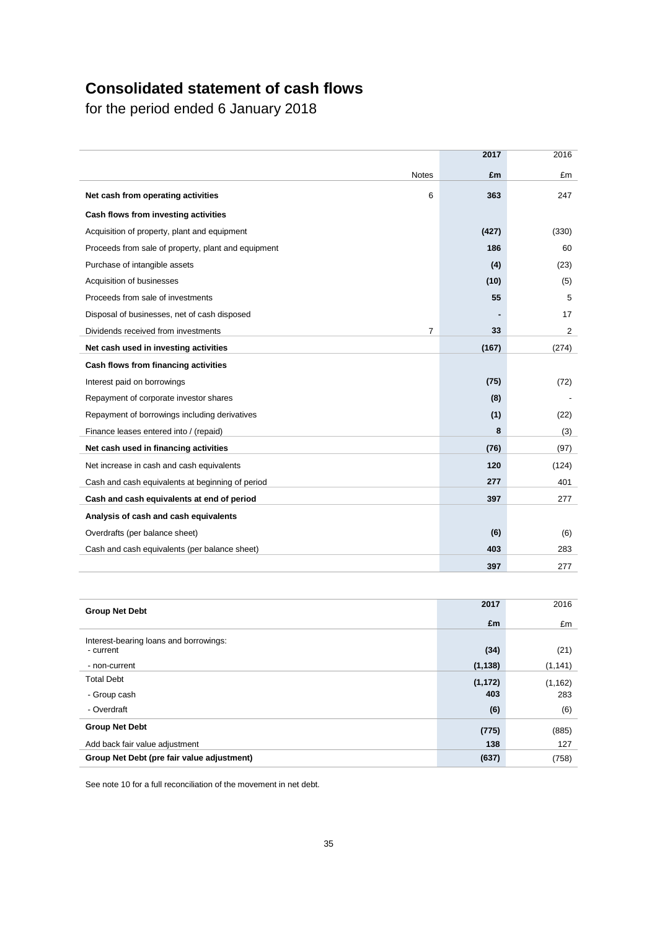# **Consolidated statement of cash flows**

for the period ended 6 January 2018

|                                                       | 2017  | 2016  |
|-------------------------------------------------------|-------|-------|
| <b>Notes</b>                                          | £m    | £m    |
| Net cash from operating activities<br>6               | 363   | 247   |
| Cash flows from investing activities                  |       |       |
| Acquisition of property, plant and equipment          | (427) | (330) |
| Proceeds from sale of property, plant and equipment   | 186   | 60    |
| Purchase of intangible assets                         | (4)   | (23)  |
| Acquisition of businesses                             | (10)  | (5)   |
| Proceeds from sale of investments                     | 55    | 5     |
| Disposal of businesses, net of cash disposed          |       | 17    |
| Dividends received from investments<br>$\overline{7}$ | 33    | 2     |
| Net cash used in investing activities                 | (167) | (274) |
| Cash flows from financing activities                  |       |       |
| Interest paid on borrowings                           | (75)  | (72)  |
| Repayment of corporate investor shares                | (8)   |       |
| Repayment of borrowings including derivatives         | (1)   | (22)  |
| Finance leases entered into / (repaid)                | 8     | (3)   |
| Net cash used in financing activities                 | (76)  | (97)  |
| Net increase in cash and cash equivalents             | 120   | (124) |
| Cash and cash equivalents at beginning of period      | 277   | 401   |
| Cash and cash equivalents at end of period            | 397   | 277   |
| Analysis of cash and cash equivalents                 |       |       |
| Overdrafts (per balance sheet)                        | (6)   | (6)   |
| Cash and cash equivalents (per balance sheet)         | 403   | 283   |
|                                                       | 397   | 277   |

| <b>Group Net Debt</b>                      | 2017     | 2016     |
|--------------------------------------------|----------|----------|
|                                            | £m       | £m       |
| Interest-bearing loans and borrowings:     |          |          |
| - current                                  | (34)     | (21)     |
| - non-current                              | (1, 138) | (1, 141) |
| <b>Total Debt</b>                          | (1, 172) | (1, 162) |
| - Group cash                               | 403      | 283      |
| - Overdraft                                | (6)      | (6)      |
| <b>Group Net Debt</b>                      | (775)    | (885)    |
| Add back fair value adjustment             | 138      | 127      |
| Group Net Debt (pre fair value adjustment) | (637)    | (758)    |

See note 10 for a full reconciliation of the movement in net debt.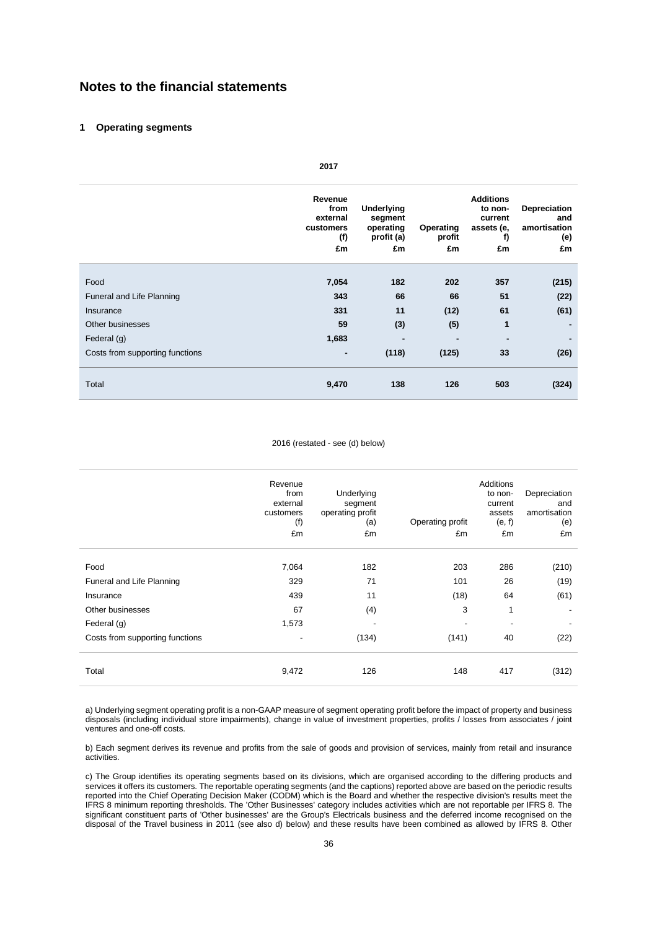## **Notes to the financial statements**

### **1 Operating segments**

|                                 | Revenue<br>from<br>external<br>customers<br>(f)<br>£m | Underlying<br>segment<br>operating<br>profit (a)<br>£m | Operating<br>profit<br>£m | <b>Additions</b><br>to non-<br>current<br>assets (e,<br>f)<br>£m | Depreciation<br>and<br>amortisation<br>(e)<br>£m |
|---------------------------------|-------------------------------------------------------|--------------------------------------------------------|---------------------------|------------------------------------------------------------------|--------------------------------------------------|
|                                 |                                                       |                                                        |                           |                                                                  |                                                  |
| Food                            | 7,054                                                 | 182                                                    | 202                       | 357                                                              | (215)                                            |
| Funeral and Life Planning       | 343                                                   | 66                                                     | 66                        | 51                                                               | (22)                                             |
| Insurance                       | 331                                                   | 11                                                     | (12)                      | 61                                                               | (61)                                             |
| Other businesses                | 59                                                    | (3)                                                    | (5)                       | 1                                                                | $\blacksquare$                                   |
| Federal (g)                     | 1,683                                                 |                                                        |                           | ۰                                                                |                                                  |
| Costs from supporting functions | ۰                                                     | (118)                                                  | (125)                     | 33                                                               | (26)                                             |
| Total                           | 9,470                                                 | 138                                                    | 126                       | 503                                                              | (324)                                            |

# **2017**

### 2016 (restated - see (d) below)

|                                 | Revenue<br>from<br>external<br>customers<br>(f)<br>£m | Underlying<br>segment<br>operating profit<br>(a)<br>£m | Operating profit<br>£m | <b>Additions</b><br>to non-<br>current<br>assets<br>(e, f)<br>£m | Depreciation<br>and<br>amortisation<br>(e)<br>£m |
|---------------------------------|-------------------------------------------------------|--------------------------------------------------------|------------------------|------------------------------------------------------------------|--------------------------------------------------|
| Food                            | 7,064                                                 | 182                                                    | 203                    | 286                                                              | (210)                                            |
| Funeral and Life Planning       | 329                                                   | 71                                                     | 101                    | 26                                                               | (19)                                             |
| Insurance                       | 439                                                   | 11                                                     | (18)                   | 64                                                               | (61)                                             |
| Other businesses                | 67                                                    | (4)                                                    | 3                      | 1                                                                | ۰                                                |
| Federal (g)                     | 1,573                                                 | -                                                      |                        |                                                                  |                                                  |
| Costs from supporting functions | -                                                     | (134)                                                  | (141)                  | 40                                                               | (22)                                             |
| Total                           | 9,472                                                 | 126                                                    | 148                    | 417                                                              | (312)                                            |

a) Underlying segment operating profit is a non-GAAP measure of segment operating profit before the impact of property and business disposals (including individual store impairments), change in value of investment properties, profits / losses from associates / joint ventures and one-off costs.

b) Each segment derives its revenue and profits from the sale of goods and provision of services, mainly from retail and insurance activities.

c) The Group identifies its operating segments based on its divisions, which are organised according to the differing products and services it offers its customers. The reportable operating segments (and the captions) reported above are based on the periodic results reported into the Chief Operating Decision Maker (CODM) which is the Board and whether the respective division's results meet the IFRS 8 minimum reporting thresholds. The 'Other Businesses' category includes activities which are not reportable per IFRS 8. The significant constituent parts of 'Other businesses' are the Group's Electricals business and the deferred income recognised on the disposal of the Travel business in 2011 (see also d) below) and these results have been combined as allowed by IFRS 8. Other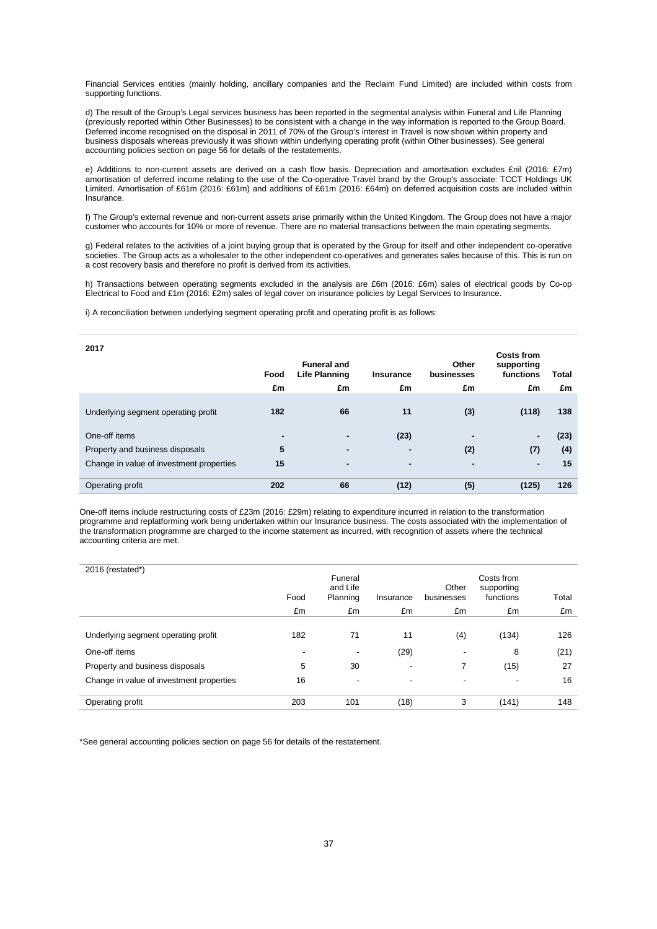Financial Services entities (mainly holding, ancillary companies and the Reclaim Fund Limited) are included within costs from supporting functions.

d) The result of the Group's Legal services business has been reported in the segmental analysis within Funeral and Life Planning (previously reported within Other Businesses) to be consistent with a change in the way information is reported to the Group Board. Deferred income recognised on the disposal in 2011 of 70% of the Group's interest in Travel is now shown within property and business disposals whereas previously it was shown within underlying operating profit (within Other businesses). See general accounting policies section on page 56 for details of the restatements.

e) Additions to non-current assets are derived on a cash flow basis. Depreciation and amortisation excludes £nil (2016: £7m) amortisation of deferred income relating to the use of the Co-operative Travel brand by the Group's associate: TCCT Holdings UK Limited. Amortisation of £61m (2016: £61m) and additions of £61m (2016: £64m) on deferred acquisition costs are included within Insurance.

f) The Group's external revenue and non-current assets arise primarily within the United Kingdom. The Group does not have a major customer who accounts for 10% or more of revenue. There are no material transactions between the main operating segments.

g) Federal relates to the activities of a joint buying group that is operated by the Group for itself and other independent co-operative societies. The Group acts as a wholesaler to the other independent co-operatives and generates sales because of this. This is run on a cost recovery basis and therefore no profit is derived from its activities.

h) Transactions between operating segments excluded in the analysis are £6m (2016: £6m) sales of electrical goods by Co-op Electrical to Food and £1m (2016: £2m) sales of legal cover on insurance policies by Legal Services to Insurance.

i) A reconciliation between underlying segment operating profit and operating profit is as follows:

| 2017                                     | Food<br>£m | <b>Funeral and</b><br><b>Life Planning</b><br>£m | <b>Insurance</b><br>£m | Other<br>businesses<br>£m | <b>Costs from</b><br>supporting<br>functions<br>£m | <b>Total</b><br>£m |
|------------------------------------------|------------|--------------------------------------------------|------------------------|---------------------------|----------------------------------------------------|--------------------|
| Underlying segment operating profit      | 182        | 66                                               | 11                     | (3)                       | (118)                                              | 138                |
| One-off items                            | ۰          | $\blacksquare$                                   | (23)                   |                           | $\blacksquare$                                     | (23)               |
| Property and business disposals          | 5          | $\blacksquare$                                   | $\blacksquare$         | (2)                       | (7)                                                | (4)                |
| Change in value of investment properties | 15         | ۰                                                | ۰                      | -                         | $\blacksquare$                                     | 15                 |
| Operating profit                         | 202        | 66                                               | (12)                   | (5)                       | (125)                                              | 126                |

One-off items include restructuring costs of £23m (2016: £29m) relating to expenditure incurred in relation to the transformation programme and replatforming work being undertaken within our Insurance business. The costs associated with the implementation of the transformation programme are charged to the income statement as incurred, with recognition of assets where the technical accounting criteria are met.

| 2016 (restated*)                         | Food | Funeral<br>and Life<br>Planning | Insurance                | Other<br>businesses      | Costs from<br>supporting<br>functions | Total |
|------------------------------------------|------|---------------------------------|--------------------------|--------------------------|---------------------------------------|-------|
|                                          | £m   | £m                              | £m                       | £m                       | £m                                    | £m    |
| Underlying segment operating profit      | 182  | 71                              | 11                       | (4)                      | (134)                                 | 126   |
| One-off items                            |      | $\overline{\phantom{a}}$        | (29)                     | -                        | 8                                     | (21)  |
| Property and business disposals          | 5    | 30                              | -                        | 7                        | (15)                                  | 27    |
| Change in value of investment properties | 16   | $\overline{\phantom{a}}$        | $\overline{\phantom{a}}$ | $\overline{\phantom{a}}$ | $\overline{\phantom{a}}$              | 16    |
| Operating profit                         | 203  | 101                             | (18)                     | 3                        | (141)                                 | 148   |

\*See general accounting policies section on page 56 for details of the restatement.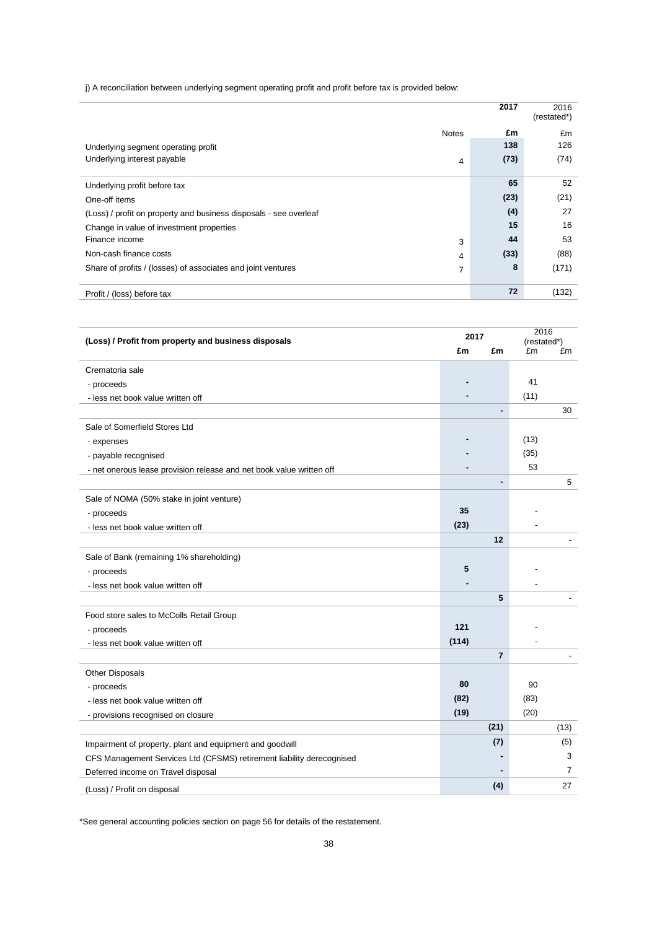j) A reconciliation between underlying segment operating profit and profit before tax is provided below:

|                                                                   |              | 2017 | 2016<br>(restated*) |
|-------------------------------------------------------------------|--------------|------|---------------------|
|                                                                   | <b>Notes</b> | £m   | £m                  |
| Underlying segment operating profit                               |              | 138  | 126                 |
| Underlying interest payable                                       | 4            | (73) | (74)                |
|                                                                   |              |      |                     |
| Underlying profit before tax                                      |              | 65   | 52                  |
| One-off items                                                     |              | (23) | (21)                |
| (Loss) / profit on property and business disposals - see overleaf |              | (4)  | 27                  |
| Change in value of investment properties                          |              | 15   | 16                  |
| Finance income                                                    | 3            | 44   | 53                  |
| Non-cash finance costs                                            | 4            | (33) | (88)                |
| Share of profits / (losses) of associates and joint ventures      | 7            | 8    | (171)               |
|                                                                   |              |      |                     |
| Profit / (loss) before tax                                        |              | 72   | (132)               |

| (Loss) / Profit from property and business disposals                  |       | 2017           |      | 2016<br>(restated*) |  |
|-----------------------------------------------------------------------|-------|----------------|------|---------------------|--|
|                                                                       | £m    | £m             | £m   | £m                  |  |
| Crematoria sale                                                       |       |                |      |                     |  |
| - proceeds                                                            |       |                | 41   |                     |  |
| - less net book value written off                                     |       |                | (11) |                     |  |
|                                                                       |       |                |      | 30                  |  |
| Sale of Somerfield Stores Ltd                                         |       |                |      |                     |  |
| - expenses                                                            |       |                | (13) |                     |  |
| - payable recognised                                                  |       |                | (35) |                     |  |
| - net onerous lease provision release and net book value written off  |       |                | 53   |                     |  |
|                                                                       |       |                |      | 5                   |  |
| Sale of NOMA (50% stake in joint venture)                             |       |                |      |                     |  |
| - proceeds                                                            | 35    |                |      |                     |  |
| - less net book value written off                                     | (23)  |                |      |                     |  |
|                                                                       |       | 12             |      |                     |  |
| Sale of Bank (remaining 1% shareholding)                              |       |                |      |                     |  |
| - proceeds                                                            | 5     |                |      |                     |  |
| - less net book value written off                                     |       |                |      |                     |  |
|                                                                       |       | 5              |      |                     |  |
| Food store sales to McColls Retail Group                              |       |                |      |                     |  |
| - proceeds                                                            | 121   |                |      |                     |  |
| - less net book value written off                                     | (114) |                |      |                     |  |
|                                                                       |       | $\overline{7}$ |      |                     |  |
| Other Disposals                                                       |       |                |      |                     |  |
| - proceeds                                                            | 80    |                | 90   |                     |  |
| - less net book value written off                                     | (82)  |                | (83) |                     |  |
| - provisions recognised on closure                                    | (19)  |                | (20) |                     |  |
|                                                                       |       | (21)           |      | (13)                |  |
| Impairment of property, plant and equipment and goodwill              |       | (7)            |      | (5)                 |  |
| CFS Management Services Ltd (CFSMS) retirement liability derecognised |       |                |      | 3                   |  |
| Deferred income on Travel disposal                                    |       |                |      | 7                   |  |
| (Loss) / Profit on disposal                                           |       | (4)            |      | 27                  |  |

\*See general accounting policies section on page 56 for details of the restatement.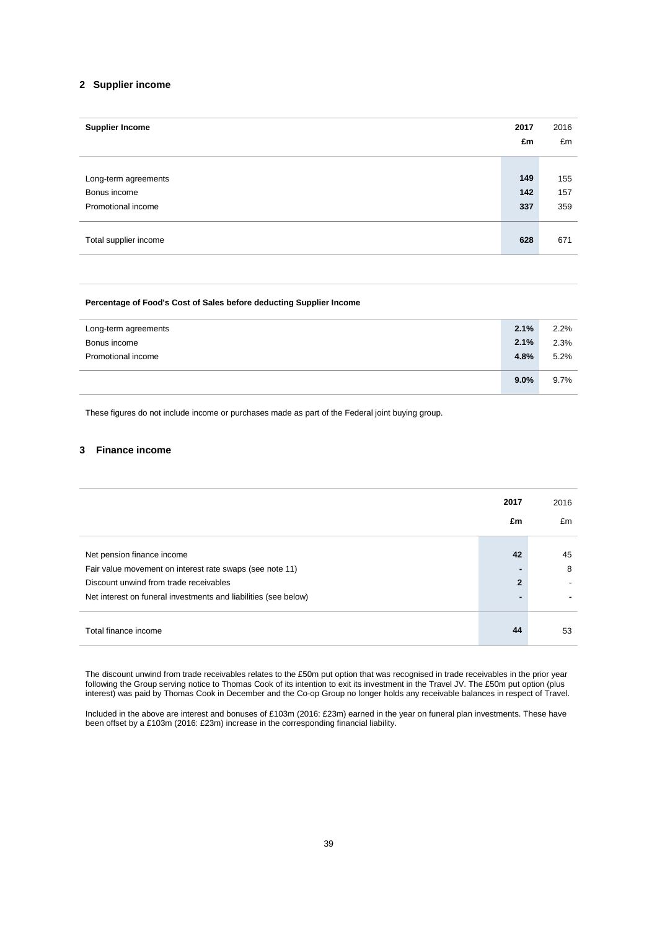### **2 Supplier income**

| <b>Supplier Income</b> | 2017 | 2016 |
|------------------------|------|------|
|                        | £m   | £m   |
|                        |      |      |
| Long-term agreements   | 149  | 155  |
| Bonus income           | 142  | 157  |
| Promotional income     | 337  | 359  |
|                        |      |      |
| Total supplier income  | 628  | 671  |
|                        |      |      |

### **Percentage of Food's Cost of Sales before deducting Supplier Income**

| 2.2%                         |
|------------------------------|
| 2.3%                         |
| 5.2%                         |
|                              |
| 9.7%                         |
| 2.1%<br>2.1%<br>4.8%<br>9.0% |

These figures do not include income or purchases made as part of the Federal joint buying group.

### **3 Finance income**

|                                                                 | 2017<br>£m     | 2016<br>£m |
|-----------------------------------------------------------------|----------------|------------|
|                                                                 |                |            |
| Net pension finance income                                      | 42             | 45         |
| Fair value movement on interest rate swaps (see note 11)        |                | 8          |
| Discount unwind from trade receivables                          | $\overline{2}$ |            |
| Net interest on funeral investments and liabilities (see below) |                |            |
| Total finance income                                            | 44             | 53         |

The discount unwind from trade receivables relates to the £50m put option that was recognised in trade receivables in the prior year following the Group serving notice to Thomas Cook of its intention to exit its investment in the Travel JV. The £50m put option (plus interest) was paid by Thomas Cook in December and the Co-op Group no longer holds any receivable balances in respect of Travel.

Included in the above are interest and bonuses of £103m (2016: £23m) earned in the year on funeral plan investments. These have been offset by a £103m (2016: £23m) increase in the corresponding financial liability.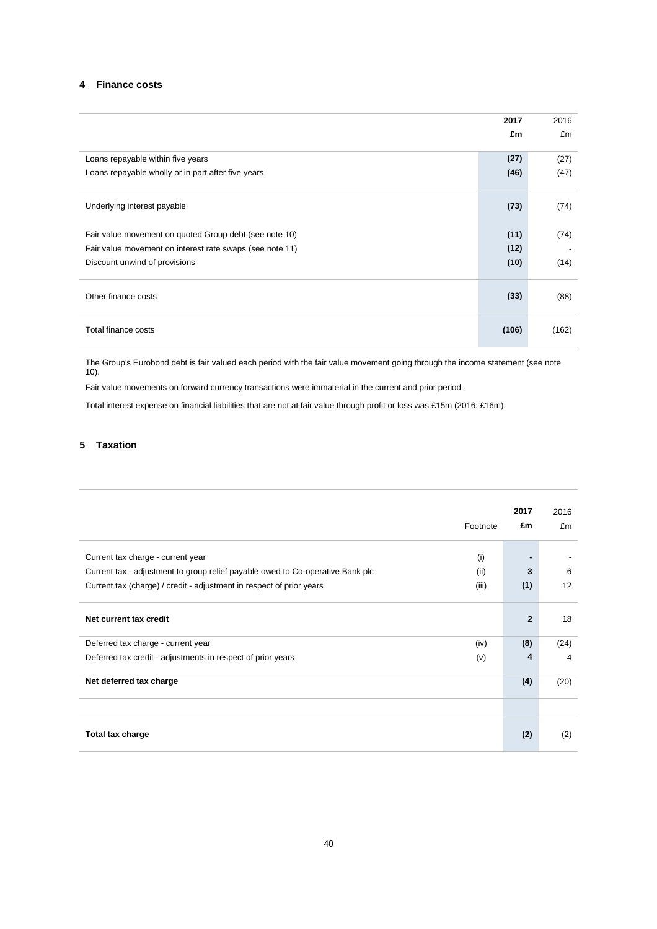### **4 Finance costs**

|                                                          | 2017  | 2016  |
|----------------------------------------------------------|-------|-------|
|                                                          | £m    | £m    |
| Loans repayable within five years                        | (27)  | (27)  |
| Loans repayable wholly or in part after five years       | (46)  | (47)  |
| Underlying interest payable                              | (73)  | (74)  |
| Fair value movement on quoted Group debt (see note 10)   | (11)  | (74)  |
| Fair value movement on interest rate swaps (see note 11) | (12)  |       |
| Discount unwind of provisions                            | (10)  | (14)  |
| Other finance costs                                      | (33)  | (88)  |
| Total finance costs                                      | (106) | (162) |

The Group's Eurobond debt is fair valued each period with the fair value movement going through the income statement (see note 10).

Fair value movements on forward currency transactions were immaterial in the current and prior period.

Total interest expense on financial liabilities that are not at fair value through profit or loss was £15m (2016: £16m).

## **5 Taxation**

|                                                                                |          | 2017           | 2016 |
|--------------------------------------------------------------------------------|----------|----------------|------|
|                                                                                | Footnote | £m             | £m   |
| Current tax charge - current year                                              | (i)      |                |      |
| Current tax - adjustment to group relief payable owed to Co-operative Bank plc | (ii)     | 3              | 6    |
| Current tax (charge) / credit - adjustment in respect of prior years           | (iii)    | (1)            | 12   |
| Net current tax credit                                                         |          | $\overline{2}$ | 18   |
| Deferred tax charge - current year                                             | (iv)     | (8)            | (24) |
| Deferred tax credit - adjustments in respect of prior years                    | (v)      | 4              | 4    |
| Net deferred tax charge                                                        |          | (4)            | (20) |
|                                                                                |          |                |      |
| Total tax charge                                                               |          | (2)            | (2)  |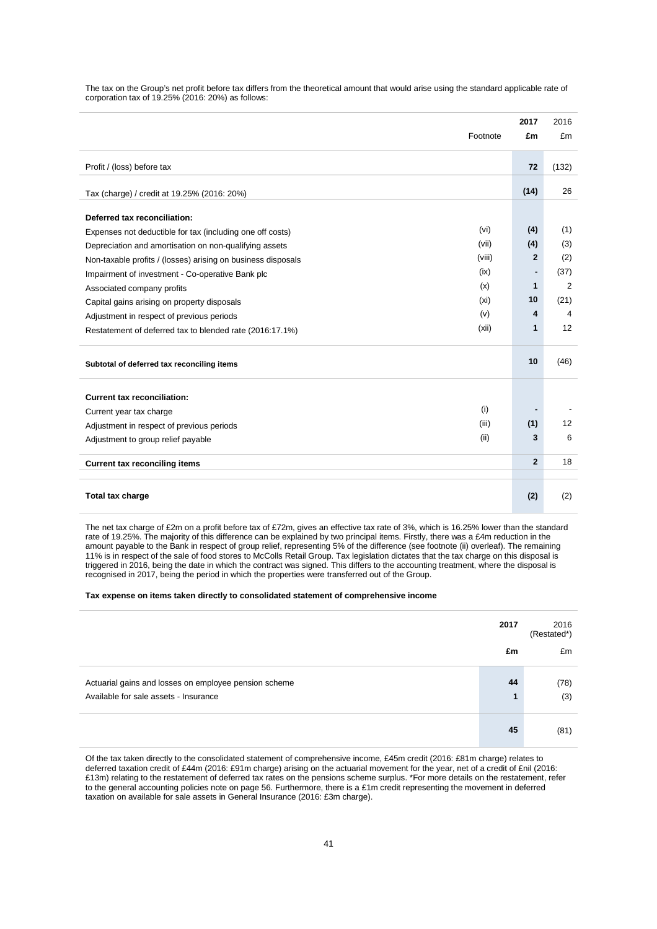The tax on the Group's net profit before tax differs from the theoretical amount that would arise using the standard applicable rate of corporation tax of 19.25% (2016: 20%) as follows:

|                                                                        | 2017                         | 2016           |
|------------------------------------------------------------------------|------------------------------|----------------|
| Footnote                                                               | £m                           | £m             |
| Profit / (loss) before tax                                             | 72                           | (132)          |
|                                                                        |                              |                |
| Tax (charge) / credit at 19.25% (2016: 20%)                            | (14)                         | 26             |
| Deferred tax reconciliation:                                           |                              |                |
| (vi)<br>Expenses not deductible for tax (including one off costs)      | (4)                          | (1)            |
| (vii)<br>Depreciation and amortisation on non-qualifying assets        | (4)                          | (3)            |
| (viii)<br>Non-taxable profits / (losses) arising on business disposals | $\mathbf{2}$                 | (2)            |
| (ix)<br>Impairment of investment - Co-operative Bank plc               | $\qquad \qquad \blacksquare$ | (37)           |
| (x)<br>Associated company profits                                      | $\mathbf 1$                  | $\overline{2}$ |
| (x <sub>i</sub> )<br>Capital gains arising on property disposals       | 10                           | (21)           |
| (v)<br>Adjustment in respect of previous periods                       | 4                            | 4              |
| (xii)<br>Restatement of deferred tax to blended rate (2016:17.1%)      | 1                            | 12             |
| Subtotal of deferred tax reconciling items                             | 10                           | (46)           |
| <b>Current tax reconciliation:</b>                                     |                              |                |
| (i)<br>Current year tax charge                                         |                              |                |
| (iii)<br>Adjustment in respect of previous periods                     | (1)                          | 12             |
| (ii)<br>Adjustment to group relief payable                             | 3                            | 6              |
| <b>Current tax reconciling items</b>                                   | $\overline{2}$               | 18             |
| Total tax charge                                                       | (2)                          | (2)            |

The net tax charge of £2m on a profit before tax of £72m, gives an effective tax rate of 3%, which is 16.25% lower than the standard rate of 19.25%. The majority of this difference can be explained by two principal items. Firstly, there was a £4m reduction in the amount payable to the Bank in respect of group relief, representing 5% of the difference (see footnote (ii) overleaf). The remaining 11% is in respect of the sale of food stores to McColls Retail Group. Tax legislation dictates that the tax charge on this disposal is triggered in 2016, being the date in which the contract was signed. This differs to the accounting treatment, where the disposal is recognised in 2017, being the period in which the properties were transferred out of the Group.

#### **Tax expense on items taken directly to consolidated statement of comprehensive income**

|                                                                                                | 2017    | 2016<br>(Restated*) |
|------------------------------------------------------------------------------------------------|---------|---------------------|
|                                                                                                | £m      | £m                  |
| Actuarial gains and losses on employee pension scheme<br>Available for sale assets - Insurance | 44<br>1 | (78)<br>(3)         |
|                                                                                                | 45      | (81)                |

Of the tax taken directly to the consolidated statement of comprehensive income, £45m credit (2016: £81m charge) relates to deferred taxation credit of £44m (2016: £91m charge) arising on the actuarial movement for the year, net of a credit of £nil (2016: £13m) relating to the restatement of deferred tax rates on the pensions scheme surplus. \*For more details on the restatement, refer to the general accounting policies note on page 56. Furthermore, there is a £1m credit representing the movement in deferred taxation on available for sale assets in General Insurance (2016: £3m charge).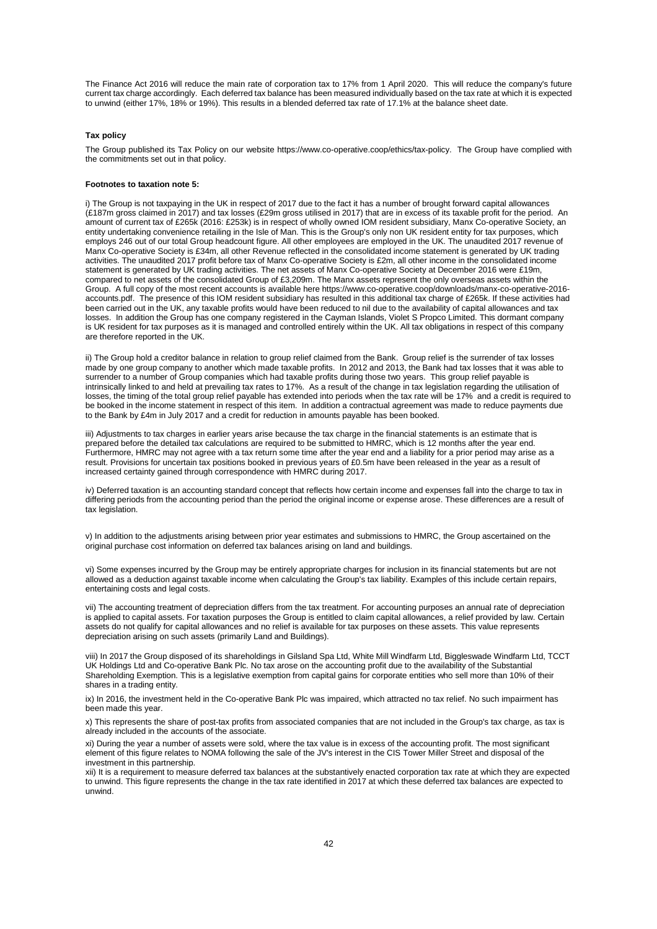The Finance Act 2016 will reduce the main rate of corporation tax to 17% from 1 April 2020. This will reduce the company's future current tax charge accordingly. Each deferred tax balance has been measured individually based on the tax rate at which it is expected to unwind (either 17%, 18% or 19%). This results in a blended deferred tax rate of 17.1% at the balance sheet date.

#### **Tax policy**

The Group published its Tax Policy on our website https://www.co-operative.coop/ethics/tax-policy. The Group have complied with the commitments set out in that policy.

#### **Footnotes to taxation note 5:**

i) The Group is not taxpaying in the UK in respect of 2017 due to the fact it has a number of brought forward capital allowances (£187m gross claimed in 2017) and tax losses (£29m gross utilised in 2017) that are in excess of its taxable profit for the period. An amount of current tax of £265k (2016: £253k) is in respect of wholly owned IOM resident subsidiary, Manx Co-operative Society, an entity undertaking convenience retailing in the Isle of Man. This is the Group's only non UK resident entity for tax purposes, which employs 246 out of our total Group headcount figure. All other employees are employed in the UK. The unaudited 2017 revenue of Manx Co-operative Society is £34m, all other Revenue reflected in the consolidated income statement is generated by UK trading activities. The unaudited 2017 profit before tax of Manx Co-operative Society is £2m, all other income in the consolidated income statement is generated by UK trading activities. The net assets of Manx Co-operative Society at December 2016 were £19m, compared to net assets of the consolidated Group of £3,209m. The Manx assets represent the only overseas assets within the Group. A full copy of the most recent accounts is available here https://www.co-operative.coop/downloads/manx-co-operative-2016 accounts.pdf. The presence of this IOM resident subsidiary has resulted in this additional tax charge of £265k. If these activities had been carried out in the UK, any taxable profits would have been reduced to nil due to the availability of capital allowances and tax losses. In addition the Group has one company registered in the Cayman Islands, Violet S Propco Limited. This dormant company is UK resident for tax purposes as it is managed and controlled entirely within the UK. All tax obligations in respect of this company are therefore reported in the UK.

ii) The Group hold a creditor balance in relation to group relief claimed from the Bank. Group relief is the surrender of tax losses made by one group company to another which made taxable profits. In 2012 and 2013, the Bank had tax losses that it was able to surrender to a number of Group companies which had taxable profits during those two years. This group relief payable is intrinsically linked to and held at prevailing tax rates to 17%. As a result of the change in tax legislation regarding the utilisation of losses, the timing of the total group relief payable has extended into periods when the tax rate will be 17% and a credit is required to be booked in the income statement in respect of this item. In addition a contractual agreement was made to reduce payments due to the Bank by £4m in July 2017 and a credit for reduction in amounts payable has been booked.

iii) Adjustments to tax charges in earlier years arise because the tax charge in the financial statements is an estimate that is prepared before the detailed tax calculations are required to be submitted to HMRC, which is 12 months after the year end. Furthermore, HMRC may not agree with a tax return some time after the year end and a liability for a prior period may arise as a result. Provisions for uncertain tax positions booked in previous years of £0.5m have been released in the year as a result of increased certainty gained through correspondence with HMRC during 2017.

iv) Deferred taxation is an accounting standard concept that reflects how certain income and expenses fall into the charge to tax in differing periods from the accounting period than the period the original income or expense arose. These differences are a result of tax legislation.

v) In addition to the adjustments arising between prior year estimates and submissions to HMRC, the Group ascertained on the original purchase cost information on deferred tax balances arising on land and buildings.

vi) Some expenses incurred by the Group may be entirely appropriate charges for inclusion in its financial statements but are not allowed as a deduction against taxable income when calculating the Group's tax liability. Examples of this include certain repairs, entertaining costs and legal costs.

vii) The accounting treatment of depreciation differs from the tax treatment. For accounting purposes an annual rate of depreciation is applied to capital assets. For taxation purposes the Group is entitled to claim capital allowances, a relief provided by law. Certain assets do not qualify for capital allowances and no relief is available for tax purposes on these assets. This value represents depreciation arising on such assets (primarily Land and Buildings).

viii) In 2017 the Group disposed of its shareholdings in Gilsland Spa Ltd, White Mill Windfarm Ltd, Biggleswade Windfarm Ltd, TCCT UK Holdings Ltd and Co-operative Bank Plc. No tax arose on the accounting profit due to the availability of the Substantial Shareholding Exemption. This is a legislative exemption from capital gains for corporate entities who sell more than 10% of their shares in a trading entity.

ix) In 2016, the investment held in the Co-operative Bank Plc was impaired, which attracted no tax relief. No such impairment has been made this year.

x) This represents the share of post-tax profits from associated companies that are not included in the Group's tax charge, as tax is already included in the accounts of the associate.

xi) During the year a number of assets were sold, where the tax value is in excess of the accounting profit. The most significant element of this figure relates to NOMA following the sale of the JV's interest in the CIS Tower Miller Street and disposal of the investment in this partnership.

xii) It is a requirement to measure deferred tax balances at the substantively enacted corporation tax rate at which they are expected to unwind. This figure represents the change in the tax rate identified in 2017 at which these deferred tax balances are expected to unwind.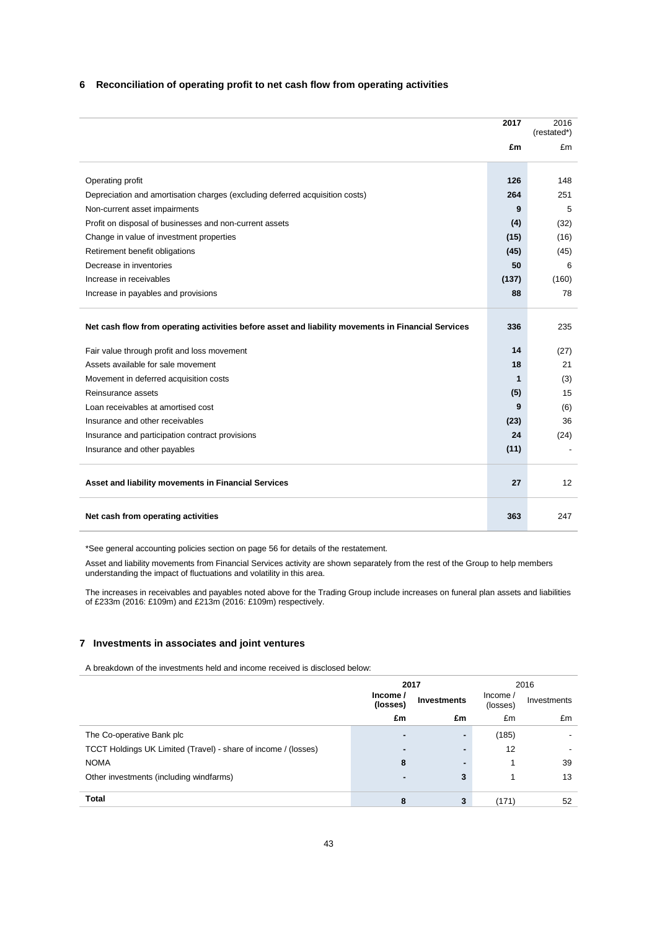### **6 Reconciliation of operating profit to net cash flow from operating activities**

|                                                                                                    | 2017  | 2016<br>(restated*) |
|----------------------------------------------------------------------------------------------------|-------|---------------------|
|                                                                                                    | £m    | £m                  |
|                                                                                                    |       |                     |
| Operating profit                                                                                   | 126   | 148                 |
| Depreciation and amortisation charges (excluding deferred acquisition costs)                       | 264   | 251                 |
| Non-current asset impairments                                                                      | 9     | 5                   |
| Profit on disposal of businesses and non-current assets                                            | (4)   | (32)                |
| Change in value of investment properties                                                           | (15)  | (16)                |
| Retirement benefit obligations                                                                     | (45)  | (45)                |
| Decrease in inventories                                                                            | 50    | 6                   |
| Increase in receivables                                                                            | (137) | (160)               |
| Increase in payables and provisions                                                                | 88    | 78                  |
| Net cash flow from operating activities before asset and liability movements in Financial Services | 336   | 235                 |
| Fair value through profit and loss movement                                                        | 14    | (27)                |
| Assets available for sale movement                                                                 | 18    | 21                  |
| Movement in deferred acquisition costs                                                             | 1     | (3)                 |
| Reinsurance assets                                                                                 | (5)   | 15                  |
| Loan receivables at amortised cost                                                                 | 9     | (6)                 |
| Insurance and other receivables                                                                    | (23)  | 36                  |
| Insurance and participation contract provisions                                                    | 24    | (24)                |
| Insurance and other payables                                                                       | (11)  |                     |
| Asset and liability movements in Financial Services                                                | 27    | 12                  |
| Net cash from operating activities                                                                 | 363   | 247                 |

\*See general accounting policies section on page 56 for details of the restatement.

Asset and liability movements from Financial Services activity are shown separately from the rest of the Group to help members understanding the impact of fluctuations and volatility in this area.

The increases in receivables and payables noted above for the Trading Group include increases on funeral plan assets and liabilities of £233m (2016: £109m) and £213m (2016: £109m) respectively.

### **7 Investments in associates and joint ventures**

A breakdown of the investments held and income received is disclosed below:

|                                                                | 2017                     |                    |                     |             |  | 2016 |
|----------------------------------------------------------------|--------------------------|--------------------|---------------------|-------------|--|------|
|                                                                | Income /<br>(losses)     | <b>Investments</b> | Income/<br>(losses) | Investments |  |      |
|                                                                | £m                       | £m                 | £m                  | £m          |  |      |
| The Co-operative Bank plc                                      | $\overline{\phantom{0}}$ | -                  | (185)               |             |  |      |
| TCCT Holdings UK Limited (Travel) - share of income / (losses) | $\blacksquare$           |                    | 12                  |             |  |      |
| <b>NOMA</b>                                                    | 8                        | -                  |                     | 39          |  |      |
| Other investments (including windfarms)                        | $\blacksquare$           | 3                  |                     | 13          |  |      |
| <b>Total</b>                                                   |                          |                    |                     |             |  |      |
|                                                                | 8                        | 3                  | (171)               | 52          |  |      |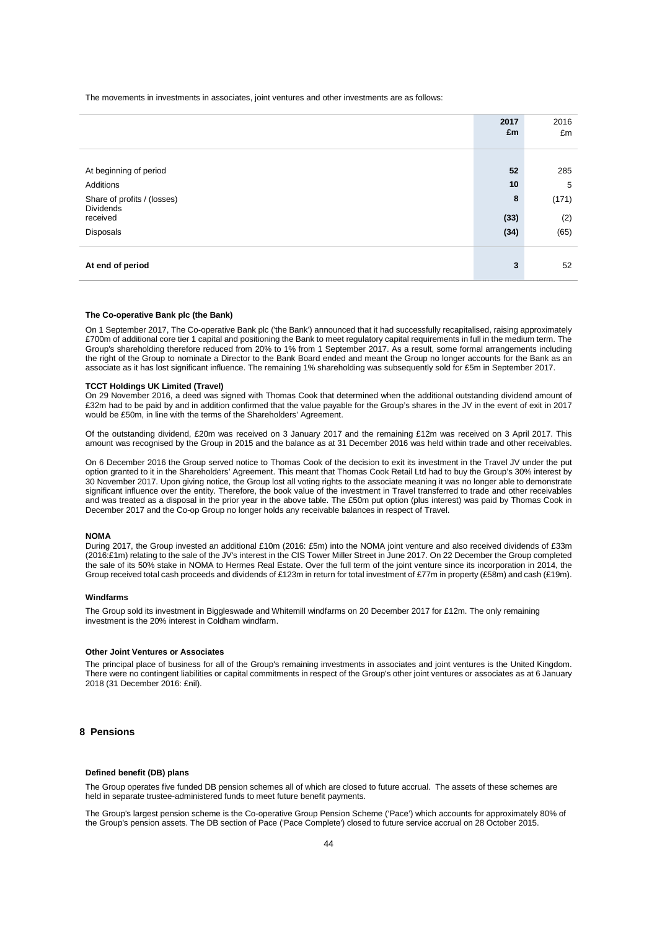The movements in investments in associates, joint ventures and other investments are as follows:

|                              | 2017<br>£m | 2016<br>£m |
|------------------------------|------------|------------|
|                              |            |            |
| At beginning of period       | 52         | 285        |
| Additions                    | 10         | 5          |
| Share of profits / (losses)  | 8          | (171)      |
| <b>Dividends</b><br>received | (33)       | (2)        |
| Disposals                    | (34)       | (65)       |
|                              |            |            |
| At end of period             | 3          | 52         |
|                              |            |            |

#### **The Co-operative Bank plc (the Bank)**

On 1 September 2017, The Co-operative Bank plc ('the Bank') announced that it had successfully recapitalised, raising approximately £700m of additional core tier 1 capital and positioning the Bank to meet regulatory capital requirements in full in the medium term. The Group's shareholding therefore reduced from 20% to 1% from 1 September 2017. As a result, some formal arrangements including the right of the Group to nominate a Director to the Bank Board ended and meant the Group no longer accounts for the Bank as an associate as it has lost significant influence. The remaining 1% shareholding was subsequently sold for £5m in September 2017.

#### **TCCT Holdings UK Limited (Travel)**

On 29 November 2016, a deed was signed with Thomas Cook that determined when the additional outstanding dividend amount of £32m had to be paid by and in addition confirmed that the value payable for the Group's shares in the JV in the event of exit in 2017 would be £50m, in line with the terms of the Shareholders' Agreement.

Of the outstanding dividend, £20m was received on 3 January 2017 and the remaining £12m was received on 3 April 2017. This amount was recognised by the Group in 2015 and the balance as at 31 December 2016 was held within trade and other receivables.

On 6 December 2016 the Group served notice to Thomas Cook of the decision to exit its investment in the Travel JV under the put option granted to it in the Shareholders' Agreement. This meant that Thomas Cook Retail Ltd had to buy the Group's 30% interest by 30 November 2017. Upon giving notice, the Group lost all voting rights to the associate meaning it was no longer able to demonstrate significant influence over the entity. Therefore, the book value of the investment in Travel transferred to trade and other receivables and was treated as a disposal in the prior year in the above table. The £50m put option (plus interest) was paid by Thomas Cook in December 2017 and the Co-op Group no longer holds any receivable balances in respect of Travel.

### **NOMA**

During 2017, the Group invested an additional £10m (2016: £5m) into the NOMA joint venture and also received dividends of £33m (2016:£1m) relating to the sale of the JV's interest in the CIS Tower Miller Street in June 2017. On 22 December the Group completed the sale of its 50% stake in NOMA to Hermes Real Estate. Over the full term of the joint venture since its incorporation in 2014, the Group received total cash proceeds and dividends of £123m in return for total investment of £77m in property (£58m) and cash (£19m).

#### **Windfarms**

The Group sold its investment in Biggleswade and Whitemill windfarms on 20 December 2017 for £12m. The only remaining investment is the 20% interest in Coldham windfarm.

#### **Other Joint Ventures or Associates**

The principal place of business for all of the Group's remaining investments in associates and joint ventures is the United Kingdom. There were no contingent liabilities or capital commitments in respect of the Group's other joint ventures or associates as at 6 January 2018 (31 December 2016: £nil).

### **8 Pensions**

#### **Defined benefit (DB) plans**

The Group operates five funded DB pension schemes all of which are closed to future accrual. The assets of these schemes are held in separate trustee-administered funds to meet future benefit payments.

The Group's largest pension scheme is the Co-operative Group Pension Scheme ('Pace') which accounts for approximately 80% of the Group's pension assets. The DB section of Pace ('Pace Complete') closed to future service accrual on 28 October 2015.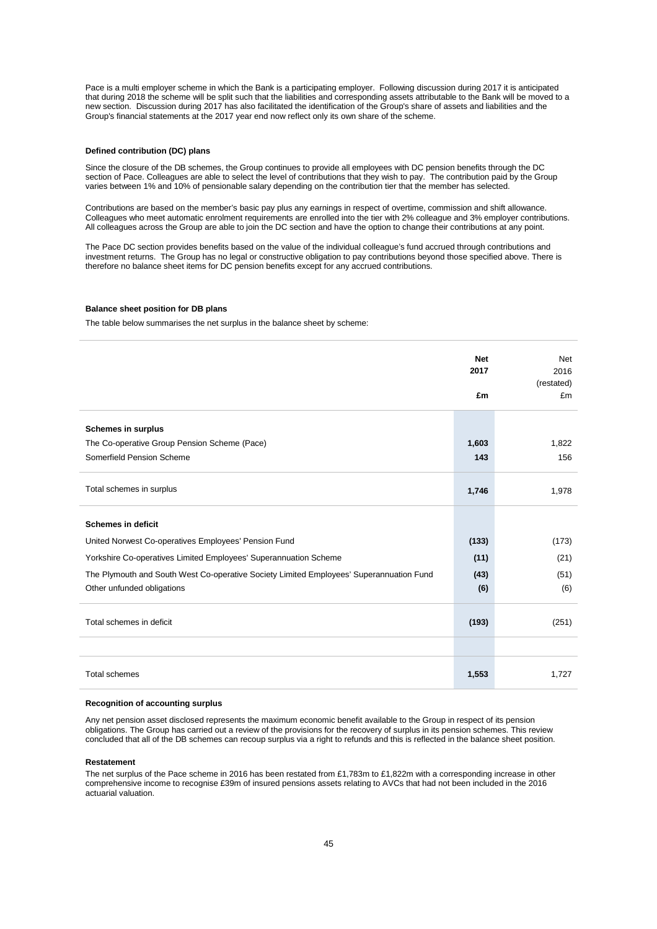Pace is a multi employer scheme in which the Bank is a participating employer. Following discussion during 2017 it is anticipated that during 2018 the scheme will be split such that the liabilities and corresponding assets attributable to the Bank will be moved to a new section. Discussion during 2017 has also facilitated the identification of the Group's share of assets and liabilities and the Group's financial statements at the 2017 year end now reflect only its own share of the scheme.

#### **Defined contribution (DC) plans**

Since the closure of the DB schemes, the Group continues to provide all employees with DC pension benefits through the DC section of Pace. Colleagues are able to select the level of contributions that they wish to pay. The contribution paid by the Group varies between 1% and 10% of pensionable salary depending on the contribution tier that the member has selected.

Contributions are based on the member's basic pay plus any earnings in respect of overtime, commission and shift allowance. Colleagues who meet automatic enrolment requirements are enrolled into the tier with 2% colleague and 3% employer contributions. All colleagues across the Group are able to join the DC section and have the option to change their contributions at any point.

The Pace DC section provides benefits based on the value of the individual colleague's fund accrued through contributions and investment returns. The Group has no legal or constructive obligation to pay contributions beyond those specified above. There is therefore no balance sheet items for DC pension benefits except for any accrued contributions.

### **Balance sheet position for DB plans**

The table below summarises the net surplus in the balance sheet by scheme:

|                                                                                         | <b>Net</b><br>2017<br>£m | <b>Net</b><br>2016<br>(restated)<br>£m |
|-----------------------------------------------------------------------------------------|--------------------------|----------------------------------------|
| Schemes in surplus                                                                      |                          |                                        |
| The Co-operative Group Pension Scheme (Pace)                                            | 1,603                    | 1,822                                  |
| Somerfield Pension Scheme                                                               | 143                      | 156                                    |
| Total schemes in surplus                                                                | 1,746                    | 1,978                                  |
| <b>Schemes in deficit</b>                                                               |                          |                                        |
| United Norwest Co-operatives Employees' Pension Fund                                    | (133)                    | (173)                                  |
| Yorkshire Co-operatives Limited Employees' Superannuation Scheme                        | (11)                     | (21)                                   |
| The Plymouth and South West Co-operative Society Limited Employees' Superannuation Fund | (43)                     | (51)                                   |
| Other unfunded obligations                                                              | (6)                      | (6)                                    |
| Total schemes in deficit                                                                | (193)                    | (251)                                  |
|                                                                                         |                          |                                        |
| <b>Total schemes</b>                                                                    | 1,553                    | 1,727                                  |

### **Recognition of accounting surplus**

Any net pension asset disclosed represents the maximum economic benefit available to the Group in respect of its pension obligations. The Group has carried out a review of the provisions for the recovery of surplus in its pension schemes. This review concluded that all of the DB schemes can recoup surplus via a right to refunds and this is reflected in the balance sheet position.

#### **Restatement**

The net surplus of the Pace scheme in 2016 has been restated from £1,783m to £1,822m with a corresponding increase in other comprehensive income to recognise £39m of insured pensions assets relating to AVCs that had not been included in the 2016 actuarial valuation.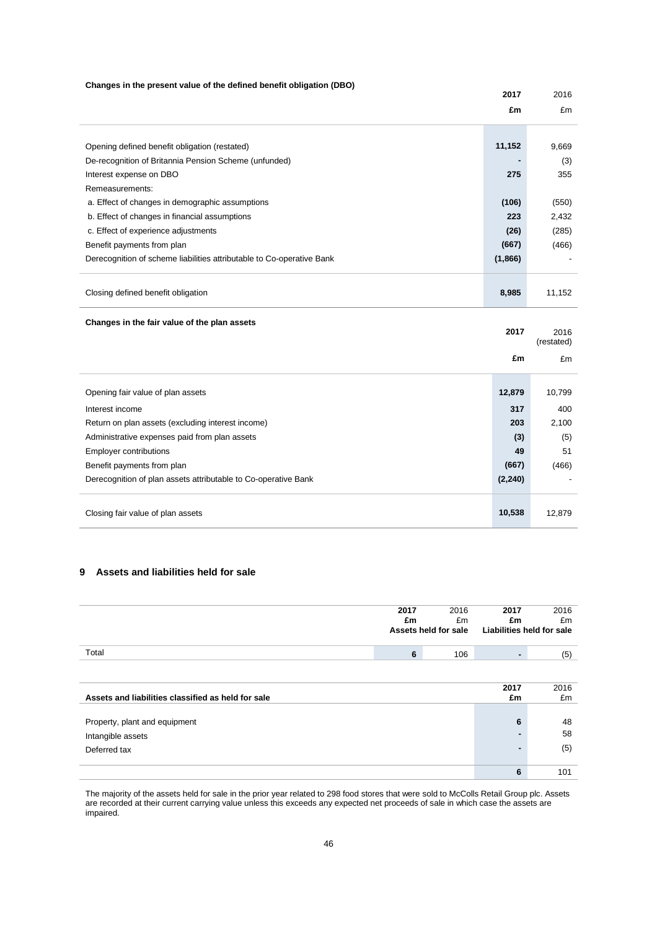### **Changes in the present value of the defined benefit obligation (DBO)**

|                                                                       | 2017     | 2016               |
|-----------------------------------------------------------------------|----------|--------------------|
|                                                                       | £m       | £m                 |
|                                                                       |          |                    |
| Opening defined benefit obligation (restated)                         | 11,152   | 9,669              |
| De-recognition of Britannia Pension Scheme (unfunded)                 |          | (3)                |
| Interest expense on DBO                                               | 275      | 355                |
| Remeasurements:                                                       |          |                    |
| a. Effect of changes in demographic assumptions                       | (106)    | (550)              |
| b. Effect of changes in financial assumptions                         | 223      | 2,432              |
| c. Effect of experience adjustments                                   | (26)     | (285)              |
| Benefit payments from plan                                            | (667)    | (466)              |
| Derecognition of scheme liabilities attributable to Co-operative Bank | (1,866)  |                    |
|                                                                       |          |                    |
| Closing defined benefit obligation                                    | 8,985    | 11,152             |
| Changes in the fair value of the plan assets                          |          |                    |
|                                                                       | 2017     | 2016<br>(restated) |
|                                                                       | £m       | £m                 |
|                                                                       |          |                    |
| Opening fair value of plan assets                                     | 12,879   | 10,799             |
| Interest income                                                       | 317      | 400                |
| Return on plan assets (excluding interest income)                     | 203      | 2,100              |
| Administrative expenses paid from plan assets                         | (3)      | (5)                |
| Employer contributions                                                | 49       | 51                 |
| Benefit payments from plan                                            | (667)    | (466)              |
| Derecognition of plan assets attributable to Co-operative Bank        | (2, 240) |                    |
|                                                                       |          |                    |
| Closing fair value of plan assets                                     | 10,538   | 12,879             |

### **9 Assets and liabilities held for sale**

|                                                    | 2017<br>£m | 2016<br>£m<br>Assets held for sale | 2017<br>£m | 2016<br>£m<br><b>Liabilities held for sale</b> |
|----------------------------------------------------|------------|------------------------------------|------------|------------------------------------------------|
| Total                                              | 6          | 106                                | ٠.         | (5)                                            |
|                                                    |            |                                    |            |                                                |
| Assets and liabilities classified as held for sale |            |                                    | 2017<br>£m | 2016<br>£m                                     |
|                                                    |            |                                    |            |                                                |
| Property, plant and equipment                      |            |                                    | 6          | 48                                             |
| Intangible assets                                  |            |                                    |            | 58                                             |
| Deferred tax                                       |            |                                    | -          | (5)                                            |
|                                                    |            |                                    | 6          | 101                                            |

The majority of the assets held for sale in the prior year related to 298 food stores that were sold to McColls Retail Group plc. Assets are recorded at their current carrying value unless this exceeds any expected net proceeds of sale in which case the assets are impaired.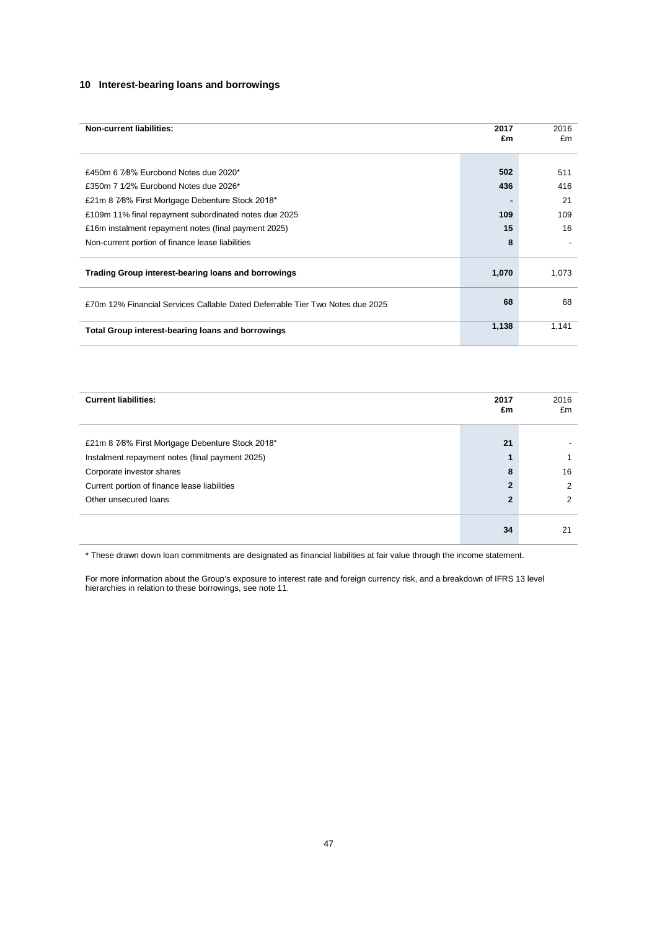### **10 Interest-bearing loans and borrowings**

| <b>Non-current liabilities:</b>                                               | 2017<br>£m | 2016<br>£m |
|-------------------------------------------------------------------------------|------------|------------|
|                                                                               |            |            |
| £450m 6 7/8% Eurobond Notes due 2020*                                         | 502        | 511        |
| £350m 7 1/2% Eurobond Notes due 2026*                                         | 436        | 416        |
| £21m 8 7/8% First Mortgage Debenture Stock 2018*                              |            | 21         |
| £109m 11% final repayment subordinated notes due 2025                         | 109        | 109        |
| £16m instalment repayment notes (final payment 2025)                          | 15         | 16         |
| Non-current portion of finance lease liabilities                              | 8          |            |
| Trading Group interest-bearing loans and borrowings                           |            | 1,073      |
| £70m 12% Financial Services Callable Dated Deferrable Tier Two Notes due 2025 | 68         | 68         |
| Total Group interest-bearing loans and borrowings                             | 1,138      | 1,141      |

| <b>Current liabilities:</b>                      | 2017<br>£m     | 2016<br>£m |
|--------------------------------------------------|----------------|------------|
| £21m 8 7/8% First Mortgage Debenture Stock 2018* | 21             |            |
| Instalment repayment notes (final payment 2025)  |                |            |
| Corporate investor shares                        | 8              | 16         |
| Current portion of finance lease liabilities     | $\overline{2}$ | 2          |
| Other unsecured loans                            | $\overline{2}$ | 2          |
|                                                  | 34             | 21         |

\* These drawn down loan commitments are designated as financial liabilities at fair value through the income statement.

For more information about the Group's exposure to interest rate and foreign currency risk, and a breakdown of IFRS 13 level hierarchies in relation to these borrowings, see note 11.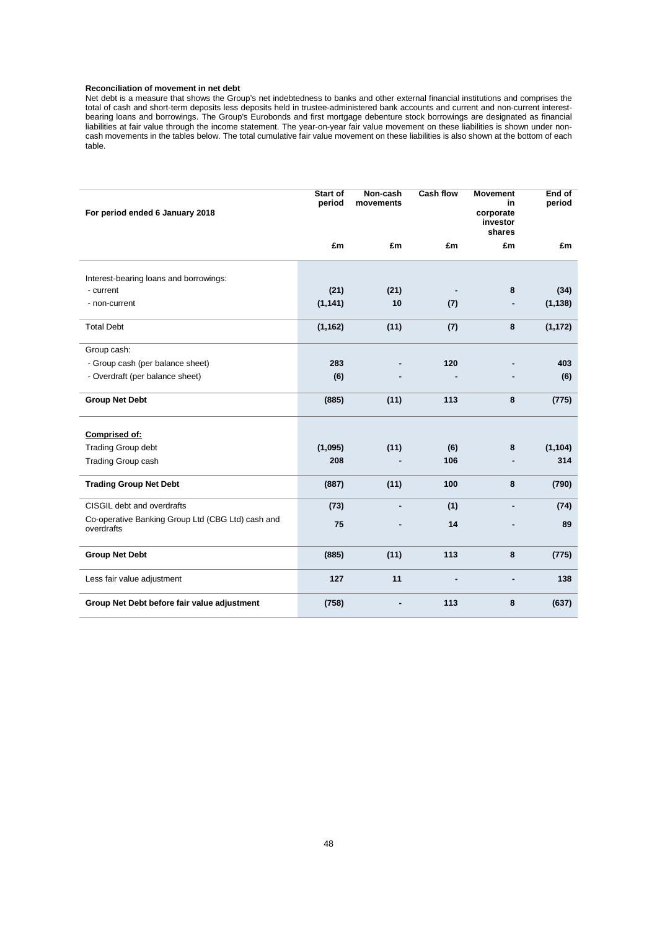### **Reconciliation of movement in net debt**

Net debt is a measure that shows the Group's net indebtedness to banks and other external financial institutions and comprises the total of cash and short-term deposits less deposits held in trustee-administered bank accounts and current and non-current interestbearing loans and borrowings. The Group's Eurobonds and first mortgage debenture stock borrowings are designated as financial liabilities at fair value through the income statement. The year-on-year fair value movement on these liabilities is shown under noncash movements in the tables below. The total cumulative fair value movement on these liabilities is also shown at the bottom of each table.

| For period ended 6 January 2018                                 | Start of<br>period | Non-cash<br>movements | <b>Cash flow</b> | <b>Movement</b><br>in<br>corporate<br>investor<br>shares | End of<br>period |
|-----------------------------------------------------------------|--------------------|-----------------------|------------------|----------------------------------------------------------|------------------|
|                                                                 | £m                 | £m                    | £m               | £m                                                       | £m               |
|                                                                 |                    |                       |                  |                                                          |                  |
| Interest-bearing loans and borrowings:<br>- current             | (21)               | (21)                  |                  | 8                                                        | (34)             |
| - non-current                                                   | (1, 141)           | 10                    | (7)              |                                                          | (1, 138)         |
|                                                                 |                    |                       |                  |                                                          |                  |
| <b>Total Debt</b>                                               | (1, 162)           | (11)                  | (7)              | 8                                                        | (1, 172)         |
| Group cash:                                                     |                    |                       |                  |                                                          |                  |
| - Group cash (per balance sheet)                                | 283                |                       | 120              |                                                          | 403              |
| - Overdraft (per balance sheet)                                 | (6)                |                       |                  |                                                          | (6)              |
| <b>Group Net Debt</b>                                           | (885)              | (11)                  | 113              | 8                                                        | (775)            |
| Comprised of:                                                   |                    |                       |                  |                                                          |                  |
| <b>Trading Group debt</b>                                       | (1,095)            | (11)                  | (6)              | 8                                                        | (1, 104)         |
| Trading Group cash                                              | 208                |                       | 106              |                                                          | 314              |
| <b>Trading Group Net Debt</b>                                   | (887)              | (11)                  | 100              | 8                                                        | (790)            |
| CISGIL debt and overdrafts                                      | (73)               | ä,                    | (1)              | ä,                                                       | (74)             |
| Co-operative Banking Group Ltd (CBG Ltd) cash and<br>overdrafts | 75                 |                       | 14               |                                                          | 89               |
| <b>Group Net Debt</b>                                           | (885)              | (11)                  | 113              | 8                                                        | (775)            |
| Less fair value adjustment                                      | 127                | 11                    | $\blacksquare$   | ۰                                                        | 138              |
| Group Net Debt before fair value adjustment                     | (758)              |                       | 113              | 8                                                        | (637)            |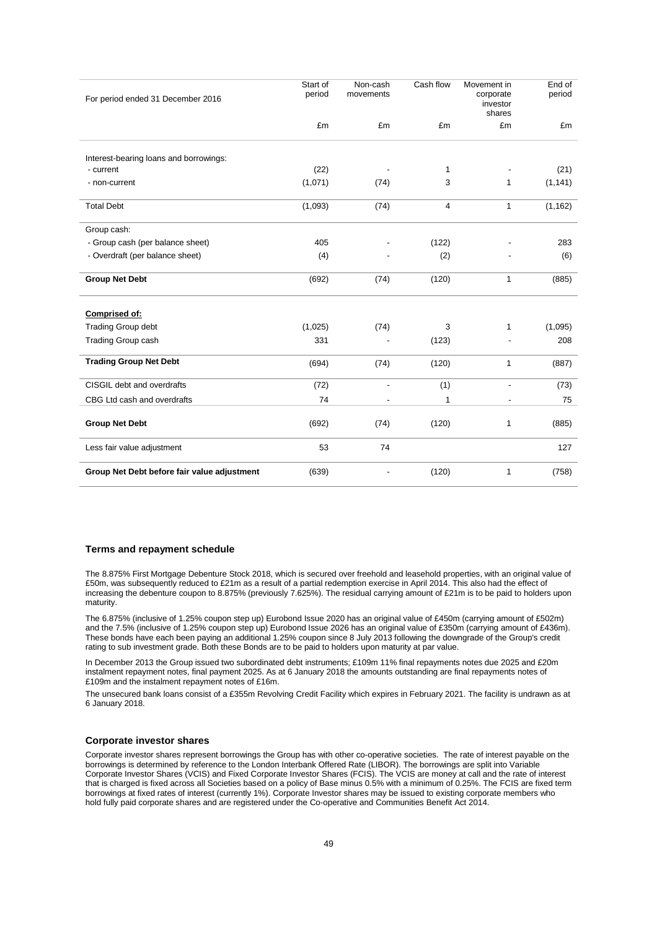| For period ended 31 December 2016                   | Start of<br>period | Non-cash<br>movements    | Cash flow      | Movement in<br>corporate<br>investor<br>shares | End of<br>period |
|-----------------------------------------------------|--------------------|--------------------------|----------------|------------------------------------------------|------------------|
|                                                     | £m                 | £m                       | £m             | £m                                             | £m               |
|                                                     |                    |                          |                |                                                |                  |
| Interest-bearing loans and borrowings:<br>- current | (22)               |                          | 1              |                                                | (21)             |
| - non-current                                       | (1,071)            | (74)                     | 3              | 1                                              | (1, 141)         |
|                                                     |                    |                          |                |                                                |                  |
| <b>Total Debt</b>                                   | (1,093)            | (74)                     | $\overline{4}$ | $\mathbf{1}$                                   | (1, 162)         |
| Group cash:                                         |                    |                          |                |                                                |                  |
| - Group cash (per balance sheet)                    | 405                |                          | (122)          |                                                | 283              |
| - Overdraft (per balance sheet)                     | (4)                |                          | (2)            |                                                | (6)              |
| <b>Group Net Debt</b>                               | (692)              | (74)                     | (120)          | 1                                              | (885)            |
| Comprised of:                                       |                    |                          |                |                                                |                  |
| <b>Trading Group debt</b>                           | (1,025)            | (74)                     | 3              | 1                                              | (1,095)          |
| <b>Trading Group cash</b>                           | 331                |                          | (123)          |                                                | 208              |
| <b>Trading Group Net Debt</b>                       | (694)              | (74)                     | (120)          | 1                                              | (887)            |
| CISGIL debt and overdrafts                          | (72)               | $\overline{\phantom{a}}$ | (1)            | $\overline{\phantom{a}}$                       | (73)             |
| CBG Ltd cash and overdrafts                         | 74                 |                          | 1              |                                                | 75               |
| <b>Group Net Debt</b>                               | (692)              | (74)                     | (120)          | 1                                              | (885)            |
| Less fair value adjustment                          | 53                 | 74                       |                |                                                | 127              |
| Group Net Debt before fair value adjustment         | (639)              |                          | (120)          | 1                                              | (758)            |

### **Terms and repayment schedule**

The 8.875% First Mortgage Debenture Stock 2018, which is secured over freehold and leasehold properties, with an original value of £50m, was subsequently reduced to £21m as a result of a partial redemption exercise in April 2014. This also had the effect of increasing the debenture coupon to 8.875% (previously 7.625%). The residual carrying amount of £21m is to be paid to holders upon maturity.

The 6.875% (inclusive of 1.25% coupon step up) Eurobond Issue 2020 has an original value of £450m (carrying amount of £502m) and the 7.5% (inclusive of 1.25% coupon step up) Eurobond Issue 2026 has an original value of £350m (carrying amount of £436m). These bonds have each been paying an additional 1.25% coupon since 8 July 2013 following the downgrade of the Group's credit rating to sub investment grade. Both these Bonds are to be paid to holders upon maturity at par value.

In December 2013 the Group issued two subordinated debt instruments; £109m 11% final repayments notes due 2025 and £20m instalment repayment notes, final payment 2025. As at 6 January 2018 the amounts outstanding are final repayments notes of £109m and the instalment repayment notes of £16m.

The unsecured bank loans consist of a £355m Revolving Credit Facility which expires in February 2021. The facility is undrawn as at 6 January 2018.

### **Corporate investor shares**

Corporate investor shares represent borrowings the Group has with other co-operative societies. The rate of interest payable on the borrowings is determined by reference to the London Interbank Offered Rate (LIBOR). The borrowings are split into Variable Corporate Investor Shares (VCIS) and Fixed Corporate Investor Shares (FCIS). The VCIS are money at call and the rate of interest that is charged is fixed across all Societies based on a policy of Base minus 0.5% with a minimum of 0.25%. The FCIS are fixed term borrowings at fixed rates of interest (currently 1%). Corporate Investor shares may be issued to existing corporate members who hold fully paid corporate shares and are registered under the Co-operative and Communities Benefit Act 2014.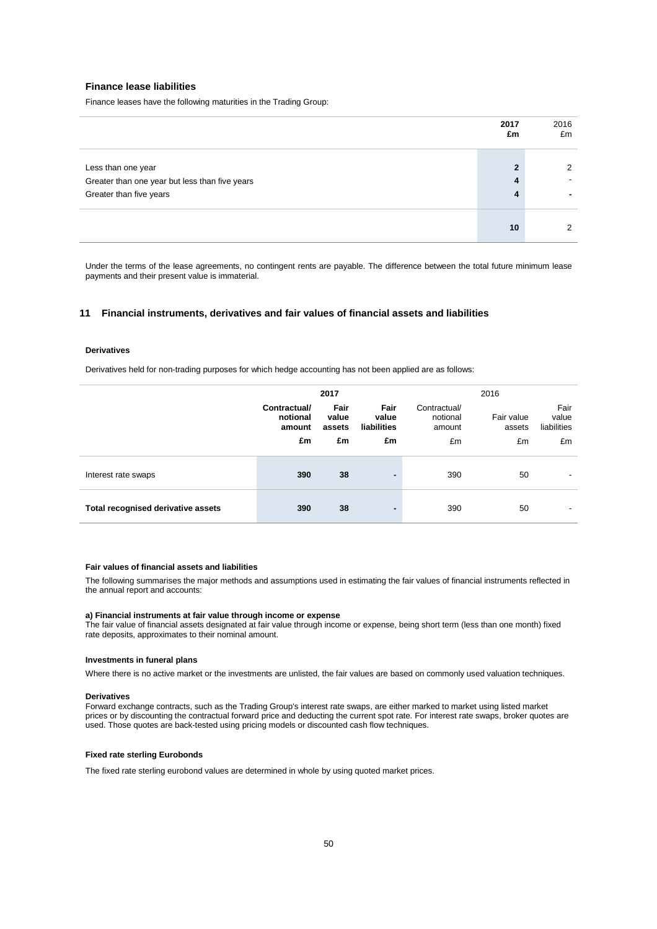### **Finance lease liabilities**

Finance leases have the following maturities in the Trading Group:

|                                                | 2017<br>£m | 2016<br>£m    |
|------------------------------------------------|------------|---------------|
|                                                | າ          | $\mathcal{P}$ |
| Less than one year                             |            |               |
| Greater than one year but less than five years | 4          |               |
| Greater than five years                        | 4          |               |
|                                                | 10         | $\Omega$      |

Under the terms of the lease agreements, no contingent rents are payable. The difference between the total future minimum lease payments and their present value is immaterial.

### **11 Financial instruments, derivatives and fair values of financial assets and liabilities**

### **Derivatives**

Derivatives held for non-trading purposes for which hedge accounting has not been applied are as follows:

|                                    |                                    | 2017                    |                              |                                    | 2016                 |                              |
|------------------------------------|------------------------------------|-------------------------|------------------------------|------------------------------------|----------------------|------------------------------|
|                                    | Contractual/<br>notional<br>amount | Fair<br>value<br>assets | Fair<br>value<br>liabilities | Contractual/<br>notional<br>amount | Fair value<br>assets | Fair<br>value<br>liabilities |
|                                    | £m                                 | £m                      | £m                           | £m                                 | £m                   | £m                           |
| Interest rate swaps                | 390                                | 38                      | ۰                            | 390                                | 50                   |                              |
| Total recognised derivative assets | 390                                | 38                      | ۰                            | 390                                | 50                   | -                            |

#### **Fair values of financial assets and liabilities**

The following summarises the major methods and assumptions used in estimating the fair values of financial instruments reflected in the annual report and accounts:

#### **a) Financial instruments at fair value through income or expense**

The fair value of financial assets designated at fair value through income or expense, being short term (less than one month) fixed rate deposits, approximates to their nominal amount.

#### **Investments in funeral plans**

Where there is no active market or the investments are unlisted, the fair values are based on commonly used valuation techniques.

#### **Derivatives**

Forward exchange contracts, such as the Trading Group's interest rate swaps, are either marked to market using listed market prices or by discounting the contractual forward price and deducting the current spot rate. For interest rate swaps, broker quotes are used. Those quotes are back-tested using pricing models or discounted cash flow techniques.

#### **Fixed rate sterling Eurobonds**

The fixed rate sterling eurobond values are determined in whole by using quoted market prices.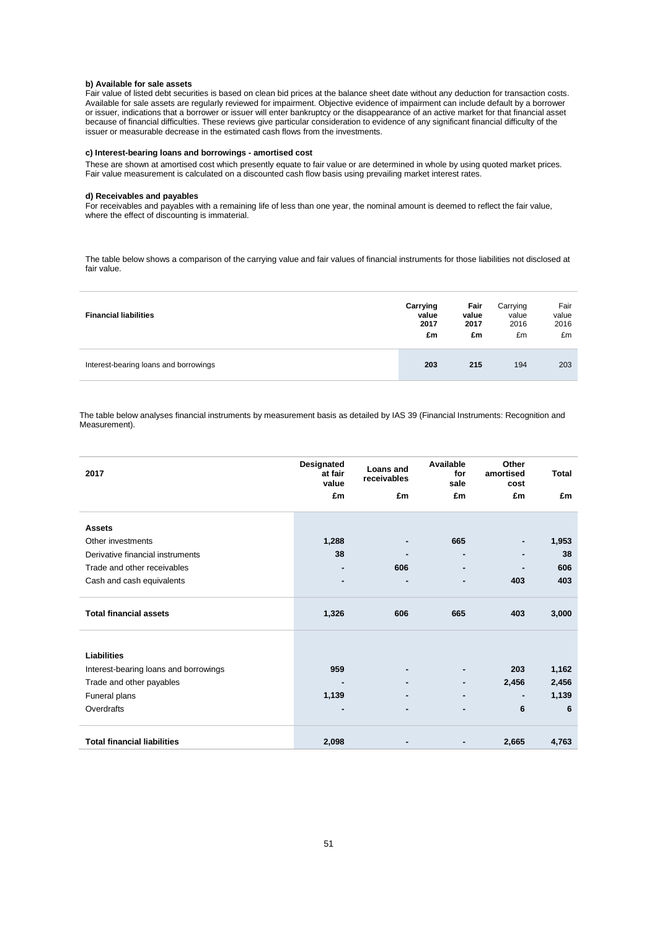#### **b) Available for sale assets**

Fair value of listed debt securities is based on clean bid prices at the balance sheet date without any deduction for transaction costs. Available for sale assets are regularly reviewed for impairment. Objective evidence of impairment can include default by a borrower or issuer, indications that a borrower or issuer will enter bankruptcy or the disappearance of an active market for that financial asset because of financial difficulties. These reviews give particular consideration to evidence of any significant financial difficulty of the issuer or measurable decrease in the estimated cash flows from the investments.

### **c) Interest-bearing loans and borrowings - amortised cost**

These are shown at amortised cost which presently equate to fair value or are determined in whole by using quoted market prices. Fair value measurement is calculated on a discounted cash flow basis using prevailing market interest rates.

#### **d) Receivables and payables**

For receivables and payables with a remaining life of less than one year, the nominal amount is deemed to reflect the fair value, where the effect of discounting is immaterial.

The table below shows a comparison of the carrying value and fair values of financial instruments for those liabilities not disclosed at fair value.

| <b>Financial liabilities</b>          | Carrying | Fair  | Carrying | Fair  |
|---------------------------------------|----------|-------|----------|-------|
|                                       | value    | value | value    | value |
|                                       | 2017     | 2017  | 2016     | 2016  |
|                                       | £m       | £m    | £m       | £m    |
| Interest-bearing loans and borrowings | 203      | 215   | 194      | 203   |

The table below analyses financial instruments by measurement basis as detailed by IAS 39 (Financial Instruments: Recognition and Measurement).

| 2017                                  | Designated<br>at fair<br>value | Loans and<br>receivables | Available<br>for<br>sale | Other<br>amortised<br>cost | <b>Total</b> |
|---------------------------------------|--------------------------------|--------------------------|--------------------------|----------------------------|--------------|
|                                       | £m                             | £m                       | £m                       | £m                         | £m           |
| <b>Assets</b>                         |                                |                          |                          |                            |              |
|                                       |                                |                          |                          |                            |              |
| Other investments                     | 1,288                          |                          | 665                      | ۰                          | 1,953        |
| Derivative financial instruments      | 38                             |                          |                          |                            | 38           |
| Trade and other receivables           | $\blacksquare$                 | 606                      | ٠                        | ۰                          | 606          |
| Cash and cash equivalents             | ۰                              | ٠                        | ٠                        | 403                        | 403          |
| <b>Total financial assets</b>         | 1,326                          | 606                      | 665                      | 403                        | 3,000        |
|                                       |                                |                          |                          |                            |              |
| <b>Liabilities</b>                    |                                |                          |                          |                            |              |
| Interest-bearing loans and borrowings | 959                            |                          |                          | 203                        | 1,162        |
| Trade and other payables              |                                |                          |                          | 2,456                      | 2,456        |
| Funeral plans                         | 1,139                          |                          |                          | $\blacksquare$             | 1,139        |
| Overdrafts                            | $\blacksquare$                 | $\blacksquare$           | ٠                        | 6                          | 6            |
|                                       |                                |                          |                          |                            |              |
| <b>Total financial liabilities</b>    | 2,098                          | $\blacksquare$           | ٠                        | 2,665                      | 4,763        |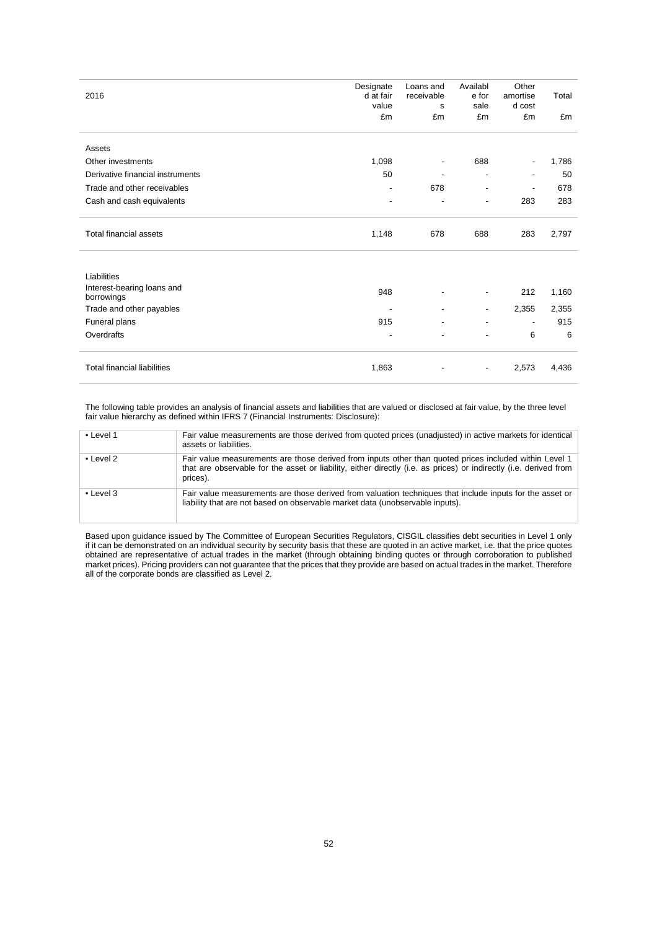| 2016                                     | Designate<br>d at fair<br>value | Loans and<br>receivable<br>s | Availabl<br>e for<br>sale | Other<br>amortise<br>d cost | Total |
|------------------------------------------|---------------------------------|------------------------------|---------------------------|-----------------------------|-------|
|                                          | £m                              | £m                           | £m                        | £m                          | £m    |
| Assets                                   |                                 |                              |                           |                             |       |
| Other investments                        | 1,098                           | $\overline{\phantom{a}}$     | 688                       |                             | 1,786 |
| Derivative financial instruments         | 50                              | ٠                            | ٠                         |                             | 50    |
| Trade and other receivables              | $\overline{\phantom{a}}$        | 678                          | $\overline{\phantom{a}}$  | $\overline{\phantom{a}}$    | 678   |
| Cash and cash equivalents                | ٠                               | $\overline{\phantom{a}}$     | $\overline{\phantom{a}}$  | 283                         | 283   |
| <b>Total financial assets</b>            | 1,148                           | 678                          | 688                       | 283                         | 2,797 |
| Liabilities                              |                                 |                              |                           |                             |       |
| Interest-bearing loans and<br>borrowings | 948                             |                              | $\overline{\phantom{a}}$  | 212                         | 1,160 |
| Trade and other payables                 |                                 | $\overline{\phantom{a}}$     | $\overline{\phantom{a}}$  | 2,355                       | 2,355 |
| Funeral plans                            | 915                             | $\overline{\phantom{a}}$     | $\overline{\phantom{a}}$  | $\overline{\phantom{a}}$    | 915   |
| Overdrafts                               | ٠                               | $\overline{\phantom{0}}$     |                           | 6                           | 6     |
| <b>Total financial liabilities</b>       | 1,863                           |                              |                           | 2,573                       | 4,436 |

The following table provides an analysis of financial assets and liabilities that are valued or disclosed at fair value, by the three level fair value hierarchy as defined within IFRS 7 (Financial Instruments: Disclosure):

| $\bullet$ Level 1 | Fair value measurements are those derived from quoted prices (unadjusted) in active markets for identical<br>assets or liabilities.                                                                                                     |
|-------------------|-----------------------------------------------------------------------------------------------------------------------------------------------------------------------------------------------------------------------------------------|
| $\cdot$ Level 2   | Fair value measurements are those derived from inputs other than quoted prices included within Level 1<br>that are observable for the asset or liability, either directly (i.e. as prices) or indirectly (i.e. derived from<br>prices). |
| $\bullet$ Level 3 | Fair value measurements are those derived from valuation techniques that include inputs for the asset or<br>liability that are not based on observable market data (unobservable inputs).                                               |

Based upon guidance issued by The Committee of European Securities Regulators, CISGIL classifies debt securities in Level 1 only if it can be demonstrated on an individual security by security basis that these are quoted in an active market, i.e. that the price quotes obtained are representative of actual trades in the market (through obtaining binding quotes or through corroboration to published market prices). Pricing providers can not guarantee that the prices that they provide are based on actual trades in the market. Therefore all of the corporate bonds are classified as Level 2.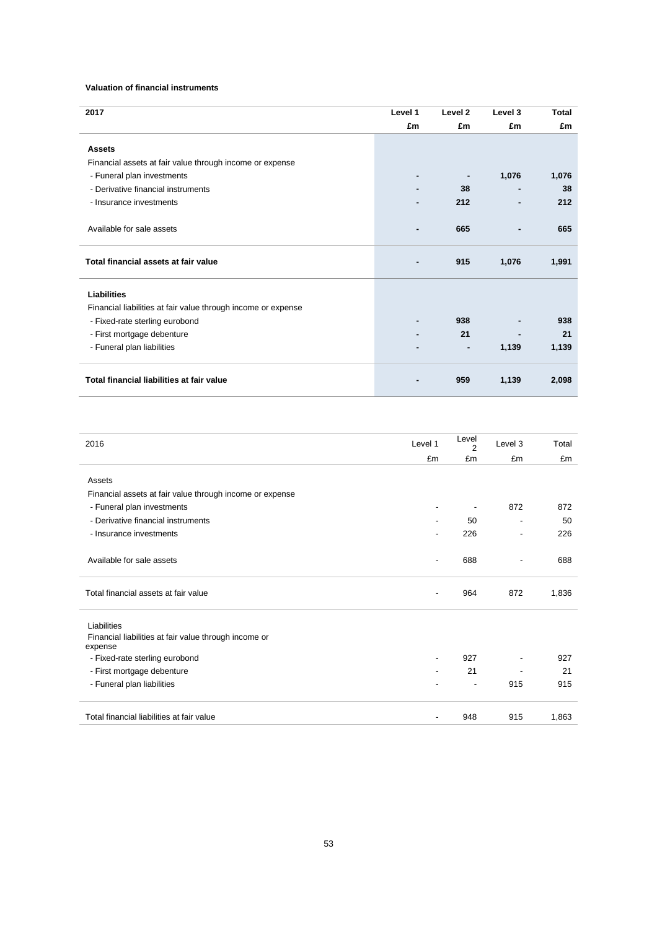### **Valuation of financial instruments**

| 2017                                                          | Level 1 | Level <sub>2</sub> | Level 3 | <b>Total</b> |
|---------------------------------------------------------------|---------|--------------------|---------|--------------|
|                                                               | £m      | £m                 | £m      | £m           |
|                                                               |         |                    |         |              |
| <b>Assets</b>                                                 |         |                    |         |              |
| Financial assets at fair value through income or expense      |         |                    |         |              |
| - Funeral plan investments                                    |         |                    | 1,076   | 1,076        |
| - Derivative financial instruments                            |         | 38                 |         | 38           |
| - Insurance investments                                       |         | 212                |         | 212          |
|                                                               |         |                    |         |              |
| Available for sale assets                                     |         | 665                |         | 665          |
|                                                               |         |                    |         |              |
| Total financial assets at fair value                          |         | 915                | 1,076   | 1,991        |
|                                                               |         |                    |         |              |
|                                                               |         |                    |         |              |
| <b>Liabilities</b>                                            |         |                    |         |              |
| Financial liabilities at fair value through income or expense |         |                    |         |              |
| - Fixed-rate sterling eurobond                                |         | 938                |         | 938          |
| - First mortgage debenture                                    |         | 21                 |         | 21           |
| - Funeral plan liabilities                                    |         | $\blacksquare$     | 1,139   | 1,139        |
|                                                               |         |                    |         |              |
| Total financial liabilities at fair value                     |         | 959                |         |              |
|                                                               |         |                    | 1,139   | 2,098        |

| 2016                                                     | Level 1        | Level<br>$\overline{2}$  | Level 3                  | Total |
|----------------------------------------------------------|----------------|--------------------------|--------------------------|-------|
|                                                          | £m             | £m                       | £m                       | £m    |
| Assets                                                   |                |                          |                          |       |
| Financial assets at fair value through income or expense |                |                          |                          |       |
| - Funeral plan investments                               | -              | $\overline{\phantom{a}}$ | 872                      | 872   |
| - Derivative financial instruments                       | ٠              | 50                       | $\overline{\phantom{a}}$ | 50    |
| - Insurance investments                                  |                | 226                      | $\overline{\phantom{a}}$ | 226   |
|                                                          |                |                          |                          |       |
| Available for sale assets                                | $\overline{a}$ | 688                      | $\overline{\phantom{a}}$ | 688   |
|                                                          |                |                          |                          |       |
| Total financial assets at fair value                     |                | 964                      | 872                      | 1,836 |
| Liabilities                                              |                |                          |                          |       |
| Financial liabilities at fair value through income or    |                |                          |                          |       |
| expense                                                  |                |                          |                          |       |
| - Fixed-rate sterling eurobond                           |                | 927                      |                          | 927   |
| - First mortgage debenture                               |                | 21                       |                          | 21    |
| - Funeral plan liabilities                               |                | $\overline{\phantom{a}}$ | 915                      | 915   |
|                                                          |                |                          |                          |       |
| Total financial liabilities at fair value                |                | 948                      | 915                      | 1,863 |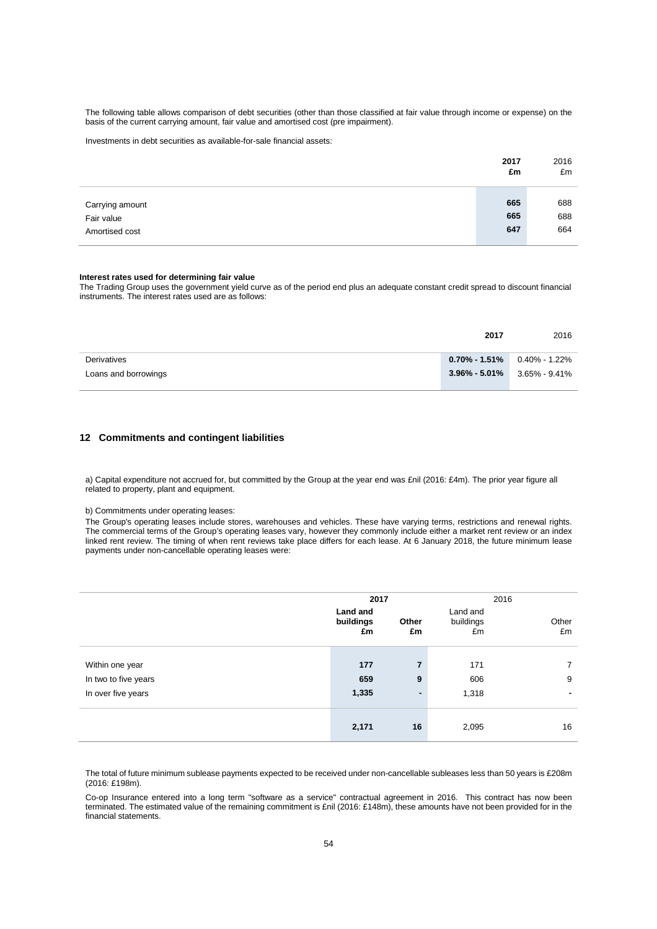The following table allows comparison of debt securities (other than those classified at fair value through income or expense) on the basis of the current carrying amount, fair value and amortised cost (pre impairment).

Investments in debt securities as available-for-sale financial assets:

|                 | 2017<br>£m | 2016<br>£m |
|-----------------|------------|------------|
|                 |            |            |
| Carrying amount | 665        | 688        |
| Fair value      | 665        | 688        |
| Amortised cost  | 647        | 664        |
|                 |            |            |

#### **Interest rates used for determining fair value**

The Trading Group uses the government yield curve as of the period end plus an adequate constant credit spread to discount financial instruments. The interest rates used are as follows:

|                      | 2017                            | 2016 |
|----------------------|---------------------------------|------|
| Derivatives          | $0.70\%$ - 1.51% 0.40% - 1.22%  |      |
| Loans and borrowings | $3.96\% - 5.01\%$ 3.65% - 9.41% |      |
|                      |                                 |      |

### **12 Commitments and contingent liabilities**

a) Capital expenditure not accrued for, but committed by the Group at the year end was £nil (2016: £4m). The prior year figure all related to property, plant and equipment.

b) Commitments under operating leases:

The Group's operating leases include stores, warehouses and vehicles. These have varying terms, restrictions and renewal rights. The commercial terms of the Group's operating leases vary, however they commonly include either a market rent review or an index linked rent review. The timing of when rent reviews take place differs for each lease. At 6 January 2018, the future minimum lease payments under non-cancellable operating leases were:

|                                                               | 2017                        |                          | 2016                        |                                    |
|---------------------------------------------------------------|-----------------------------|--------------------------|-----------------------------|------------------------------------|
|                                                               | Land and<br>buildings<br>£m | Other<br>£m              | Land and<br>buildings<br>£m | Other<br>£m                        |
| Within one year<br>In two to five years<br>In over five years | 177<br>659<br>1,335         | 7<br>9<br>$\blacksquare$ | 171<br>606<br>1,318         | 7<br>9<br>$\overline{\phantom{0}}$ |
|                                                               | 2,171                       | 16                       | 2,095                       | 16                                 |

The total of future minimum sublease payments expected to be received under non-cancellable subleases less than 50 years is £208m (2016: £198m).

Co-op Insurance entered into a long term "software as a service" contractual agreement in 2016. This contract has now been terminated. The estimated value of the remaining commitment is £nil (2016: £148m), these amounts have not been provided for in the financial statements.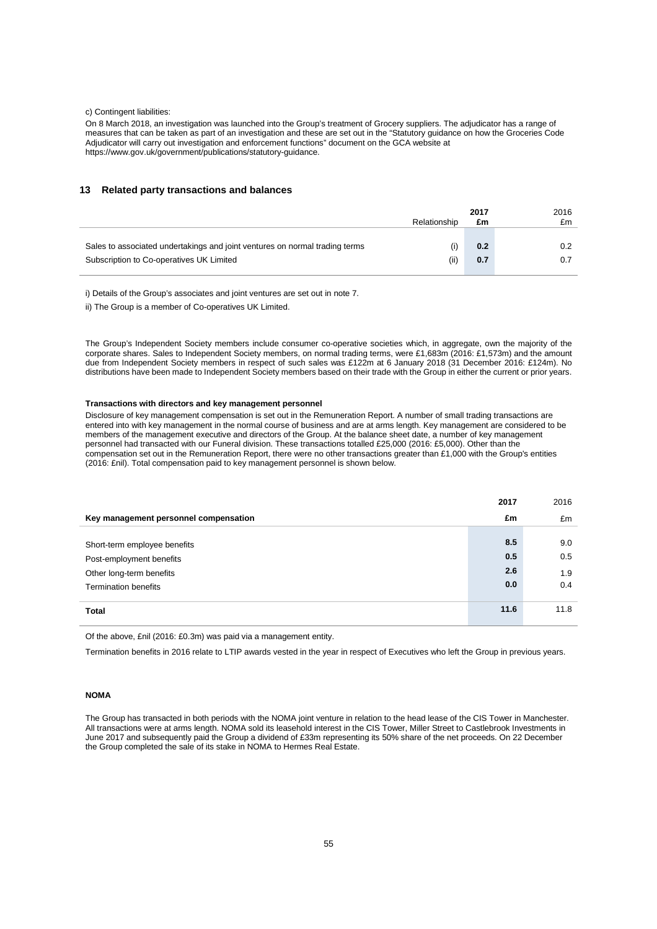#### c) Contingent liabilities:

On 8 March 2018, an investigation was launched into the Group's treatment of Grocery suppliers. The adjudicator has a range of measures that can be taken as part of an investigation and these are set out in the "Statutory guidance on how the Groceries Code Adjudicator will carry out investigation and enforcement functions" document on the GCA website at https://www.gov.uk/government/publications/statutory-guidance.

### **13 Related party transactions and balances**

|                                                                             |              | 2017 | 2016 |
|-----------------------------------------------------------------------------|--------------|------|------|
|                                                                             | Relationship | £m   | £m   |
|                                                                             |              |      |      |
| Sales to associated undertakings and joint ventures on normal trading terms | (i)          | 0.2  | 0.2  |
| Subscription to Co-operatives UK Limited                                    | (ii)         | 0.7  | 0.7  |
|                                                                             |              |      |      |

i) Details of the Group's associates and joint ventures are set out in note 7.

ii) The Group is a member of Co-operatives UK Limited.

The Group's Independent Society members include consumer co-operative societies which, in aggregate, own the majority of the corporate shares. Sales to Independent Society members, on normal trading terms, were £1,683m (2016: £1,573m) and the amount due from Independent Society members in respect of such sales was £122m at 6 January 2018 (31 December 2016: £124m). No distributions have been made to Independent Society members based on their trade with the Group in either the current or prior years.

#### **Transactions with directors and key management personnel**

Disclosure of key management compensation is set out in the Remuneration Report. A number of small trading transactions are entered into with key management in the normal course of business and are at arms length. Key management are considered to be members of the management executive and directors of the Group. At the balance sheet date, a number of key management personnel had transacted with our Funeral division. These transactions totalled £25,000 (2016: £5,000). Other than the compensation set out in the Remuneration Report, there were no other transactions greater than £1,000 with the Group's entities (2016: £nil). Total compensation paid to key management personnel is shown below.

|                                       | 2017 | 2016 |
|---------------------------------------|------|------|
| Key management personnel compensation | £m   | £m   |
|                                       |      |      |
| Short-term employee benefits          | 8.5  | 9.0  |
| Post-employment benefits              | 0.5  | 0.5  |
| Other long-term benefits              | 2.6  | 1.9  |
| <b>Termination benefits</b>           | 0.0  | 0.4  |
|                                       |      |      |
| <b>Total</b>                          | 11.6 | 11.8 |
|                                       |      |      |

Of the above, £nil (2016: £0.3m) was paid via a management entity.

Termination benefits in 2016 relate to LTIP awards vested in the year in respect of Executives who left the Group in previous years.

### **NOMA**

The Group has transacted in both periods with the NOMA joint venture in relation to the head lease of the CIS Tower in Manchester. All transactions were at arms length. NOMA sold its leasehold interest in the CIS Tower, Miller Street to Castlebrook Investments in June 2017 and subsequently paid the Group a dividend of £33m representing its 50% share of the net proceeds. On 22 December the Group completed the sale of its stake in NOMA to Hermes Real Estate.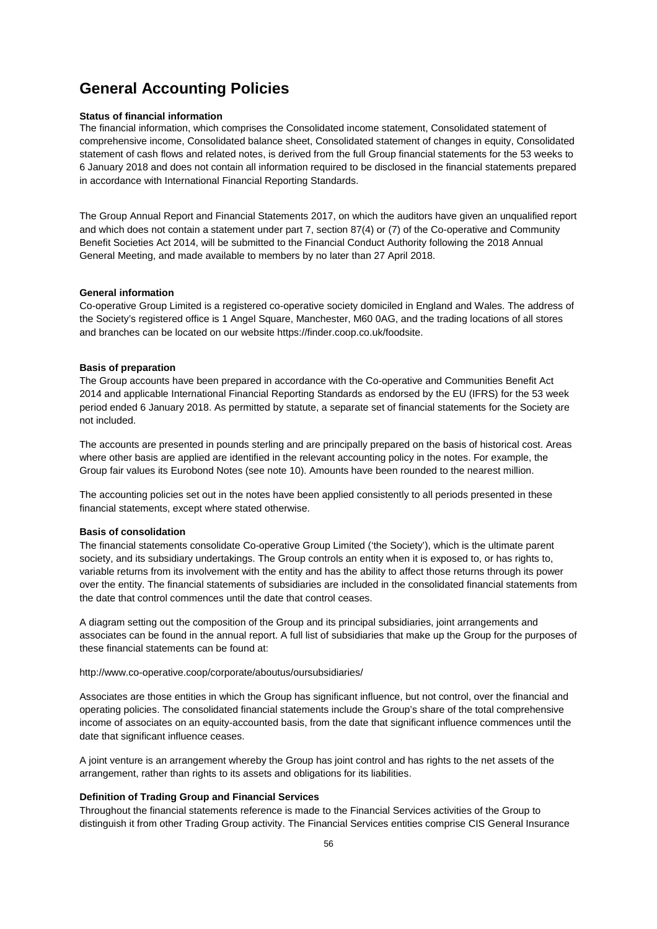## **General Accounting Policies**

### **Status of financial information**

The financial information, which comprises the Consolidated income statement, Consolidated statement of comprehensive income, Consolidated balance sheet, Consolidated statement of changes in equity, Consolidated statement of cash flows and related notes, is derived from the full Group financial statements for the 53 weeks to 6 January 2018 and does not contain all information required to be disclosed in the financial statements prepared in accordance with International Financial Reporting Standards.

The Group Annual Report and Financial Statements 2017, on which the auditors have given an unqualified report and which does not contain a statement under part 7, section 87(4) or (7) of the Co-operative and Community Benefit Societies Act 2014, will be submitted to the Financial Conduct Authority following the 2018 Annual General Meeting, and made available to members by no later than 27 April 2018.

### **General information**

Co-operative Group Limited is a registered co-operative society domiciled in England and Wales. The address of the Society's registered office is 1 Angel Square, Manchester, M60 0AG, and the trading locations of all stores and branches can be located on our website https://finder.coop.co.uk/foodsite.

### **Basis of preparation**

The Group accounts have been prepared in accordance with the Co-operative and Communities Benefit Act 2014 and applicable International Financial Reporting Standards as endorsed by the EU (IFRS) for the 53 week period ended 6 January 2018. As permitted by statute, a separate set of financial statements for the Society are not included.

The accounts are presented in pounds sterling and are principally prepared on the basis of historical cost. Areas where other basis are applied are identified in the relevant accounting policy in the notes. For example, the Group fair values its Eurobond Notes (see note 10). Amounts have been rounded to the nearest million.

The accounting policies set out in the notes have been applied consistently to all periods presented in these financial statements, except where stated otherwise.

### **Basis of consolidation**

The financial statements consolidate Co-operative Group Limited ('the Society'), which is the ultimate parent society, and its subsidiary undertakings. The Group controls an entity when it is exposed to, or has rights to, variable returns from its involvement with the entity and has the ability to affect those returns through its power over the entity. The financial statements of subsidiaries are included in the consolidated financial statements from the date that control commences until the date that control ceases.

A diagram setting out the composition of the Group and its principal subsidiaries, joint arrangements and associates can be found in the annual report. A full list of subsidiaries that make up the Group for the purposes of these financial statements can be found at:

http://www.co-operative.coop/corporate/aboutus/oursubsidiaries/

Associates are those entities in which the Group has significant influence, but not control, over the financial and operating policies. The consolidated financial statements include the Group's share of the total comprehensive income of associates on an equity-accounted basis, from the date that significant influence commences until the date that significant influence ceases.

A joint venture is an arrangement whereby the Group has joint control and has rights to the net assets of the arrangement, rather than rights to its assets and obligations for its liabilities.

### **Definition of Trading Group and Financial Services**

Throughout the financial statements reference is made to the Financial Services activities of the Group to distinguish it from other Trading Group activity. The Financial Services entities comprise CIS General Insurance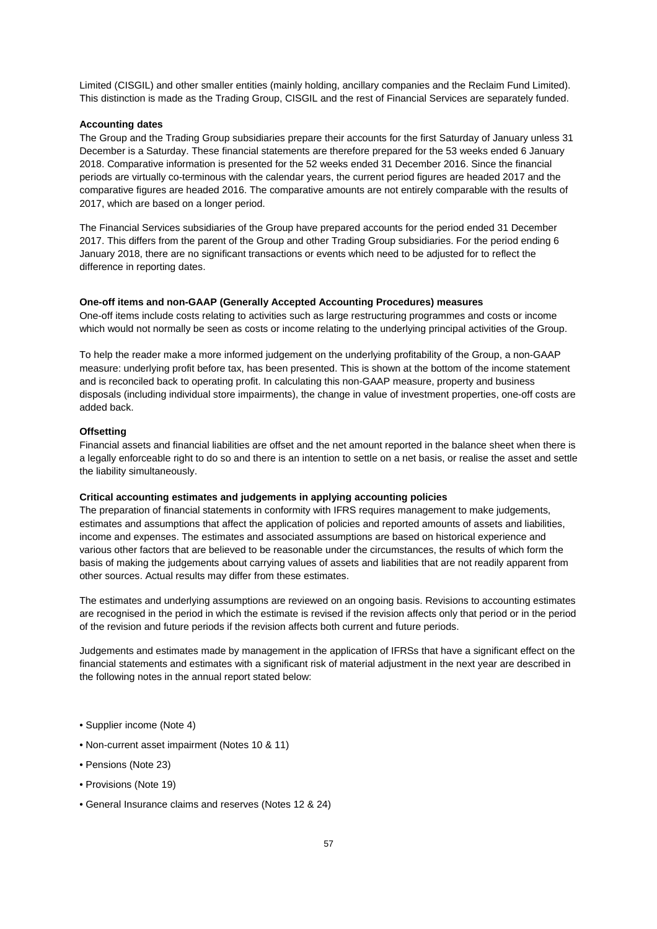Limited (CISGIL) and other smaller entities (mainly holding, ancillary companies and the Reclaim Fund Limited). This distinction is made as the Trading Group, CISGIL and the rest of Financial Services are separately funded.

### **Accounting dates**

The Group and the Trading Group subsidiaries prepare their accounts for the first Saturday of January unless 31 December is a Saturday. These financial statements are therefore prepared for the 53 weeks ended 6 January 2018. Comparative information is presented for the 52 weeks ended 31 December 2016. Since the financial periods are virtually co-terminous with the calendar years, the current period figures are headed 2017 and the comparative figures are headed 2016. The comparative amounts are not entirely comparable with the results of 2017, which are based on a longer period.

The Financial Services subsidiaries of the Group have prepared accounts for the period ended 31 December 2017. This differs from the parent of the Group and other Trading Group subsidiaries. For the period ending 6 January 2018, there are no significant transactions or events which need to be adjusted for to reflect the difference in reporting dates.

### **One-off items and non-GAAP (Generally Accepted Accounting Procedures) measures**

One-off items include costs relating to activities such as large restructuring programmes and costs or income which would not normally be seen as costs or income relating to the underlying principal activities of the Group.

To help the reader make a more informed judgement on the underlying profitability of the Group, a non-GAAP measure: underlying profit before tax, has been presented. This is shown at the bottom of the income statement and is reconciled back to operating profit. In calculating this non-GAAP measure, property and business disposals (including individual store impairments), the change in value of investment properties, one-off costs are added back.

### **Offsetting**

Financial assets and financial liabilities are offset and the net amount reported in the balance sheet when there is a legally enforceable right to do so and there is an intention to settle on a net basis, or realise the asset and settle the liability simultaneously.

### **Critical accounting estimates and judgements in applying accounting policies**

The preparation of financial statements in conformity with IFRS requires management to make judgements, estimates and assumptions that affect the application of policies and reported amounts of assets and liabilities, income and expenses. The estimates and associated assumptions are based on historical experience and various other factors that are believed to be reasonable under the circumstances, the results of which form the basis of making the judgements about carrying values of assets and liabilities that are not readily apparent from other sources. Actual results may differ from these estimates.

The estimates and underlying assumptions are reviewed on an ongoing basis. Revisions to accounting estimates are recognised in the period in which the estimate is revised if the revision affects only that period or in the period of the revision and future periods if the revision affects both current and future periods.

Judgements and estimates made by management in the application of IFRSs that have a significant effect on the financial statements and estimates with a significant risk of material adjustment in the next year are described in the following notes in the annual report stated below:

- Supplier income (Note 4)
- Non-current asset impairment (Notes 10 & 11)
- Pensions (Note 23)
- Provisions (Note 19)
- General Insurance claims and reserves (Notes 12 & 24)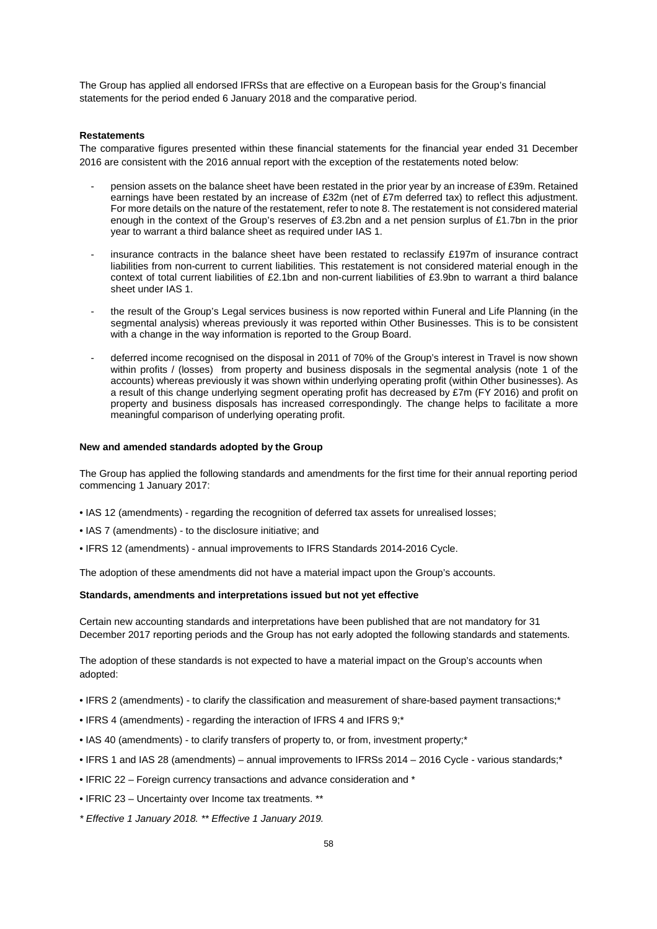The Group has applied all endorsed IFRSs that are effective on a European basis for the Group's financial statements for the period ended 6 January 2018 and the comparative period.

### **Restatements**

The comparative figures presented within these financial statements for the financial year ended 31 December 2016 are consistent with the 2016 annual report with the exception of the restatements noted below:

- pension assets on the balance sheet have been restated in the prior year by an increase of £39m. Retained earnings have been restated by an increase of £32m (net of £7m deferred tax) to reflect this adjustment. For more details on the nature of the restatement, refer to note 8. The restatement is not considered material enough in the context of the Group's reserves of £3.2bn and a net pension surplus of £1.7bn in the prior year to warrant a third balance sheet as required under IAS 1.
- insurance contracts in the balance sheet have been restated to reclassify £197m of insurance contract liabilities from non-current to current liabilities. This restatement is not considered material enough in the context of total current liabilities of £2.1bn and non-current liabilities of £3.9bn to warrant a third balance sheet under IAS 1.
- the result of the Group's Legal services business is now reported within Funeral and Life Planning (in the segmental analysis) whereas previously it was reported within Other Businesses. This is to be consistent with a change in the way information is reported to the Group Board.
- deferred income recognised on the disposal in 2011 of 70% of the Group's interest in Travel is now shown within profits / (losses) from property and business disposals in the segmental analysis (note 1 of the accounts) whereas previously it was shown within underlying operating profit (within Other businesses). As a result of this change underlying segment operating profit has decreased by £7m (FY 2016) and profit on property and business disposals has increased correspondingly. The change helps to facilitate a more meaningful comparison of underlying operating profit.

### **New and amended standards adopted by the Group**

The Group has applied the following standards and amendments for the first time for their annual reporting period commencing 1 January 2017:

- IAS 12 (amendments) regarding the recognition of deferred tax assets for unrealised losses;
- IAS 7 (amendments) to the disclosure initiative; and
- IFRS 12 (amendments) annual improvements to IFRS Standards 2014-2016 Cycle.

The adoption of these amendments did not have a material impact upon the Group's accounts.

### **Standards, amendments and interpretations issued but not yet effective**

Certain new accounting standards and interpretations have been published that are not mandatory for 31 December 2017 reporting periods and the Group has not early adopted the following standards and statements.

The adoption of these standards is not expected to have a material impact on the Group's accounts when adopted:

- IFRS 2 (amendments) to clarify the classification and measurement of share-based payment transactions;\*
- IFRS 4 (amendments) regarding the interaction of IFRS 4 and IFRS 9;\*
- IAS 40 (amendments) to clarify transfers of property to, or from, investment property;\*
- IFRS 1 and IAS 28 (amendments) annual improvements to IFRSs 2014 2016 Cycle various standards;\*
- IFRIC 22 Foreign currency transactions and advance consideration and \*
- IFRIC 23 Uncertainty over Income tax treatments. \*\*

\* Effective 1 January 2018. \*\* Effective 1 January 2019.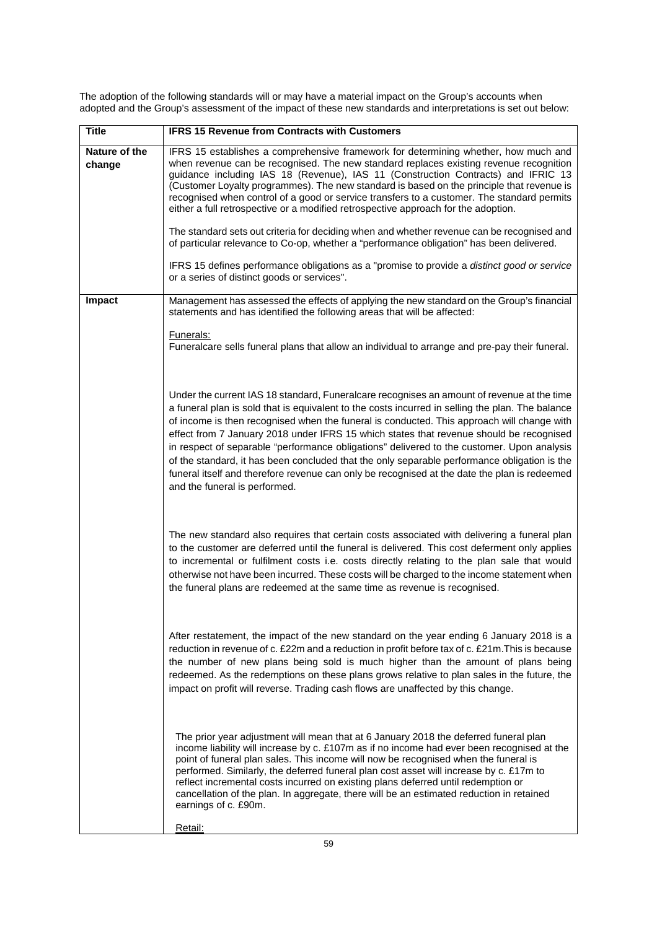**Title IFRS 15 Revenue from Contracts with Customers Nature of the change**  IFRS 15 establishes a comprehensive framework for determining whether, how much and when revenue can be recognised. The new standard replaces existing revenue recognition guidance including IAS 18 (Revenue), IAS 11 (Construction Contracts) and IFRIC 13 (Customer Loyalty programmes). The new standard is based on the principle that revenue is recognised when control of a good or service transfers to a customer. The standard permits either a full retrospective or a modified retrospective approach for the adoption. The standard sets out criteria for deciding when and whether revenue can be recognised and of particular relevance to Co-op, whether a "performance obligation" has been delivered. IFRS 15 defines performance obligations as a "promise to provide a distinct good or service or a series of distinct goods or services". **Impact** Management has assessed the effects of applying the new standard on the Group's financial statements and has identified the following areas that will be affected: Funerals: Funeralcare sells funeral plans that allow an individual to arrange and pre-pay their funeral. Under the current IAS 18 standard, Funeralcare recognises an amount of revenue at the time a funeral plan is sold that is equivalent to the costs incurred in selling the plan. The balance of income is then recognised when the funeral is conducted. This approach will change with effect from 7 January 2018 under IFRS 15 which states that revenue should be recognised in respect of separable "performance obligations" delivered to the customer. Upon analysis of the standard, it has been concluded that the only separable performance obligation is the funeral itself and therefore revenue can only be recognised at the date the plan is redeemed and the funeral is performed. The new standard also requires that certain costs associated with delivering a funeral plan to the customer are deferred until the funeral is delivered. This cost deferment only applies to incremental or fulfilment costs i.e. costs directly relating to the plan sale that would otherwise not have been incurred. These costs will be charged to the income statement when the funeral plans are redeemed at the same time as revenue is recognised. After restatement, the impact of the new standard on the year ending 6 January 2018 is a reduction in revenue of c. £22m and a reduction in profit before tax of c. £21m.This is because the number of new plans being sold is much higher than the amount of plans being redeemed. As the redemptions on these plans grows relative to plan sales in the future, the impact on profit will reverse. Trading cash flows are unaffected by this change. The prior year adjustment will mean that at 6 January 2018 the deferred funeral plan income liability will increase by c. £107m as if no income had ever been recognised at the point of funeral plan sales. This income will now be recognised when the funeral is performed. Similarly, the deferred funeral plan cost asset will increase by c. £17m to reflect incremental costs incurred on existing plans deferred until redemption or cancellation of the plan. In aggregate, there will be an estimated reduction in retained earnings of c. £90m.

The adoption of the following standards will or may have a material impact on the Group's accounts when adopted and the Group's assessment of the impact of these new standards and interpretations is set out below:

Retail: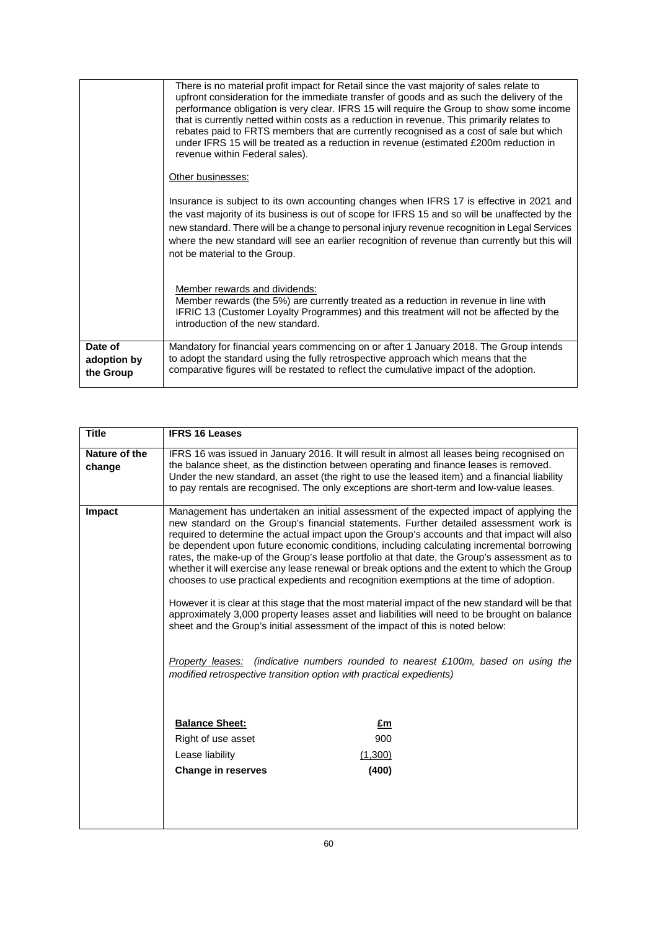|                                     | There is no material profit impact for Retail since the vast majority of sales relate to<br>upfront consideration for the immediate transfer of goods and as such the delivery of the<br>performance obligation is very clear. IFRS 15 will require the Group to show some income<br>that is currently netted within costs as a reduction in revenue. This primarily relates to<br>rebates paid to FRTS members that are currently recognised as a cost of sale but which<br>under IFRS 15 will be treated as a reduction in revenue (estimated £200m reduction in<br>revenue within Federal sales). |
|-------------------------------------|------------------------------------------------------------------------------------------------------------------------------------------------------------------------------------------------------------------------------------------------------------------------------------------------------------------------------------------------------------------------------------------------------------------------------------------------------------------------------------------------------------------------------------------------------------------------------------------------------|
|                                     | Other businesses:                                                                                                                                                                                                                                                                                                                                                                                                                                                                                                                                                                                    |
|                                     | Insurance is subject to its own accounting changes when IFRS 17 is effective in 2021 and<br>the vast majority of its business is out of scope for IFRS 15 and so will be unaffected by the<br>new standard. There will be a change to personal injury revenue recognition in Legal Services<br>where the new standard will see an earlier recognition of revenue than currently but this will<br>not be material to the Group.                                                                                                                                                                       |
|                                     | Member rewards and dividends:<br>Member rewards (the 5%) are currently treated as a reduction in revenue in line with<br>IFRIC 13 (Customer Loyalty Programmes) and this treatment will not be affected by the<br>introduction of the new standard.                                                                                                                                                                                                                                                                                                                                                  |
| Date of<br>adoption by<br>the Group | Mandatory for financial years commencing on or after 1 January 2018. The Group intends<br>to adopt the standard using the fully retrospective approach which means that the<br>comparative figures will be restated to reflect the cumulative impact of the adoption.                                                                                                                                                                                                                                                                                                                                |

| <b>Title</b>            | <b>IFRS 16 Leases</b>                                                                                                                                                                                                                                                                                                                                                                                                                                                                                                                                                                                                                                                                                                                                                                                                                                                                                                                                                                                                                                                                                                        |
|-------------------------|------------------------------------------------------------------------------------------------------------------------------------------------------------------------------------------------------------------------------------------------------------------------------------------------------------------------------------------------------------------------------------------------------------------------------------------------------------------------------------------------------------------------------------------------------------------------------------------------------------------------------------------------------------------------------------------------------------------------------------------------------------------------------------------------------------------------------------------------------------------------------------------------------------------------------------------------------------------------------------------------------------------------------------------------------------------------------------------------------------------------------|
| Nature of the<br>change | IFRS 16 was issued in January 2016. It will result in almost all leases being recognised on<br>the balance sheet, as the distinction between operating and finance leases is removed.<br>Under the new standard, an asset (the right to use the leased item) and a financial liability<br>to pay rentals are recognised. The only exceptions are short-term and low-value leases.                                                                                                                                                                                                                                                                                                                                                                                                                                                                                                                                                                                                                                                                                                                                            |
| <b>Impact</b>           | Management has undertaken an initial assessment of the expected impact of applying the<br>new standard on the Group's financial statements. Further detailed assessment work is<br>required to determine the actual impact upon the Group's accounts and that impact will also<br>be dependent upon future economic conditions, including calculating incremental borrowing<br>rates, the make-up of the Group's lease portfolio at that date, the Group's assessment as to<br>whether it will exercise any lease renewal or break options and the extent to which the Group<br>chooses to use practical expedients and recognition exemptions at the time of adoption.<br>However it is clear at this stage that the most material impact of the new standard will be that<br>approximately 3,000 property leases asset and liabilities will need to be brought on balance<br>sheet and the Group's initial assessment of the impact of this is noted below:<br>(indicative numbers rounded to nearest £100m, based on using the<br>Property leases:<br>modified retrospective transition option with practical expedients) |
|                         | <b>Balance Sheet:</b><br>£m<br>900<br>Right of use asset<br>Lease liability<br>(1,300)<br>(400)<br><b>Change in reserves</b>                                                                                                                                                                                                                                                                                                                                                                                                                                                                                                                                                                                                                                                                                                                                                                                                                                                                                                                                                                                                 |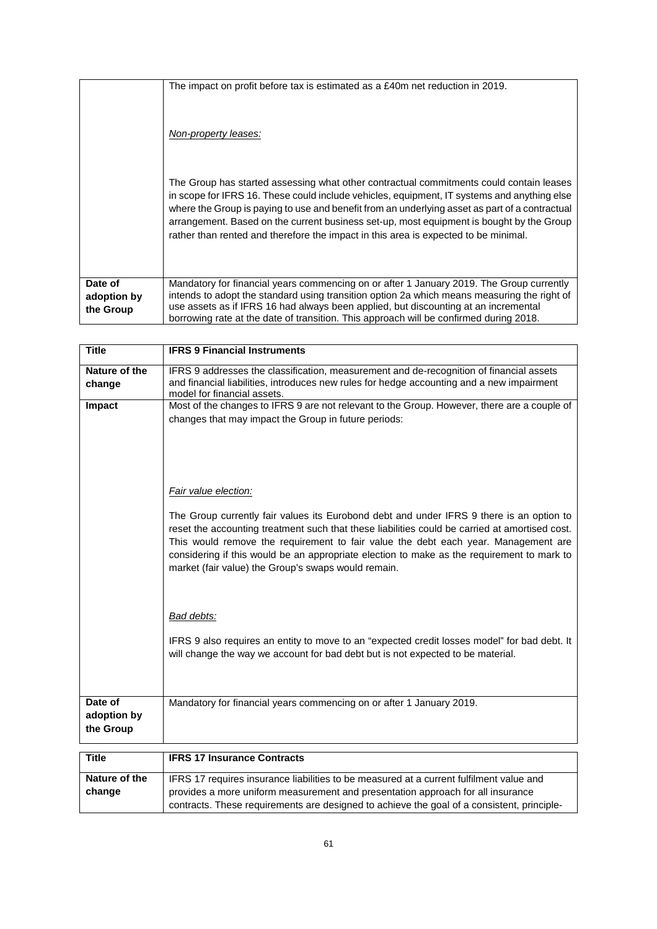|                        | The impact on profit before tax is estimated as a £40m net reduction in 2019.<br>Non-property leases:<br>The Group has started assessing what other contractual commitments could contain leases<br>in scope for IFRS 16. These could include vehicles, equipment, IT systems and anything else<br>where the Group is paying to use and benefit from an underlying asset as part of a contractual<br>arrangement. Based on the current business set-up, most equipment is bought by the Group<br>rather than rented and therefore the impact in this area is expected to be minimal. |
|------------------------|--------------------------------------------------------------------------------------------------------------------------------------------------------------------------------------------------------------------------------------------------------------------------------------------------------------------------------------------------------------------------------------------------------------------------------------------------------------------------------------------------------------------------------------------------------------------------------------|
|                        |                                                                                                                                                                                                                                                                                                                                                                                                                                                                                                                                                                                      |
| Date of<br>adoption by | Mandatory for financial years commencing on or after 1 January 2019. The Group currently<br>intends to adopt the standard using transition option 2a which means measuring the right of                                                                                                                                                                                                                                                                                                                                                                                              |
| the Group              | use assets as if IFRS 16 had always been applied, but discounting at an incremental<br>borrowing rate at the date of transition. This approach will be confirmed during 2018.                                                                                                                                                                                                                                                                                                                                                                                                        |

| <b>Title</b>            | <b>IFRS 9 Financial Instruments</b>                                                                                                                                                                                                                                                                                                                                                                                                   |
|-------------------------|---------------------------------------------------------------------------------------------------------------------------------------------------------------------------------------------------------------------------------------------------------------------------------------------------------------------------------------------------------------------------------------------------------------------------------------|
| Nature of the<br>change | IFRS 9 addresses the classification, measurement and de-recognition of financial assets<br>and financial liabilities, introduces new rules for hedge accounting and a new impairment<br>model for financial assets.                                                                                                                                                                                                                   |
| Impact                  | Most of the changes to IFRS 9 are not relevant to the Group. However, there are a couple of                                                                                                                                                                                                                                                                                                                                           |
|                         | changes that may impact the Group in future periods:                                                                                                                                                                                                                                                                                                                                                                                  |
|                         | Fair value election:                                                                                                                                                                                                                                                                                                                                                                                                                  |
|                         | The Group currently fair values its Eurobond debt and under IFRS 9 there is an option to<br>reset the accounting treatment such that these liabilities could be carried at amortised cost.<br>This would remove the requirement to fair value the debt each year. Management are<br>considering if this would be an appropriate election to make as the requirement to mark to<br>market (fair value) the Group's swaps would remain. |
|                         | Bad debts:                                                                                                                                                                                                                                                                                                                                                                                                                            |
|                         | IFRS 9 also requires an entity to move to an "expected credit losses model" for bad debt. It<br>will change the way we account for bad debt but is not expected to be material.                                                                                                                                                                                                                                                       |
| Date of                 | Mandatory for financial years commencing on or after 1 January 2019.                                                                                                                                                                                                                                                                                                                                                                  |
| adoption by             |                                                                                                                                                                                                                                                                                                                                                                                                                                       |
| the Group               |                                                                                                                                                                                                                                                                                                                                                                                                                                       |
|                         |                                                                                                                                                                                                                                                                                                                                                                                                                                       |
| <b>Title</b>            | <b>IFRS 17 Insurance Contracts</b>                                                                                                                                                                                                                                                                                                                                                                                                    |
| Nature of the           | IFRS 17 requires insurance liabilities to be measured at a current fulfilment value and                                                                                                                                                                                                                                                                                                                                               |
| change                  | provides a more uniform measurement and presentation approach for all insurance                                                                                                                                                                                                                                                                                                                                                       |